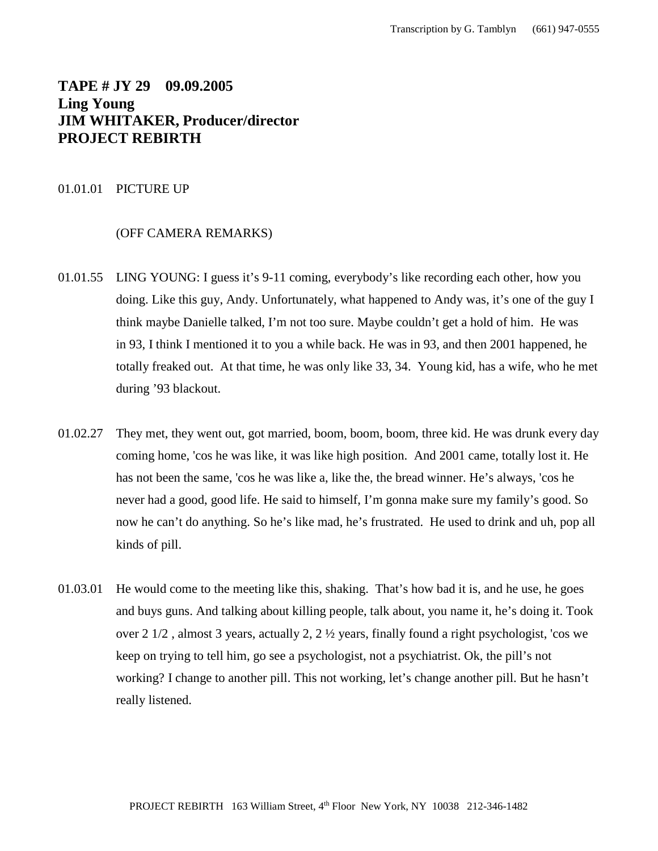# **TAPE # JY 29 09.09.2005 Ling Young JIM WHITAKER, Producer/director PROJECT REBIRTH**

#### 01.01.01 PICTURE UP

## (OFF CAMERA REMARKS)

- 01.01.55 LING YOUNG: I guess it's 9-11 coming, everybody's like recording each other, how you doing. Like this guy, Andy. Unfortunately, what happened to Andy was, it's one of the guy I think maybe Danielle talked, I'm not too sure. Maybe couldn't get a hold of him. He was in 93, I think I mentioned it to you a while back. He was in 93, and then 2001 happened, he totally freaked out. At that time, he was only like 33, 34. Young kid, has a wife, who he met during '93 blackout.
- 01.02.27 They met, they went out, got married, boom, boom, boom, three kid. He was drunk every day coming home, 'cos he was like, it was like high position. And 2001 came, totally lost it. He has not been the same, 'cos he was like a, like the, the bread winner. He's always, 'cos he never had a good, good life. He said to himself, I'm gonna make sure my family's good. So now he can't do anything. So he's like mad, he's frustrated. He used to drink and uh, pop all kinds of pill.
- 01.03.01 He would come to the meeting like this, shaking. That's how bad it is, and he use, he goes and buys guns. And talking about killing people, talk about, you name it, he's doing it. Took over 2 1/2 , almost 3 years, actually 2, 2 ½ years, finally found a right psychologist, 'cos we keep on trying to tell him, go see a psychologist, not a psychiatrist. Ok, the pill's not working? I change to another pill. This not working, let's change another pill. But he hasn't really listened.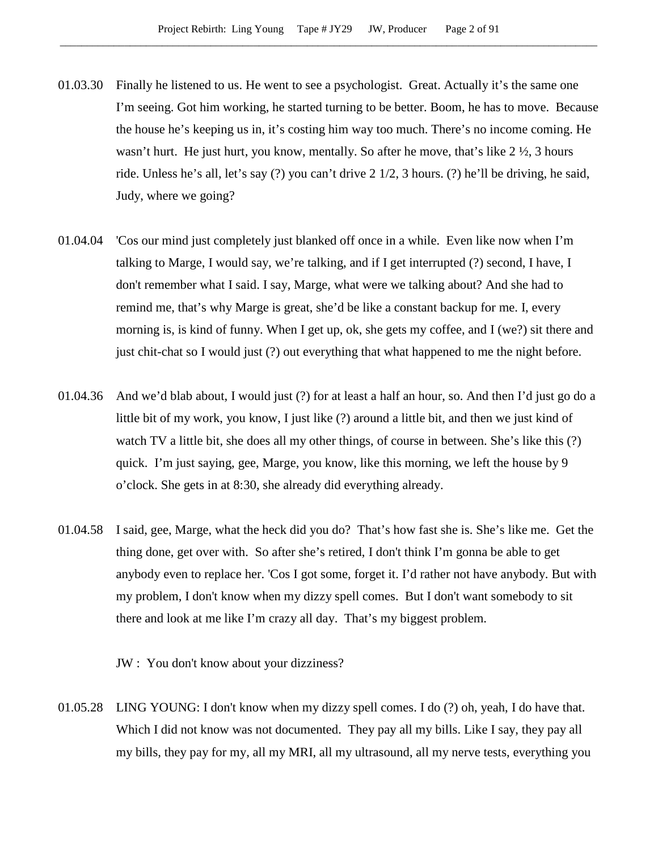- 01.03.30 Finally he listened to us. He went to see a psychologist. Great. Actually it's the same one I'm seeing. Got him working, he started turning to be better. Boom, he has to move. Because the house he's keeping us in, it's costing him way too much. There's no income coming. He wasn't hurt. He just hurt, you know, mentally. So after he move, that's like 2  $\frac{1}{2}$ , 3 hours ride. Unless he's all, let's say (?) you can't drive 2 1/2, 3 hours. (?) he'll be driving, he said, Judy, where we going?
- 01.04.04 'Cos our mind just completely just blanked off once in a while. Even like now when I'm talking to Marge, I would say, we're talking, and if I get interrupted (?) second, I have, I don't remember what I said. I say, Marge, what were we talking about? And she had to remind me, that's why Marge is great, she'd be like a constant backup for me. I, every morning is, is kind of funny. When I get up, ok, she gets my coffee, and I (we?) sit there and just chit-chat so I would just (?) out everything that what happened to me the night before.
- 01.04.36 And we'd blab about, I would just (?) for at least a half an hour, so. And then I'd just go do a little bit of my work, you know, I just like (?) around a little bit, and then we just kind of watch TV a little bit, she does all my other things, of course in between. She's like this (?) quick. I'm just saying, gee, Marge, you know, like this morning, we left the house by 9 o'clock. She gets in at 8:30, she already did everything already.
- 01.04.58 I said, gee, Marge, what the heck did you do? That's how fast she is. She's like me. Get the thing done, get over with. So after she's retired, I don't think I'm gonna be able to get anybody even to replace her. 'Cos I got some, forget it. I'd rather not have anybody. But with my problem, I don't know when my dizzy spell comes. But I don't want somebody to sit there and look at me like I'm crazy all day. That's my biggest problem.

JW : You don't know about your dizziness?

01.05.28 LING YOUNG: I don't know when my dizzy spell comes. I do (?) oh, yeah, I do have that. Which I did not know was not documented. They pay all my bills. Like I say, they pay all my bills, they pay for my, all my MRI, all my ultrasound, all my nerve tests, everything you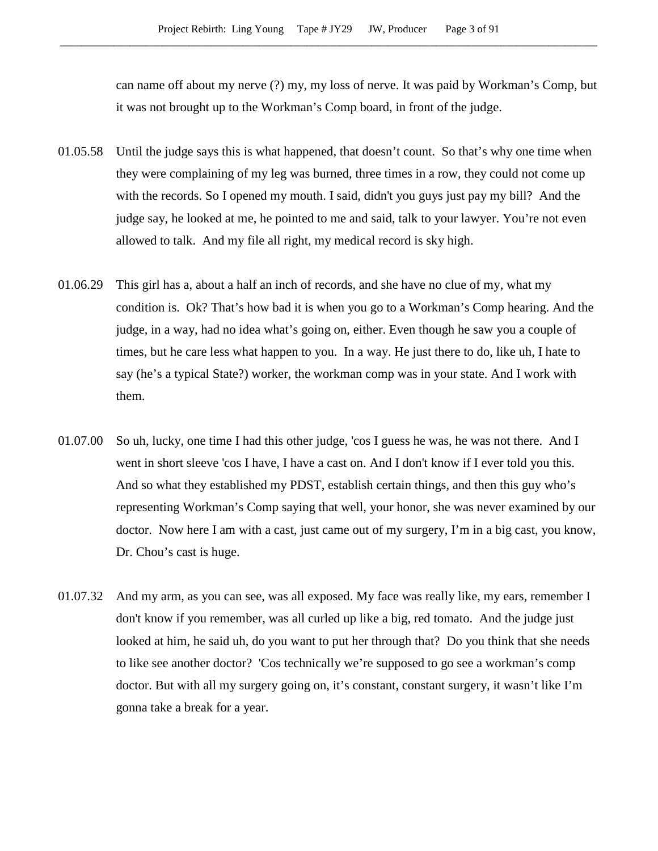can name off about my nerve (?) my, my loss of nerve. It was paid by Workman's Comp, but it was not brought up to the Workman's Comp board, in front of the judge.

- 01.05.58 Until the judge says this is what happened, that doesn't count. So that's why one time when they were complaining of my leg was burned, three times in a row, they could not come up with the records. So I opened my mouth. I said, didn't you guys just pay my bill? And the judge say, he looked at me, he pointed to me and said, talk to your lawyer. You're not even allowed to talk. And my file all right, my medical record is sky high.
- 01.06.29 This girl has a, about a half an inch of records, and she have no clue of my, what my condition is. Ok? That's how bad it is when you go to a Workman's Comp hearing. And the judge, in a way, had no idea what's going on, either. Even though he saw you a couple of times, but he care less what happen to you. In a way. He just there to do, like uh, I hate to say (he's a typical State?) worker, the workman comp was in your state. And I work with them.
- 01.07.00 So uh, lucky, one time I had this other judge, 'cos I guess he was, he was not there. And I went in short sleeve 'cos I have, I have a cast on. And I don't know if I ever told you this. And so what they established my PDST, establish certain things, and then this guy who's representing Workman's Comp saying that well, your honor, she was never examined by our doctor. Now here I am with a cast, just came out of my surgery, I'm in a big cast, you know, Dr. Chou's cast is huge.
- 01.07.32 And my arm, as you can see, was all exposed. My face was really like, my ears, remember I don't know if you remember, was all curled up like a big, red tomato. And the judge just looked at him, he said uh, do you want to put her through that? Do you think that she needs to like see another doctor? 'Cos technically we're supposed to go see a workman's comp doctor. But with all my surgery going on, it's constant, constant surgery, it wasn't like I'm gonna take a break for a year.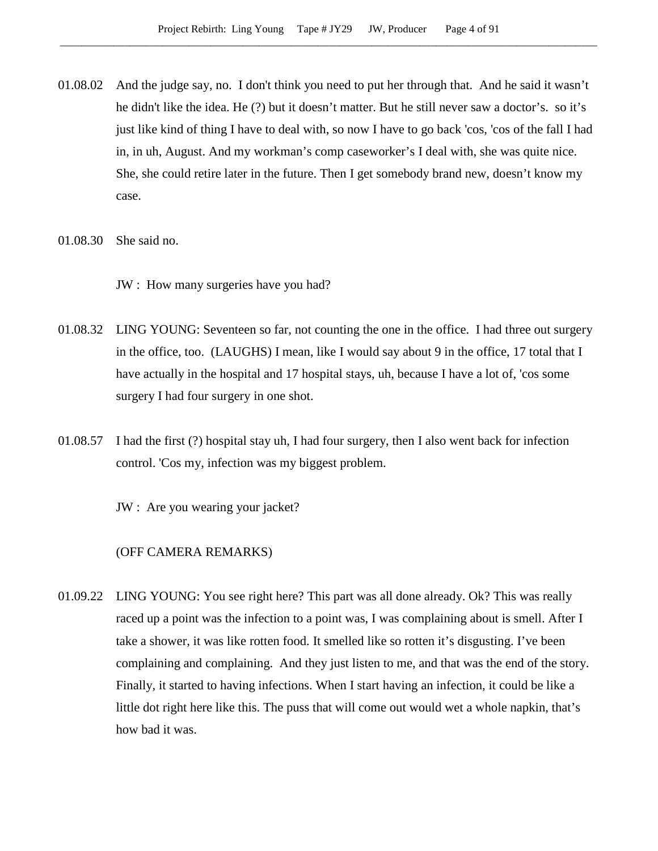- 01.08.02 And the judge say, no. I don't think you need to put her through that. And he said it wasn't he didn't like the idea. He (?) but it doesn't matter. But he still never saw a doctor's. so it's just like kind of thing I have to deal with, so now I have to go back 'cos, 'cos of the fall I had in, in uh, August. And my workman's comp caseworker's I deal with, she was quite nice. She, she could retire later in the future. Then I get somebody brand new, doesn't know my case.
- 01.08.30 She said no.

JW : How many surgeries have you had?

- 01.08.32 LING YOUNG: Seventeen so far, not counting the one in the office. I had three out surgery in the office, too. (LAUGHS) I mean, like I would say about 9 in the office, 17 total that I have actually in the hospital and 17 hospital stays, uh, because I have a lot of, 'cos some surgery I had four surgery in one shot.
- 01.08.57 I had the first (?) hospital stay uh, I had four surgery, then I also went back for infection control. 'Cos my, infection was my biggest problem.

JW : Are you wearing your jacket?

# (OFF CAMERA REMARKS)

01.09.22 LING YOUNG: You see right here? This part was all done already. Ok? This was really raced up a point was the infection to a point was, I was complaining about is smell. After I take a shower, it was like rotten food. It smelled like so rotten it's disgusting. I've been complaining and complaining. And they just listen to me, and that was the end of the story. Finally, it started to having infections. When I start having an infection, it could be like a little dot right here like this. The puss that will come out would wet a whole napkin, that's how bad it was.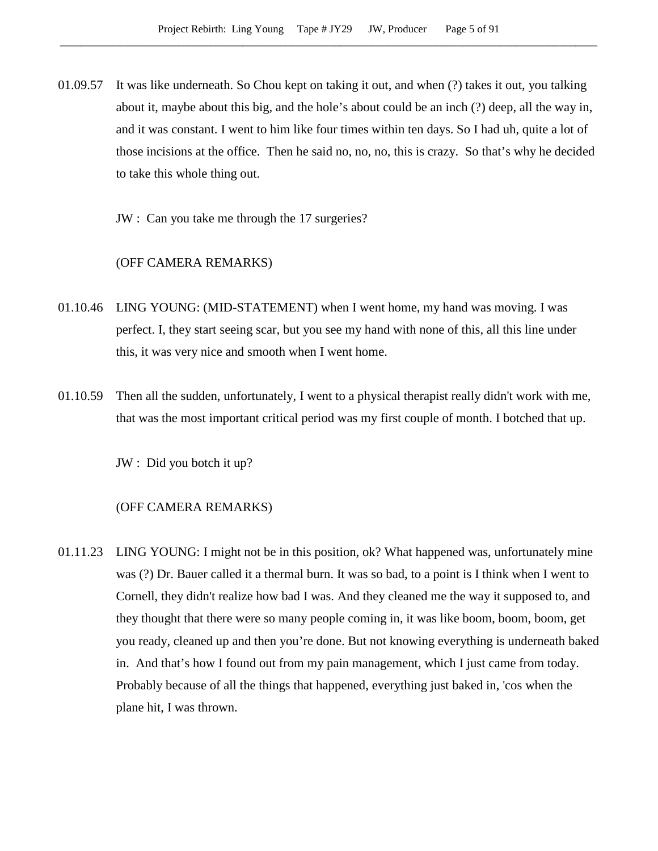01.09.57 It was like underneath. So Chou kept on taking it out, and when (?) takes it out, you talking about it, maybe about this big, and the hole's about could be an inch (?) deep, all the way in, and it was constant. I went to him like four times within ten days. So I had uh, quite a lot of those incisions at the office. Then he said no, no, no, this is crazy. So that's why he decided to take this whole thing out.

JW : Can you take me through the 17 surgeries?

# (OFF CAMERA REMARKS)

- 01.10.46 LING YOUNG: (MID-STATEMENT) when I went home, my hand was moving. I was perfect. I, they start seeing scar, but you see my hand with none of this, all this line under this, it was very nice and smooth when I went home.
- 01.10.59 Then all the sudden, unfortunately, I went to a physical therapist really didn't work with me, that was the most important critical period was my first couple of month. I botched that up.

JW : Did you botch it up?

# (OFF CAMERA REMARKS)

01.11.23 LING YOUNG: I might not be in this position, ok? What happened was, unfortunately mine was (?) Dr. Bauer called it a thermal burn. It was so bad, to a point is I think when I went to Cornell, they didn't realize how bad I was. And they cleaned me the way it supposed to, and they thought that there were so many people coming in, it was like boom, boom, boom, get you ready, cleaned up and then you're done. But not knowing everything is underneath baked in. And that's how I found out from my pain management, which I just came from today. Probably because of all the things that happened, everything just baked in, 'cos when the plane hit, I was thrown.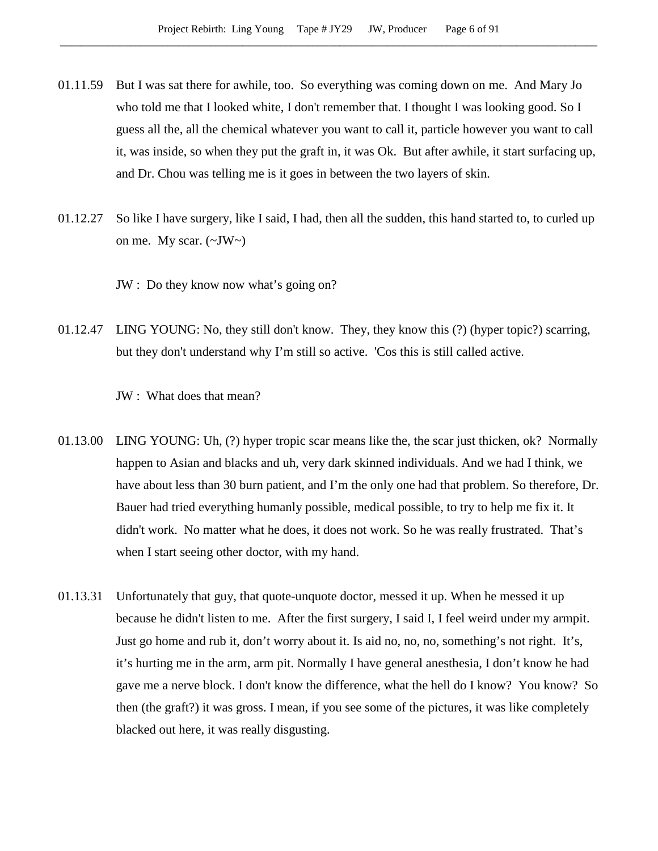- 01.11.59 But I was sat there for awhile, too. So everything was coming down on me. And Mary Jo who told me that I looked white, I don't remember that. I thought I was looking good. So I guess all the, all the chemical whatever you want to call it, particle however you want to call it, was inside, so when they put the graft in, it was Ok. But after awhile, it start surfacing up, and Dr. Chou was telling me is it goes in between the two layers of skin.
- 01.12.27 So like I have surgery, like I said, I had, then all the sudden, this hand started to, to curled up on me. My scar.  $(\sim JW \sim)$

JW : Do they know now what's going on?

01.12.47 LING YOUNG: No, they still don't know. They, they know this (?) (hyper topic?) scarring, but they don't understand why I'm still so active. 'Cos this is still called active.

JW : What does that mean?

- 01.13.00 LING YOUNG: Uh, (?) hyper tropic scar means like the, the scar just thicken, ok? Normally happen to Asian and blacks and uh, very dark skinned individuals. And we had I think, we have about less than 30 burn patient, and I'm the only one had that problem. So therefore, Dr. Bauer had tried everything humanly possible, medical possible, to try to help me fix it. It didn't work. No matter what he does, it does not work. So he was really frustrated. That's when I start seeing other doctor, with my hand.
- 01.13.31 Unfortunately that guy, that quote-unquote doctor, messed it up. When he messed it up because he didn't listen to me. After the first surgery, I said I, I feel weird under my armpit. Just go home and rub it, don't worry about it. Is aid no, no, no, something's not right. It's, it's hurting me in the arm, arm pit. Normally I have general anesthesia, I don't know he had gave me a nerve block. I don't know the difference, what the hell do I know? You know? So then (the graft?) it was gross. I mean, if you see some of the pictures, it was like completely blacked out here, it was really disgusting.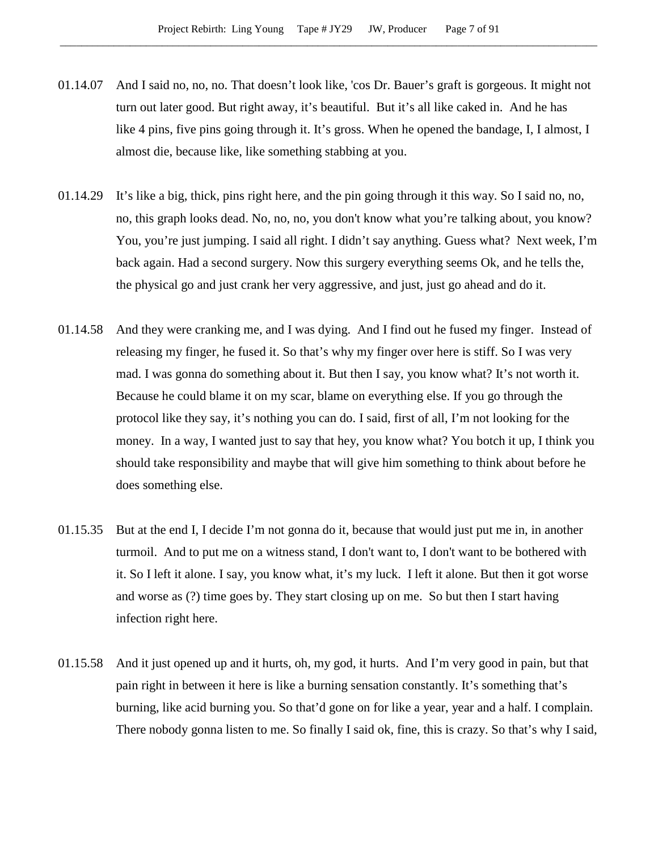- 01.14.07 And I said no, no, no. That doesn't look like, 'cos Dr. Bauer's graft is gorgeous. It might not turn out later good. But right away, it's beautiful. But it's all like caked in. And he has like 4 pins, five pins going through it. It's gross. When he opened the bandage, I, I almost, I almost die, because like, like something stabbing at you.
- 01.14.29 It's like a big, thick, pins right here, and the pin going through it this way. So I said no, no, no, this graph looks dead. No, no, no, you don't know what you're talking about, you know? You, you're just jumping. I said all right. I didn't say anything. Guess what? Next week, I'm back again. Had a second surgery. Now this surgery everything seems Ok, and he tells the, the physical go and just crank her very aggressive, and just, just go ahead and do it.
- 01.14.58 And they were cranking me, and I was dying. And I find out he fused my finger. Instead of releasing my finger, he fused it. So that's why my finger over here is stiff. So I was very mad. I was gonna do something about it. But then I say, you know what? It's not worth it. Because he could blame it on my scar, blame on everything else. If you go through the protocol like they say, it's nothing you can do. I said, first of all, I'm not looking for the money. In a way, I wanted just to say that hey, you know what? You botch it up, I think you should take responsibility and maybe that will give him something to think about before he does something else.
- 01.15.35 But at the end I, I decide I'm not gonna do it, because that would just put me in, in another turmoil. And to put me on a witness stand, I don't want to, I don't want to be bothered with it. So I left it alone. I say, you know what, it's my luck. I left it alone. But then it got worse and worse as (?) time goes by. They start closing up on me. So but then I start having infection right here.
- 01.15.58 And it just opened up and it hurts, oh, my god, it hurts. And I'm very good in pain, but that pain right in between it here is like a burning sensation constantly. It's something that's burning, like acid burning you. So that'd gone on for like a year, year and a half. I complain. There nobody gonna listen to me. So finally I said ok, fine, this is crazy. So that's why I said,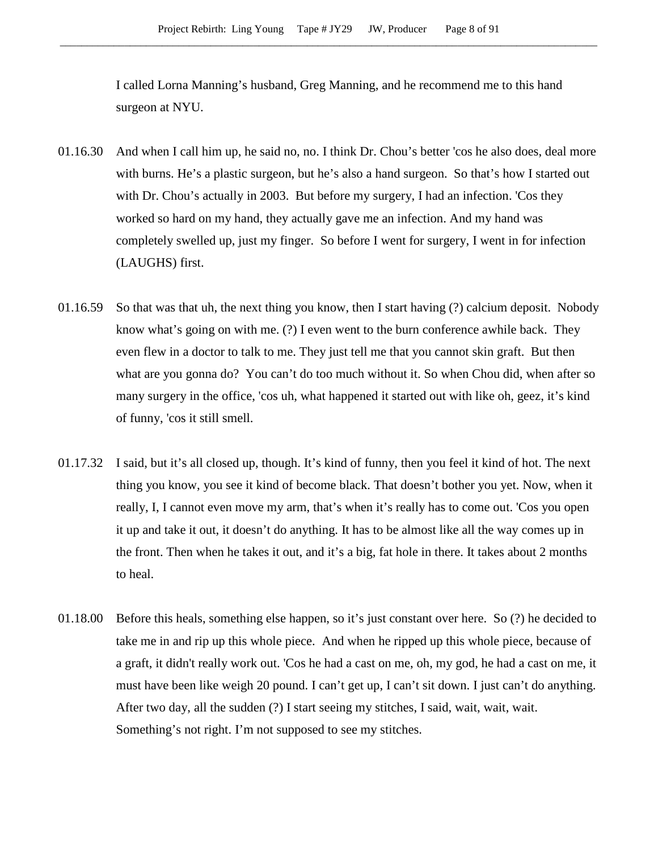I called Lorna Manning's husband, Greg Manning, and he recommend me to this hand surgeon at NYU.

- 01.16.30 And when I call him up, he said no, no. I think Dr. Chou's better 'cos he also does, deal more with burns. He's a plastic surgeon, but he's also a hand surgeon. So that's how I started out with Dr. Chou's actually in 2003. But before my surgery, I had an infection. 'Cos they worked so hard on my hand, they actually gave me an infection. And my hand was completely swelled up, just my finger. So before I went for surgery, I went in for infection (LAUGHS) first.
- 01.16.59 So that was that uh, the next thing you know, then I start having (?) calcium deposit. Nobody know what's going on with me. (?) I even went to the burn conference awhile back. They even flew in a doctor to talk to me. They just tell me that you cannot skin graft. But then what are you gonna do? You can't do too much without it. So when Chou did, when after so many surgery in the office, 'cos uh, what happened it started out with like oh, geez, it's kind of funny, 'cos it still smell.
- 01.17.32 I said, but it's all closed up, though. It's kind of funny, then you feel it kind of hot. The next thing you know, you see it kind of become black. That doesn't bother you yet. Now, when it really, I, I cannot even move my arm, that's when it's really has to come out. 'Cos you open it up and take it out, it doesn't do anything. It has to be almost like all the way comes up in the front. Then when he takes it out, and it's a big, fat hole in there. It takes about 2 months to heal.
- 01.18.00 Before this heals, something else happen, so it's just constant over here. So (?) he decided to take me in and rip up this whole piece. And when he ripped up this whole piece, because of a graft, it didn't really work out. 'Cos he had a cast on me, oh, my god, he had a cast on me, it must have been like weigh 20 pound. I can't get up, I can't sit down. I just can't do anything. After two day, all the sudden (?) I start seeing my stitches, I said, wait, wait, wait. Something's not right. I'm not supposed to see my stitches.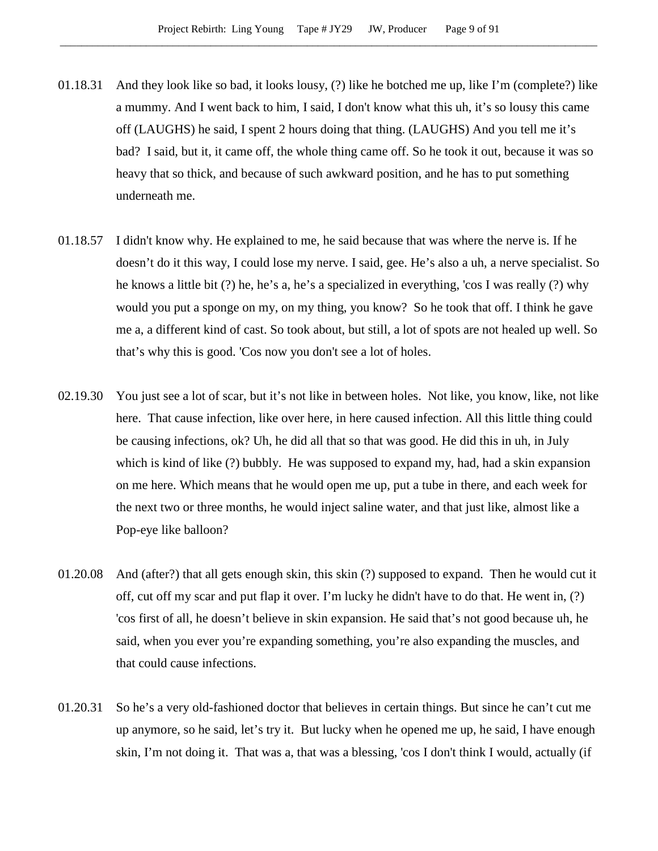- 01.18.31 And they look like so bad, it looks lousy, (?) like he botched me up, like I'm (complete?) like a mummy. And I went back to him, I said, I don't know what this uh, it's so lousy this came off (LAUGHS) he said, I spent 2 hours doing that thing. (LAUGHS) And you tell me it's bad? I said, but it, it came off, the whole thing came off. So he took it out, because it was so heavy that so thick, and because of such awkward position, and he has to put something underneath me.
- 01.18.57 I didn't know why. He explained to me, he said because that was where the nerve is. If he doesn't do it this way, I could lose my nerve. I said, gee. He's also a uh, a nerve specialist. So he knows a little bit (?) he, he's a, he's a specialized in everything, 'cos I was really (?) why would you put a sponge on my, on my thing, you know? So he took that off. I think he gave me a, a different kind of cast. So took about, but still, a lot of spots are not healed up well. So that's why this is good. 'Cos now you don't see a lot of holes.
- 02.19.30 You just see a lot of scar, but it's not like in between holes. Not like, you know, like, not like here. That cause infection, like over here, in here caused infection. All this little thing could be causing infections, ok? Uh, he did all that so that was good. He did this in uh, in July which is kind of like (?) bubbly. He was supposed to expand my, had, had a skin expansion on me here. Which means that he would open me up, put a tube in there, and each week for the next two or three months, he would inject saline water, and that just like, almost like a Pop-eye like balloon?
- 01.20.08 And (after?) that all gets enough skin, this skin (?) supposed to expand. Then he would cut it off, cut off my scar and put flap it over. I'm lucky he didn't have to do that. He went in, (?) 'cos first of all, he doesn't believe in skin expansion. He said that's not good because uh, he said, when you ever you're expanding something, you're also expanding the muscles, and that could cause infections.
- 01.20.31 So he's a very old-fashioned doctor that believes in certain things. But since he can't cut me up anymore, so he said, let's try it. But lucky when he opened me up, he said, I have enough skin, I'm not doing it. That was a, that was a blessing, 'cos I don't think I would, actually (if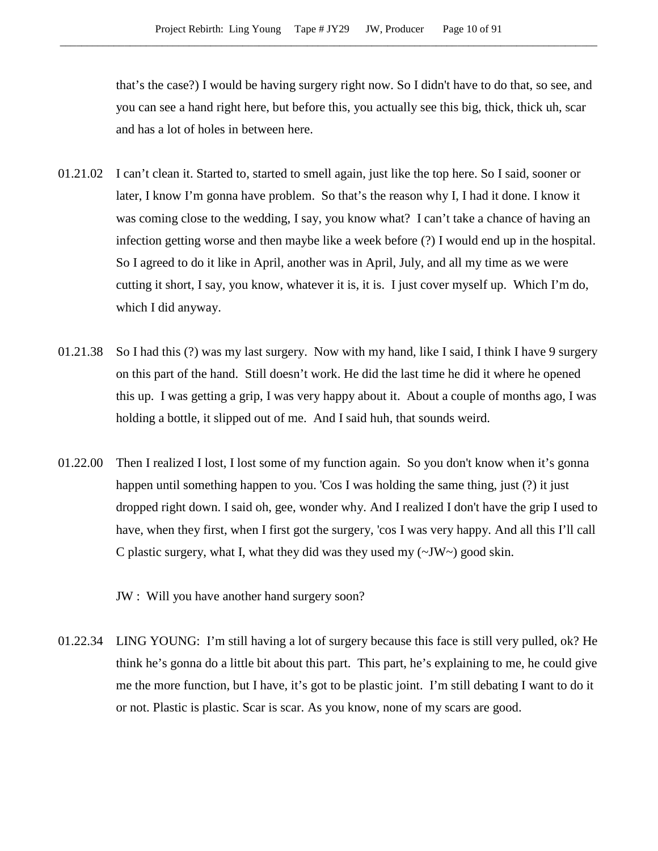that's the case?) I would be having surgery right now. So I didn't have to do that, so see, and you can see a hand right here, but before this, you actually see this big, thick, thick uh, scar and has a lot of holes in between here.

- 01.21.02 I can't clean it. Started to, started to smell again, just like the top here. So I said, sooner or later, I know I'm gonna have problem. So that's the reason why I, I had it done. I know it was coming close to the wedding, I say, you know what? I can't take a chance of having an infection getting worse and then maybe like a week before (?) I would end up in the hospital. So I agreed to do it like in April, another was in April, July, and all my time as we were cutting it short, I say, you know, whatever it is, it is. I just cover myself up. Which I'm do, which I did anyway.
- 01.21.38 So I had this (?) was my last surgery. Now with my hand, like I said, I think I have 9 surgery on this part of the hand. Still doesn't work. He did the last time he did it where he opened this up. I was getting a grip, I was very happy about it. About a couple of months ago, I was holding a bottle, it slipped out of me. And I said huh, that sounds weird.
- 01.22.00 Then I realized I lost, I lost some of my function again. So you don't know when it's gonna happen until something happen to you. 'Cos I was holding the same thing, just (?) it just dropped right down. I said oh, gee, wonder why. And I realized I don't have the grip I used to have, when they first, when I first got the surgery, 'cos I was very happy. And all this I'll call C plastic surgery, what I, what they did was they used my (~JW~) good skin.

JW : Will you have another hand surgery soon?

01.22.34 LING YOUNG: I'm still having a lot of surgery because this face is still very pulled, ok? He think he's gonna do a little bit about this part. This part, he's explaining to me, he could give me the more function, but I have, it's got to be plastic joint. I'm still debating I want to do it or not. Plastic is plastic. Scar is scar. As you know, none of my scars are good.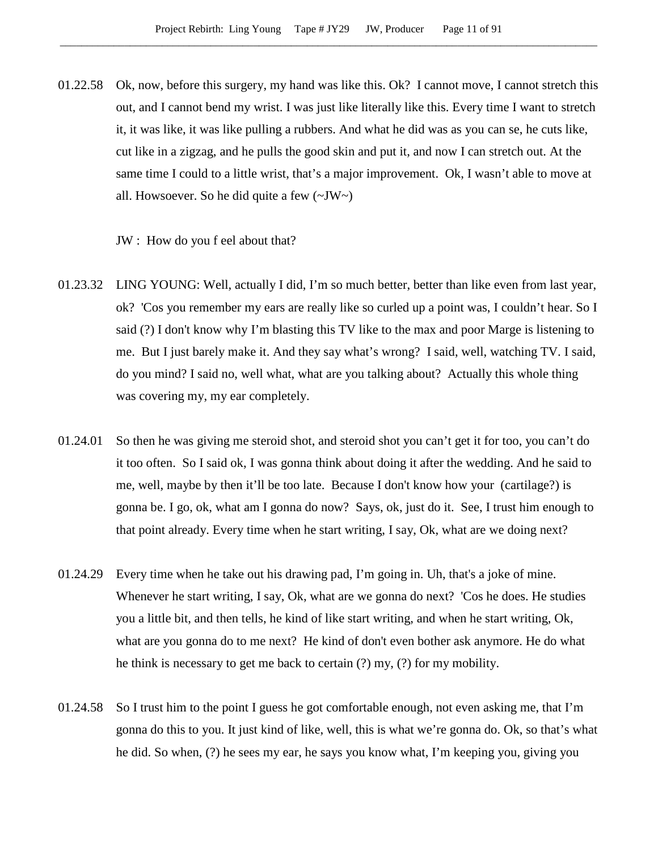01.22.58 Ok, now, before this surgery, my hand was like this. Ok? I cannot move, I cannot stretch this out, and I cannot bend my wrist. I was just like literally like this. Every time I want to stretch it, it was like, it was like pulling a rubbers. And what he did was as you can se, he cuts like, cut like in a zigzag, and he pulls the good skin and put it, and now I can stretch out. At the same time I could to a little wrist, that's a major improvement. Ok, I wasn't able to move at all. Howsoever. So he did quite a few  $(\sim JW)$ 

JW : How do you f eel about that?

- 01.23.32 LING YOUNG: Well, actually I did, I'm so much better, better than like even from last year, ok? 'Cos you remember my ears are really like so curled up a point was, I couldn't hear. So I said (?) I don't know why I'm blasting this TV like to the max and poor Marge is listening to me. But I just barely make it. And they say what's wrong? I said, well, watching TV. I said, do you mind? I said no, well what, what are you talking about? Actually this whole thing was covering my, my ear completely.
- 01.24.01 So then he was giving me steroid shot, and steroid shot you can't get it for too, you can't do it too often. So I said ok, I was gonna think about doing it after the wedding. And he said to me, well, maybe by then it'll be too late. Because I don't know how your (cartilage?) is gonna be. I go, ok, what am I gonna do now? Says, ok, just do it. See, I trust him enough to that point already. Every time when he start writing, I say, Ok, what are we doing next?
- 01.24.29 Every time when he take out his drawing pad, I'm going in. Uh, that's a joke of mine. Whenever he start writing, I say, Ok, what are we gonna do next? 'Cos he does. He studies you a little bit, and then tells, he kind of like start writing, and when he start writing, Ok, what are you gonna do to me next? He kind of don't even bother ask anymore. He do what he think is necessary to get me back to certain (?) my, (?) for my mobility.
- 01.24.58 So I trust him to the point I guess he got comfortable enough, not even asking me, that I'm gonna do this to you. It just kind of like, well, this is what we're gonna do. Ok, so that's what he did. So when, (?) he sees my ear, he says you know what, I'm keeping you, giving you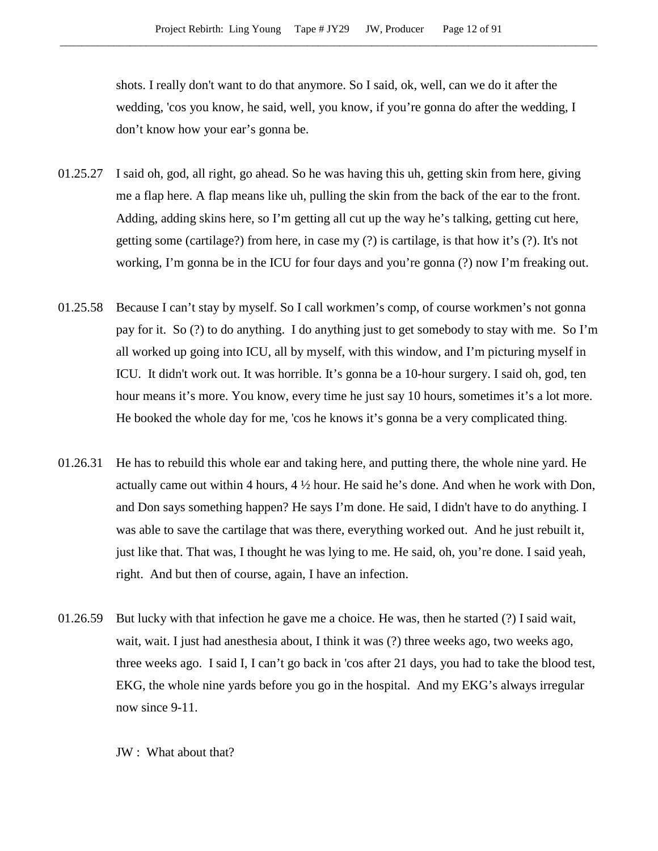shots. I really don't want to do that anymore. So I said, ok, well, can we do it after the wedding, 'cos you know, he said, well, you know, if you're gonna do after the wedding, I don't know how your ear's gonna be.

- 01.25.27 I said oh, god, all right, go ahead. So he was having this uh, getting skin from here, giving me a flap here. A flap means like uh, pulling the skin from the back of the ear to the front. Adding, adding skins here, so I'm getting all cut up the way he's talking, getting cut here, getting some (cartilage?) from here, in case my (?) is cartilage, is that how it's (?). It's not working, I'm gonna be in the ICU for four days and you're gonna (?) now I'm freaking out.
- 01.25.58 Because I can't stay by myself. So I call workmen's comp, of course workmen's not gonna pay for it. So (?) to do anything. I do anything just to get somebody to stay with me. So I'm all worked up going into ICU, all by myself, with this window, and I'm picturing myself in ICU. It didn't work out. It was horrible. It's gonna be a 10-hour surgery. I said oh, god, ten hour means it's more. You know, every time he just say 10 hours, sometimes it's a lot more. He booked the whole day for me, 'cos he knows it's gonna be a very complicated thing.
- 01.26.31 He has to rebuild this whole ear and taking here, and putting there, the whole nine yard. He actually came out within 4 hours, 4 ½ hour. He said he's done. And when he work with Don, and Don says something happen? He says I'm done. He said, I didn't have to do anything. I was able to save the cartilage that was there, everything worked out. And he just rebuilt it, just like that. That was, I thought he was lying to me. He said, oh, you're done. I said yeah, right. And but then of course, again, I have an infection.
- 01.26.59 But lucky with that infection he gave me a choice. He was, then he started (?) I said wait, wait, wait. I just had anesthesia about, I think it was (?) three weeks ago, two weeks ago, three weeks ago. I said I, I can't go back in 'cos after 21 days, you had to take the blood test, EKG, the whole nine yards before you go in the hospital. And my EKG's always irregular now since 9-11.

JW : What about that?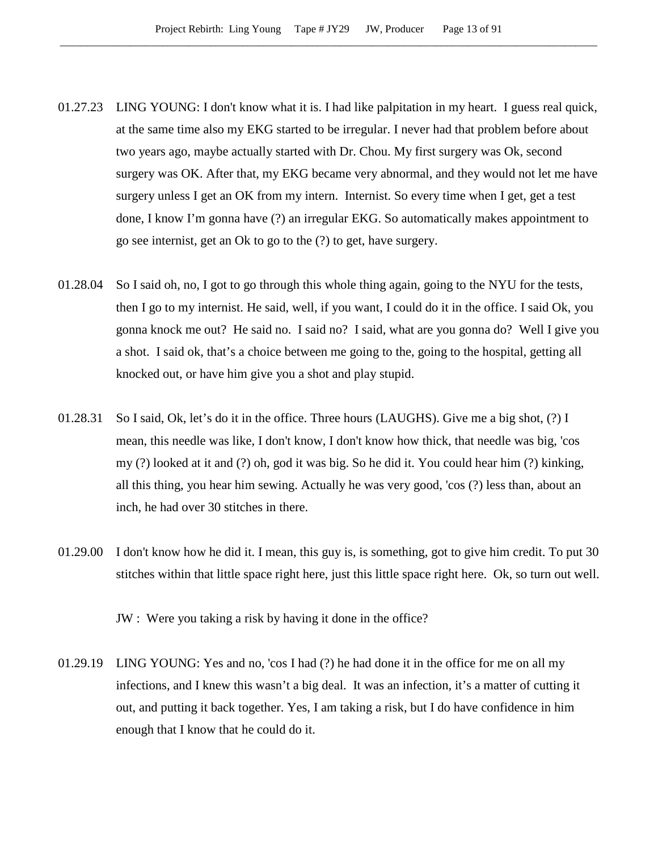- 01.27.23 LING YOUNG: I don't know what it is. I had like palpitation in my heart. I guess real quick, at the same time also my EKG started to be irregular. I never had that problem before about two years ago, maybe actually started with Dr. Chou. My first surgery was Ok, second surgery was OK. After that, my EKG became very abnormal, and they would not let me have surgery unless I get an OK from my intern. Internist. So every time when I get, get a test done, I know I'm gonna have (?) an irregular EKG. So automatically makes appointment to go see internist, get an Ok to go to the (?) to get, have surgery.
- 01.28.04 So I said oh, no, I got to go through this whole thing again, going to the NYU for the tests, then I go to my internist. He said, well, if you want, I could do it in the office. I said Ok, you gonna knock me out? He said no. I said no? I said, what are you gonna do? Well I give you a shot. I said ok, that's a choice between me going to the, going to the hospital, getting all knocked out, or have him give you a shot and play stupid.
- 01.28.31 So I said, Ok, let's do it in the office. Three hours (LAUGHS). Give me a big shot, (?) I mean, this needle was like, I don't know, I don't know how thick, that needle was big, 'cos my (?) looked at it and (?) oh, god it was big. So he did it. You could hear him (?) kinking, all this thing, you hear him sewing. Actually he was very good, 'cos (?) less than, about an inch, he had over 30 stitches in there.
- 01.29.00 I don't know how he did it. I mean, this guy is, is something, got to give him credit. To put 30 stitches within that little space right here, just this little space right here. Ok, so turn out well.

JW : Were you taking a risk by having it done in the office?

01.29.19 LING YOUNG: Yes and no, 'cos I had (?) he had done it in the office for me on all my infections, and I knew this wasn't a big deal. It was an infection, it's a matter of cutting it out, and putting it back together. Yes, I am taking a risk, but I do have confidence in him enough that I know that he could do it.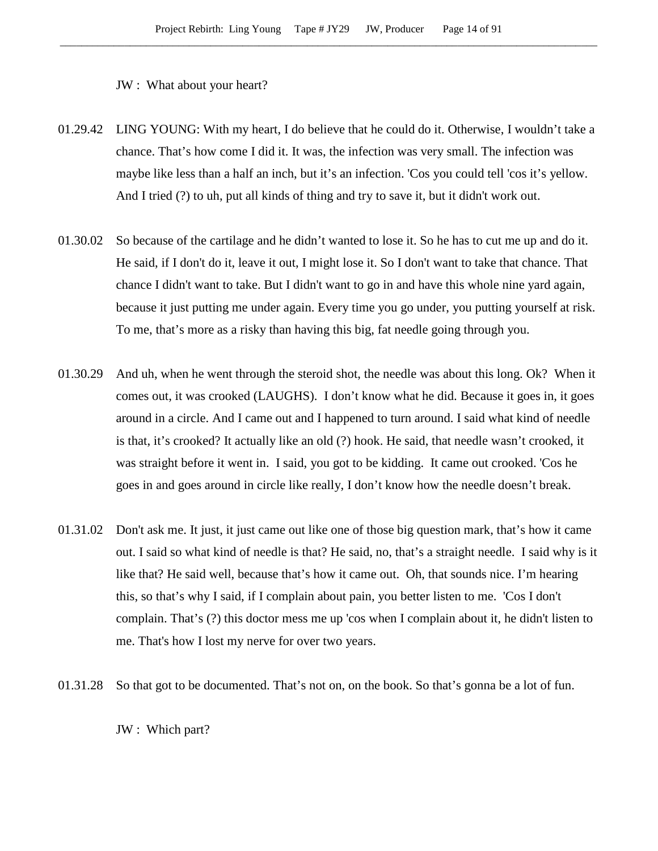JW : What about your heart?

- 01.29.42 LING YOUNG: With my heart, I do believe that he could do it. Otherwise, I wouldn't take a chance. That's how come I did it. It was, the infection was very small. The infection was maybe like less than a half an inch, but it's an infection. 'Cos you could tell 'cos it's yellow. And I tried (?) to uh, put all kinds of thing and try to save it, but it didn't work out.
- 01.30.02 So because of the cartilage and he didn't wanted to lose it. So he has to cut me up and do it. He said, if I don't do it, leave it out, I might lose it. So I don't want to take that chance. That chance I didn't want to take. But I didn't want to go in and have this whole nine yard again, because it just putting me under again. Every time you go under, you putting yourself at risk. To me, that's more as a risky than having this big, fat needle going through you.
- 01.30.29 And uh, when he went through the steroid shot, the needle was about this long. Ok? When it comes out, it was crooked (LAUGHS). I don't know what he did. Because it goes in, it goes around in a circle. And I came out and I happened to turn around. I said what kind of needle is that, it's crooked? It actually like an old (?) hook. He said, that needle wasn't crooked, it was straight before it went in. I said, you got to be kidding. It came out crooked. 'Cos he goes in and goes around in circle like really, I don't know how the needle doesn't break.
- 01.31.02 Don't ask me. It just, it just came out like one of those big question mark, that's how it came out. I said so what kind of needle is that? He said, no, that's a straight needle. I said why is it like that? He said well, because that's how it came out. Oh, that sounds nice. I'm hearing this, so that's why I said, if I complain about pain, you better listen to me. 'Cos I don't complain. That's (?) this doctor mess me up 'cos when I complain about it, he didn't listen to me. That's how I lost my nerve for over two years.
- 01.31.28 So that got to be documented. That's not on, on the book. So that's gonna be a lot of fun.

JW : Which part?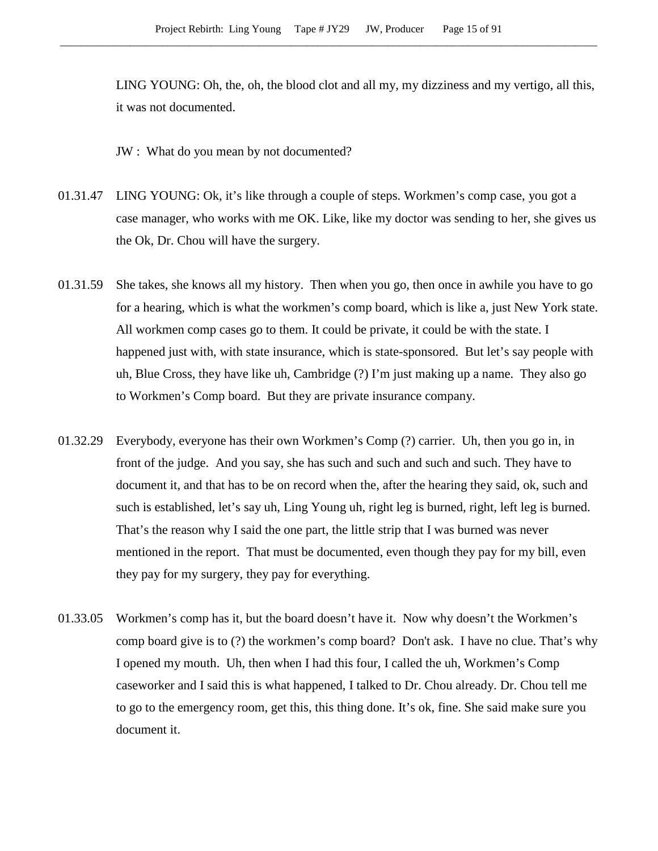LING YOUNG: Oh, the, oh, the blood clot and all my, my dizziness and my vertigo, all this, it was not documented.

JW : What do you mean by not documented?

- 01.31.47 LING YOUNG: Ok, it's like through a couple of steps. Workmen's comp case, you got a case manager, who works with me OK. Like, like my doctor was sending to her, she gives us the Ok, Dr. Chou will have the surgery.
- 01.31.59 She takes, she knows all my history. Then when you go, then once in awhile you have to go for a hearing, which is what the workmen's comp board, which is like a, just New York state. All workmen comp cases go to them. It could be private, it could be with the state. I happened just with, with state insurance, which is state-sponsored. But let's say people with uh, Blue Cross, they have like uh, Cambridge (?) I'm just making up a name. They also go to Workmen's Comp board. But they are private insurance company.
- 01.32.29 Everybody, everyone has their own Workmen's Comp (?) carrier. Uh, then you go in, in front of the judge. And you say, she has such and such and such and such. They have to document it, and that has to be on record when the, after the hearing they said, ok, such and such is established, let's say uh, Ling Young uh, right leg is burned, right, left leg is burned. That's the reason why I said the one part, the little strip that I was burned was never mentioned in the report. That must be documented, even though they pay for my bill, even they pay for my surgery, they pay for everything.
- 01.33.05 Workmen's comp has it, but the board doesn't have it. Now why doesn't the Workmen's comp board give is to (?) the workmen's comp board? Don't ask. I have no clue. That's why I opened my mouth. Uh, then when I had this four, I called the uh, Workmen's Comp caseworker and I said this is what happened, I talked to Dr. Chou already. Dr. Chou tell me to go to the emergency room, get this, this thing done. It's ok, fine. She said make sure you document it.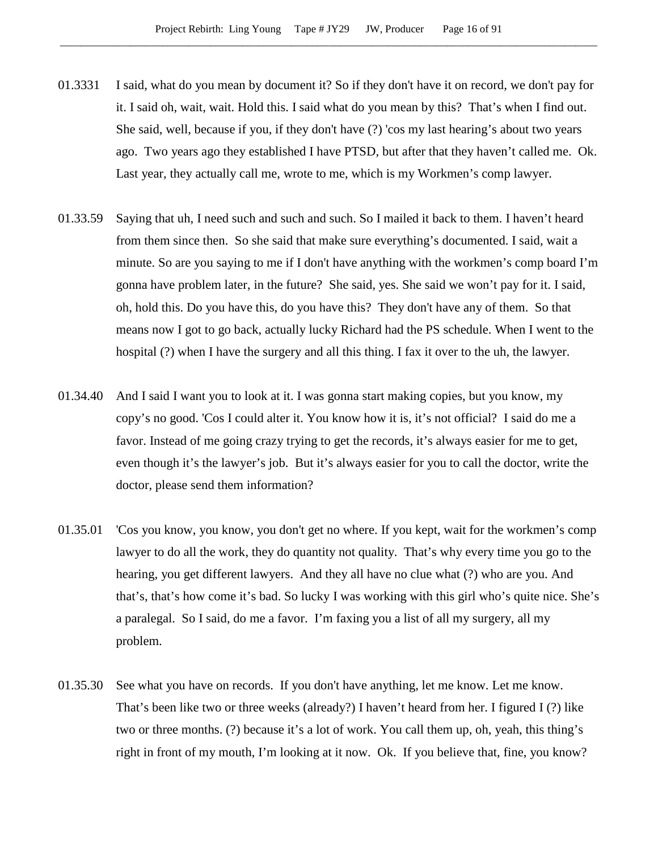- 01.3331 I said, what do you mean by document it? So if they don't have it on record, we don't pay for it. I said oh, wait, wait. Hold this. I said what do you mean by this? That's when I find out. She said, well, because if you, if they don't have (?) 'cos my last hearing's about two years ago. Two years ago they established I have PTSD, but after that they haven't called me. Ok. Last year, they actually call me, wrote to me, which is my Workmen's comp lawyer.
- 01.33.59 Saying that uh, I need such and such and such. So I mailed it back to them. I haven't heard from them since then. So she said that make sure everything's documented. I said, wait a minute. So are you saying to me if I don't have anything with the workmen's comp board I'm gonna have problem later, in the future? She said, yes. She said we won't pay for it. I said, oh, hold this. Do you have this, do you have this? They don't have any of them. So that means now I got to go back, actually lucky Richard had the PS schedule. When I went to the hospital (?) when I have the surgery and all this thing. I fax it over to the uh, the lawyer.
- 01.34.40 And I said I want you to look at it. I was gonna start making copies, but you know, my copy's no good. 'Cos I could alter it. You know how it is, it's not official? I said do me a favor. Instead of me going crazy trying to get the records, it's always easier for me to get, even though it's the lawyer's job. But it's always easier for you to call the doctor, write the doctor, please send them information?
- 01.35.01 'Cos you know, you know, you don't get no where. If you kept, wait for the workmen's comp lawyer to do all the work, they do quantity not quality. That's why every time you go to the hearing, you get different lawyers. And they all have no clue what (?) who are you. And that's, that's how come it's bad. So lucky I was working with this girl who's quite nice. She's a paralegal. So I said, do me a favor. I'm faxing you a list of all my surgery, all my problem.
- 01.35.30 See what you have on records. If you don't have anything, let me know. Let me know. That's been like two or three weeks (already?) I haven't heard from her. I figured I (?) like two or three months. (?) because it's a lot of work. You call them up, oh, yeah, this thing's right in front of my mouth, I'm looking at it now. Ok. If you believe that, fine, you know?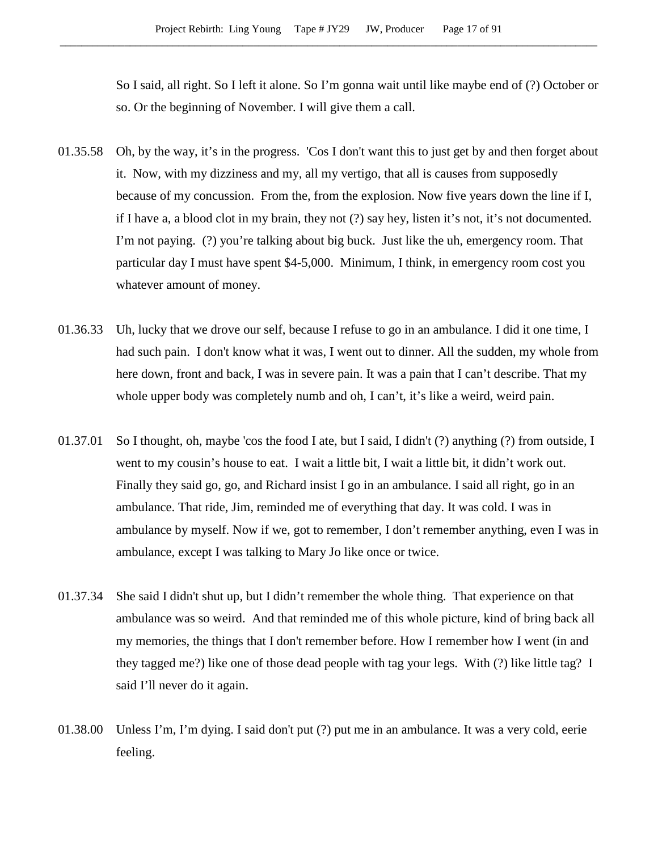So I said, all right. So I left it alone. So I'm gonna wait until like maybe end of (?) October or so. Or the beginning of November. I will give them a call.

- 01.35.58 Oh, by the way, it's in the progress. 'Cos I don't want this to just get by and then forget about it. Now, with my dizziness and my, all my vertigo, that all is causes from supposedly because of my concussion. From the, from the explosion. Now five years down the line if I, if I have a, a blood clot in my brain, they not (?) say hey, listen it's not, it's not documented. I'm not paying. (?) you're talking about big buck. Just like the uh, emergency room. That particular day I must have spent \$4-5,000. Minimum, I think, in emergency room cost you whatever amount of money.
- 01.36.33 Uh, lucky that we drove our self, because I refuse to go in an ambulance. I did it one time, I had such pain. I don't know what it was, I went out to dinner. All the sudden, my whole from here down, front and back, I was in severe pain. It was a pain that I can't describe. That my whole upper body was completely numb and oh, I can't, it's like a weird, weird pain.
- 01.37.01 So I thought, oh, maybe 'cos the food I ate, but I said, I didn't (?) anything (?) from outside, I went to my cousin's house to eat. I wait a little bit, I wait a little bit, it didn't work out. Finally they said go, go, and Richard insist I go in an ambulance. I said all right, go in an ambulance. That ride, Jim, reminded me of everything that day. It was cold. I was in ambulance by myself. Now if we, got to remember, I don't remember anything, even I was in ambulance, except I was talking to Mary Jo like once or twice.
- 01.37.34 She said I didn't shut up, but I didn't remember the whole thing. That experience on that ambulance was so weird. And that reminded me of this whole picture, kind of bring back all my memories, the things that I don't remember before. How I remember how I went (in and they tagged me?) like one of those dead people with tag your legs. With (?) like little tag? I said I'll never do it again.
- 01.38.00 Unless I'm, I'm dying. I said don't put (?) put me in an ambulance. It was a very cold, eerie feeling.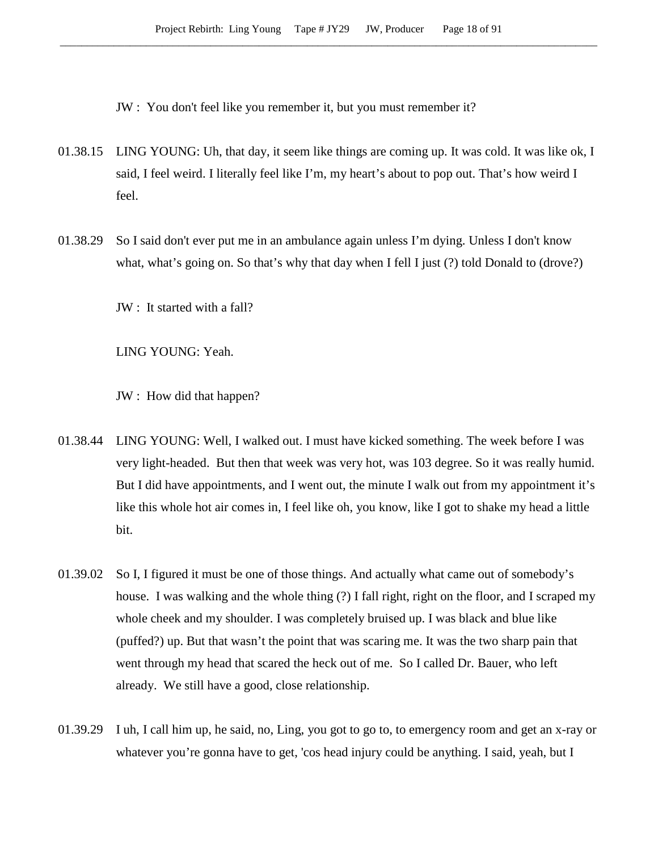JW : You don't feel like you remember it, but you must remember it?

- 01.38.15 LING YOUNG: Uh, that day, it seem like things are coming up. It was cold. It was like ok, I said, I feel weird. I literally feel like I'm, my heart's about to pop out. That's how weird I feel.
- 01.38.29 So I said don't ever put me in an ambulance again unless I'm dying. Unless I don't know what, what's going on. So that's why that day when I fell I just (?) told Donald to (drove?)

JW : It started with a fall?

LING YOUNG: Yeah.

JW : How did that happen?

- 01.38.44 LING YOUNG: Well, I walked out. I must have kicked something. The week before I was very light-headed. But then that week was very hot, was 103 degree. So it was really humid. But I did have appointments, and I went out, the minute I walk out from my appointment it's like this whole hot air comes in, I feel like oh, you know, like I got to shake my head a little bit.
- 01.39.02 So I, I figured it must be one of those things. And actually what came out of somebody's house. I was walking and the whole thing (?) I fall right, right on the floor, and I scraped my whole cheek and my shoulder. I was completely bruised up. I was black and blue like (puffed?) up. But that wasn't the point that was scaring me. It was the two sharp pain that went through my head that scared the heck out of me. So I called Dr. Bauer, who left already. We still have a good, close relationship.
- 01.39.29 I uh, I call him up, he said, no, Ling, you got to go to, to emergency room and get an x-ray or whatever you're gonna have to get, 'cos head injury could be anything. I said, yeah, but I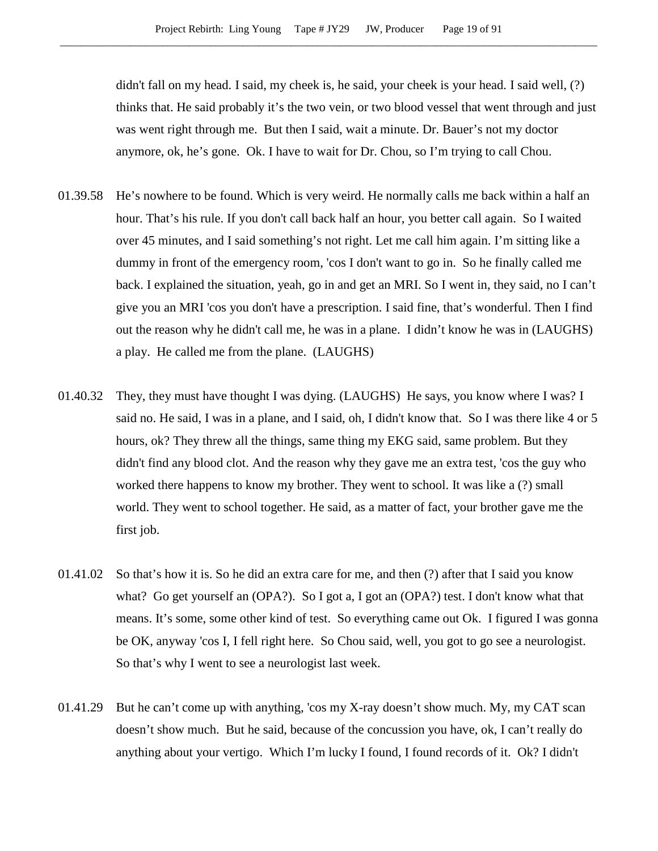didn't fall on my head. I said, my cheek is, he said, your cheek is your head. I said well, (?) thinks that. He said probably it's the two vein, or two blood vessel that went through and just was went right through me. But then I said, wait a minute. Dr. Bauer's not my doctor anymore, ok, he's gone. Ok. I have to wait for Dr. Chou, so I'm trying to call Chou.

- 01.39.58 He's nowhere to be found. Which is very weird. He normally calls me back within a half an hour. That's his rule. If you don't call back half an hour, you better call again. So I waited over 45 minutes, and I said something's not right. Let me call him again. I'm sitting like a dummy in front of the emergency room, 'cos I don't want to go in. So he finally called me back. I explained the situation, yeah, go in and get an MRI. So I went in, they said, no I can't give you an MRI 'cos you don't have a prescription. I said fine, that's wonderful. Then I find out the reason why he didn't call me, he was in a plane. I didn't know he was in (LAUGHS) a play. He called me from the plane. (LAUGHS)
- 01.40.32 They, they must have thought I was dying. (LAUGHS) He says, you know where I was? I said no. He said, I was in a plane, and I said, oh, I didn't know that. So I was there like 4 or 5 hours, ok? They threw all the things, same thing my EKG said, same problem. But they didn't find any blood clot. And the reason why they gave me an extra test, 'cos the guy who worked there happens to know my brother. They went to school. It was like a (?) small world. They went to school together. He said, as a matter of fact, your brother gave me the first job.
- 01.41.02 So that's how it is. So he did an extra care for me, and then (?) after that I said you know what? Go get yourself an (OPA?). So I got a, I got an (OPA?) test. I don't know what that means. It's some, some other kind of test. So everything came out Ok. I figured I was gonna be OK, anyway 'cos I, I fell right here. So Chou said, well, you got to go see a neurologist. So that's why I went to see a neurologist last week.
- 01.41.29 But he can't come up with anything, 'cos my X-ray doesn't show much. My, my CAT scan doesn't show much. But he said, because of the concussion you have, ok, I can't really do anything about your vertigo. Which I'm lucky I found, I found records of it. Ok? I didn't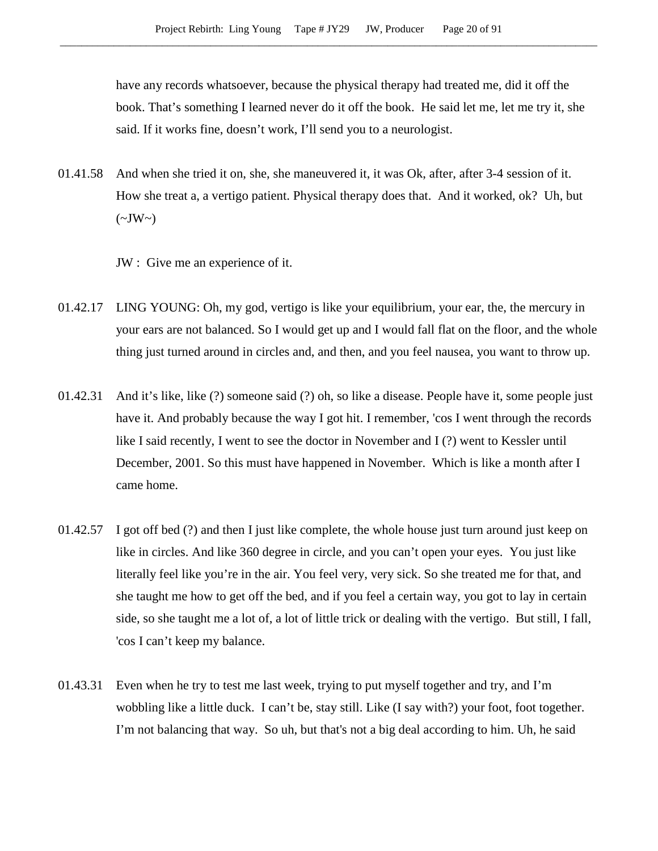have any records whatsoever, because the physical therapy had treated me, did it off the book. That's something I learned never do it off the book. He said let me, let me try it, she said. If it works fine, doesn't work, I'll send you to a neurologist.

01.41.58 And when she tried it on, she, she maneuvered it, it was Ok, after, after 3-4 session of it. How she treat a, a vertigo patient. Physical therapy does that. And it worked, ok? Uh, but  $(\sim JW \sim)$ 

JW : Give me an experience of it.

- 01.42.17 LING YOUNG: Oh, my god, vertigo is like your equilibrium, your ear, the, the mercury in your ears are not balanced. So I would get up and I would fall flat on the floor, and the whole thing just turned around in circles and, and then, and you feel nausea, you want to throw up.
- 01.42.31 And it's like, like (?) someone said (?) oh, so like a disease. People have it, some people just have it. And probably because the way I got hit. I remember, 'cos I went through the records like I said recently, I went to see the doctor in November and I (?) went to Kessler until December, 2001. So this must have happened in November. Which is like a month after I came home.
- 01.42.57 I got off bed (?) and then I just like complete, the whole house just turn around just keep on like in circles. And like 360 degree in circle, and you can't open your eyes. You just like literally feel like you're in the air. You feel very, very sick. So she treated me for that, and she taught me how to get off the bed, and if you feel a certain way, you got to lay in certain side, so she taught me a lot of, a lot of little trick or dealing with the vertigo. But still, I fall, 'cos I can't keep my balance.
- 01.43.31 Even when he try to test me last week, trying to put myself together and try, and I'm wobbling like a little duck. I can't be, stay still. Like (I say with?) your foot, foot together. I'm not balancing that way. So uh, but that's not a big deal according to him. Uh, he said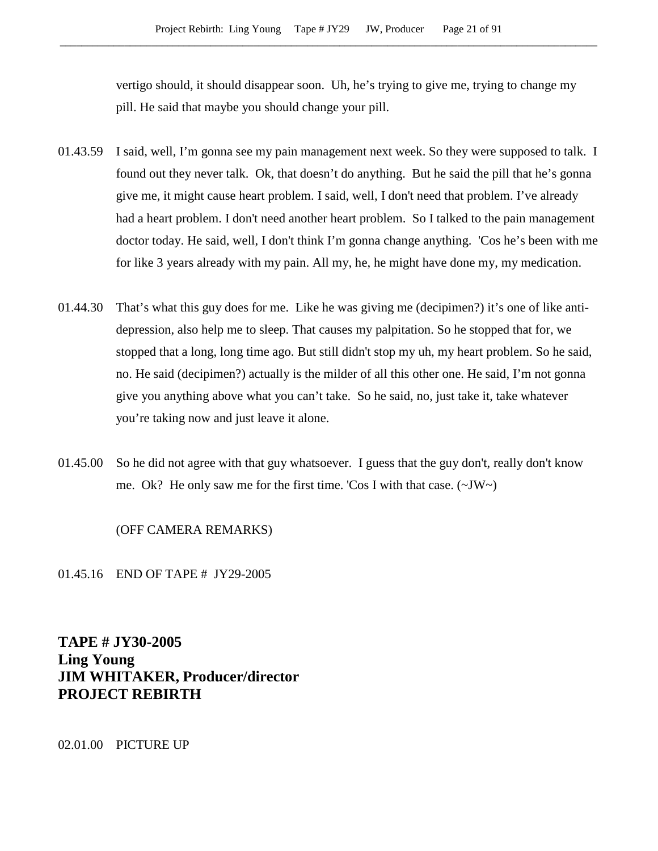vertigo should, it should disappear soon. Uh, he's trying to give me, trying to change my pill. He said that maybe you should change your pill.

- 01.43.59 I said, well, I'm gonna see my pain management next week. So they were supposed to talk. I found out they never talk. Ok, that doesn't do anything. But he said the pill that he's gonna give me, it might cause heart problem. I said, well, I don't need that problem. I've already had a heart problem. I don't need another heart problem. So I talked to the pain management doctor today. He said, well, I don't think I'm gonna change anything. 'Cos he's been with me for like 3 years already with my pain. All my, he, he might have done my, my medication.
- 01.44.30 That's what this guy does for me. Like he was giving me (decipimen?) it's one of like antidepression, also help me to sleep. That causes my palpitation. So he stopped that for, we stopped that a long, long time ago. But still didn't stop my uh, my heart problem. So he said, no. He said (decipimen?) actually is the milder of all this other one. He said, I'm not gonna give you anything above what you can't take. So he said, no, just take it, take whatever you're taking now and just leave it alone.
- 01.45.00 So he did not agree with that guy whatsoever. I guess that the guy don't, really don't know me. Ok? He only saw me for the first time. 'Cos I with that case.  $(\sim JW)$

(OFF CAMERA REMARKS)

01.45.16 END OF TAPE # JY29-2005

**TAPE # JY30-2005 Ling Young JIM WHITAKER, Producer/director PROJECT REBIRTH**

02.01.00 PICTURE UP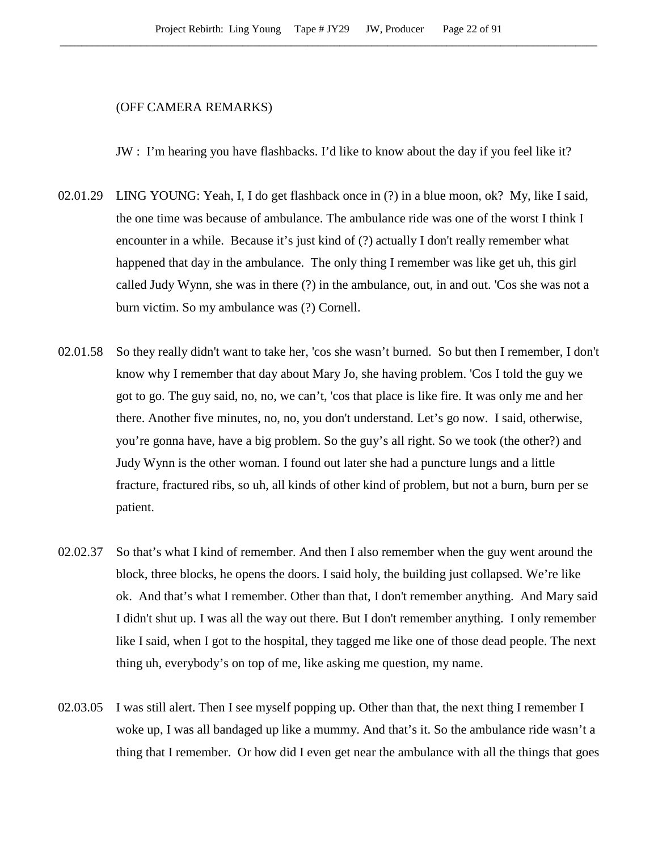## (OFF CAMERA REMARKS)

JW : I'm hearing you have flashbacks. I'd like to know about the day if you feel like it?

- 02.01.29 LING YOUNG: Yeah, I, I do get flashback once in (?) in a blue moon, ok? My, like I said, the one time was because of ambulance. The ambulance ride was one of the worst I think I encounter in a while. Because it's just kind of (?) actually I don't really remember what happened that day in the ambulance. The only thing I remember was like get uh, this girl called Judy Wynn, she was in there (?) in the ambulance, out, in and out. 'Cos she was not a burn victim. So my ambulance was (?) Cornell.
- 02.01.58 So they really didn't want to take her, 'cos she wasn't burned. So but then I remember, I don't know why I remember that day about Mary Jo, she having problem. 'Cos I told the guy we got to go. The guy said, no, no, we can't, 'cos that place is like fire. It was only me and her there. Another five minutes, no, no, you don't understand. Let's go now. I said, otherwise, you're gonna have, have a big problem. So the guy's all right. So we took (the other?) and Judy Wynn is the other woman. I found out later she had a puncture lungs and a little fracture, fractured ribs, so uh, all kinds of other kind of problem, but not a burn, burn per se patient.
- 02.02.37 So that's what I kind of remember. And then I also remember when the guy went around the block, three blocks, he opens the doors. I said holy, the building just collapsed. We're like ok. And that's what I remember. Other than that, I don't remember anything. And Mary said I didn't shut up. I was all the way out there. But I don't remember anything. I only remember like I said, when I got to the hospital, they tagged me like one of those dead people. The next thing uh, everybody's on top of me, like asking me question, my name.
- 02.03.05 I was still alert. Then I see myself popping up. Other than that, the next thing I remember I woke up, I was all bandaged up like a mummy. And that's it. So the ambulance ride wasn't a thing that I remember. Or how did I even get near the ambulance with all the things that goes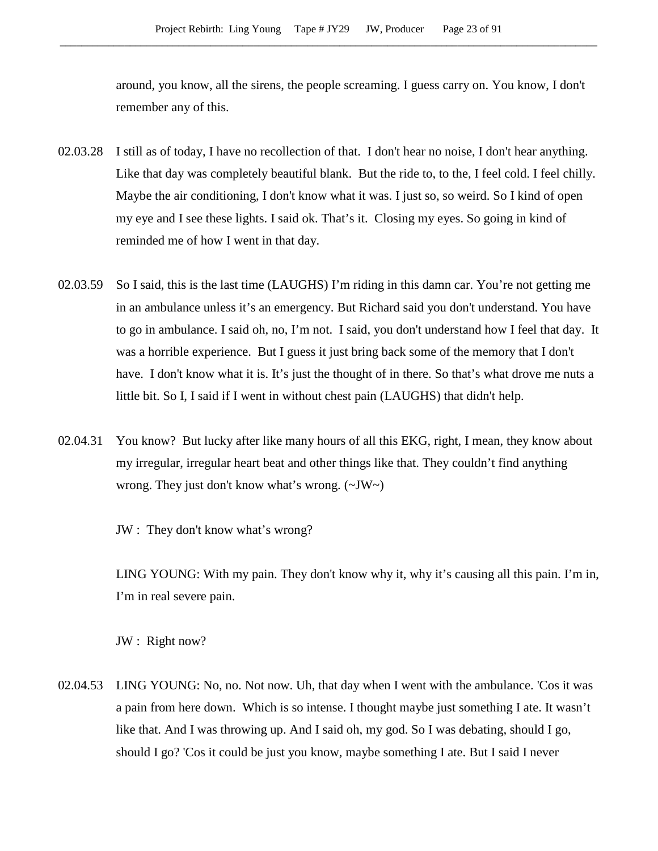around, you know, all the sirens, the people screaming. I guess carry on. You know, I don't remember any of this.

- 02.03.28 I still as of today, I have no recollection of that. I don't hear no noise, I don't hear anything. Like that day was completely beautiful blank. But the ride to, to the, I feel cold. I feel chilly. Maybe the air conditioning, I don't know what it was. I just so, so weird. So I kind of open my eye and I see these lights. I said ok. That's it. Closing my eyes. So going in kind of reminded me of how I went in that day.
- 02.03.59 So I said, this is the last time (LAUGHS) I'm riding in this damn car. You're not getting me in an ambulance unless it's an emergency. But Richard said you don't understand. You have to go in ambulance. I said oh, no, I'm not. I said, you don't understand how I feel that day. It was a horrible experience. But I guess it just bring back some of the memory that I don't have. I don't know what it is. It's just the thought of in there. So that's what drove me nuts a little bit. So I, I said if I went in without chest pain (LAUGHS) that didn't help.
- 02.04.31 You know? But lucky after like many hours of all this EKG, right, I mean, they know about my irregular, irregular heart beat and other things like that. They couldn't find anything wrong. They just don't know what's wrong. (~JW~)

JW : They don't know what's wrong?

LING YOUNG: With my pain. They don't know why it, why it's causing all this pain. I'm in, I'm in real severe pain.

JW : Right now?

02.04.53 LING YOUNG: No, no. Not now. Uh, that day when I went with the ambulance. 'Cos it was a pain from here down. Which is so intense. I thought maybe just something I ate. It wasn't like that. And I was throwing up. And I said oh, my god. So I was debating, should I go, should I go? 'Cos it could be just you know, maybe something I ate. But I said I never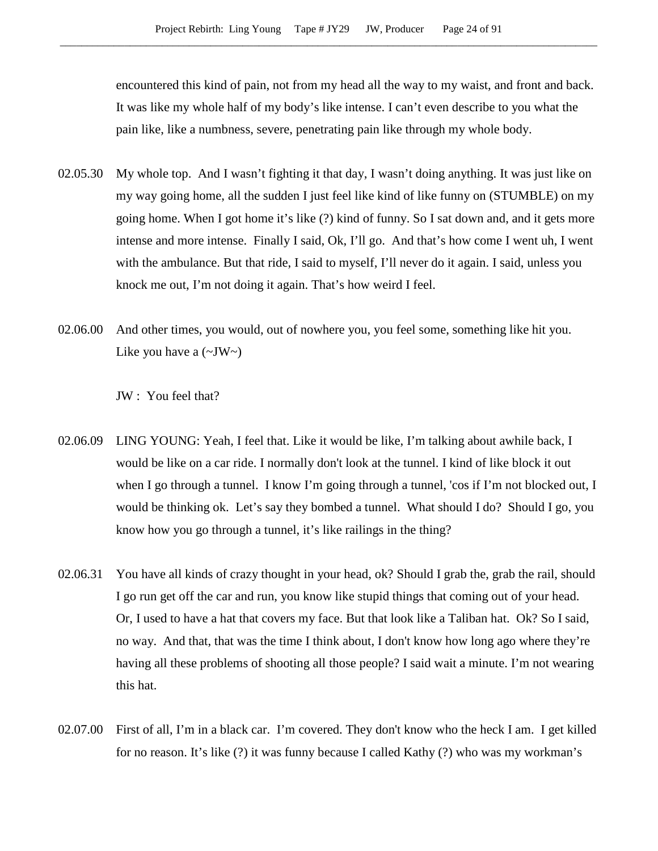encountered this kind of pain, not from my head all the way to my waist, and front and back. It was like my whole half of my body's like intense. I can't even describe to you what the pain like, like a numbness, severe, penetrating pain like through my whole body.

- 02.05.30 My whole top. And I wasn't fighting it that day, I wasn't doing anything. It was just like on my way going home, all the sudden I just feel like kind of like funny on (STUMBLE) on my going home. When I got home it's like (?) kind of funny. So I sat down and, and it gets more intense and more intense. Finally I said, Ok, I'll go. And that's how come I went uh, I went with the ambulance. But that ride, I said to myself, I'll never do it again. I said, unless you knock me out, I'm not doing it again. That's how weird I feel.
- 02.06.00 And other times, you would, out of nowhere you, you feel some, something like hit you. Like you have a  $(\sim JW)$

JW : You feel that?

- 02.06.09 LING YOUNG: Yeah, I feel that. Like it would be like, I'm talking about awhile back, I would be like on a car ride. I normally don't look at the tunnel. I kind of like block it out when I go through a tunnel. I know I'm going through a tunnel, 'cos if I'm not blocked out, I would be thinking ok. Let's say they bombed a tunnel. What should I do? Should I go, you know how you go through a tunnel, it's like railings in the thing?
- 02.06.31 You have all kinds of crazy thought in your head, ok? Should I grab the, grab the rail, should I go run get off the car and run, you know like stupid things that coming out of your head. Or, I used to have a hat that covers my face. But that look like a Taliban hat. Ok? So I said, no way. And that, that was the time I think about, I don't know how long ago where they're having all these problems of shooting all those people? I said wait a minute. I'm not wearing this hat.
- 02.07.00 First of all, I'm in a black car. I'm covered. They don't know who the heck I am. I get killed for no reason. It's like (?) it was funny because I called Kathy (?) who was my workman's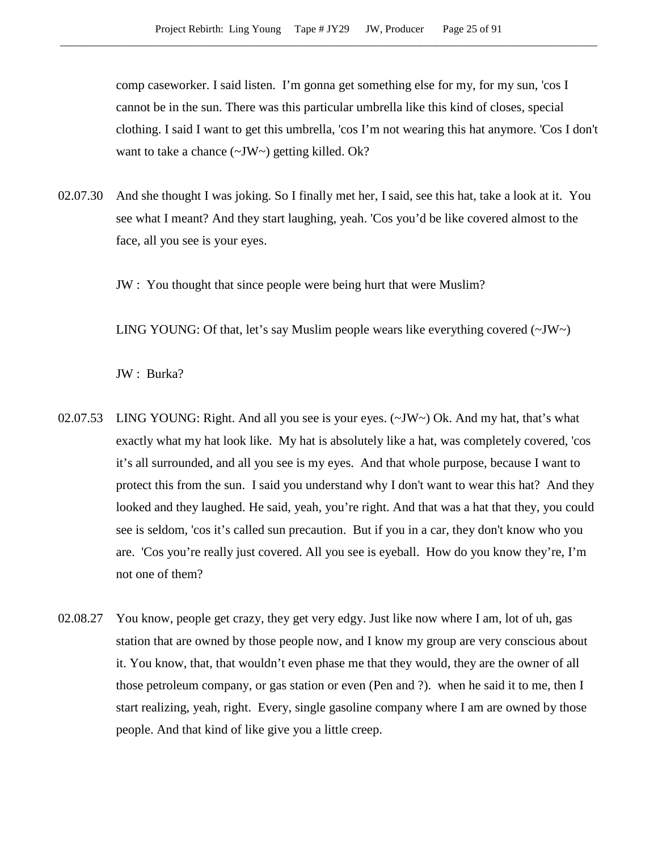comp caseworker. I said listen. I'm gonna get something else for my, for my sun, 'cos I cannot be in the sun. There was this particular umbrella like this kind of closes, special clothing. I said I want to get this umbrella, 'cos I'm not wearing this hat anymore. 'Cos I don't want to take a chance (~JW~) getting killed. Ok?

02.07.30 And she thought I was joking. So I finally met her, I said, see this hat, take a look at it. You see what I meant? And they start laughing, yeah. 'Cos you'd be like covered almost to the face, all you see is your eyes.

JW : You thought that since people were being hurt that were Muslim?

LING YOUNG: Of that, let's say Muslim people wears like everything covered  $(\sim JW)$ .

JW : Burka?

- 02.07.53 LING YOUNG: Right. And all you see is your eyes.  $(\sim JW \sim)$  Ok. And my hat, that's what exactly what my hat look like. My hat is absolutely like a hat, was completely covered, 'cos it's all surrounded, and all you see is my eyes. And that whole purpose, because I want to protect this from the sun. I said you understand why I don't want to wear this hat? And they looked and they laughed. He said, yeah, you're right. And that was a hat that they, you could see is seldom, 'cos it's called sun precaution. But if you in a car, they don't know who you are. 'Cos you're really just covered. All you see is eyeball. How do you know they're, I'm not one of them?
- 02.08.27 You know, people get crazy, they get very edgy. Just like now where I am, lot of uh, gas station that are owned by those people now, and I know my group are very conscious about it. You know, that, that wouldn't even phase me that they would, they are the owner of all those petroleum company, or gas station or even (Pen and ?). when he said it to me, then I start realizing, yeah, right. Every, single gasoline company where I am are owned by those people. And that kind of like give you a little creep.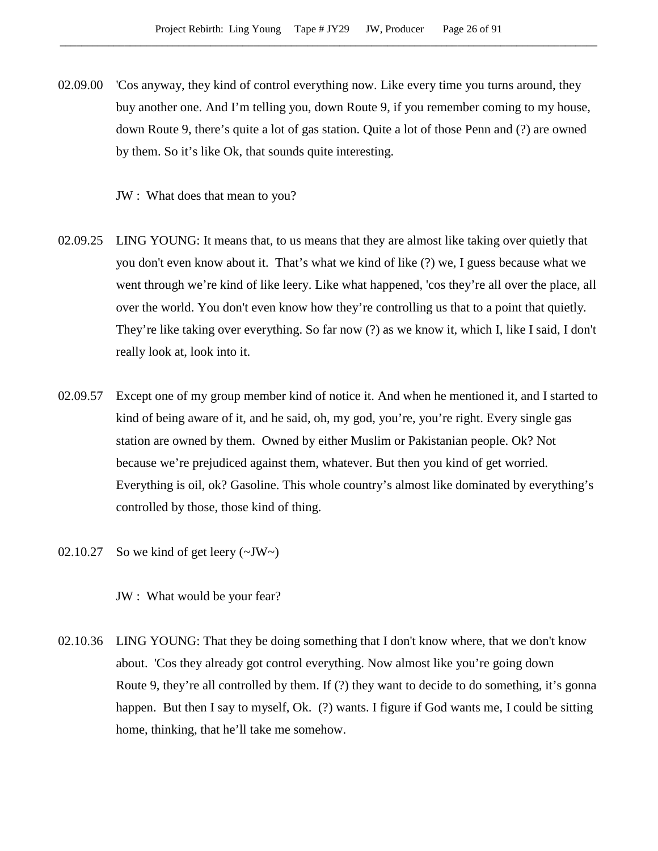02.09.00 'Cos anyway, they kind of control everything now. Like every time you turns around, they buy another one. And I'm telling you, down Route 9, if you remember coming to my house, down Route 9, there's quite a lot of gas station. Quite a lot of those Penn and (?) are owned by them. So it's like Ok, that sounds quite interesting.

JW : What does that mean to you?

- 02.09.25 LING YOUNG: It means that, to us means that they are almost like taking over quietly that you don't even know about it. That's what we kind of like (?) we, I guess because what we went through we're kind of like leery. Like what happened, 'cos they're all over the place, all over the world. You don't even know how they're controlling us that to a point that quietly. They're like taking over everything. So far now (?) as we know it, which I, like I said, I don't really look at, look into it.
- 02.09.57 Except one of my group member kind of notice it. And when he mentioned it, and I started to kind of being aware of it, and he said, oh, my god, you're, you're right. Every single gas station are owned by them. Owned by either Muslim or Pakistanian people. Ok? Not because we're prejudiced against them, whatever. But then you kind of get worried. Everything is oil, ok? Gasoline. This whole country's almost like dominated by everything's controlled by those, those kind of thing.
- 02.10.27 So we kind of get leery  $(\sim JW)$

JW : What would be your fear?

02.10.36 LING YOUNG: That they be doing something that I don't know where, that we don't know about. 'Cos they already got control everything. Now almost like you're going down Route 9, they're all controlled by them. If (?) they want to decide to do something, it's gonna happen. But then I say to myself, Ok. (?) wants. I figure if God wants me, I could be sitting home, thinking, that he'll take me somehow.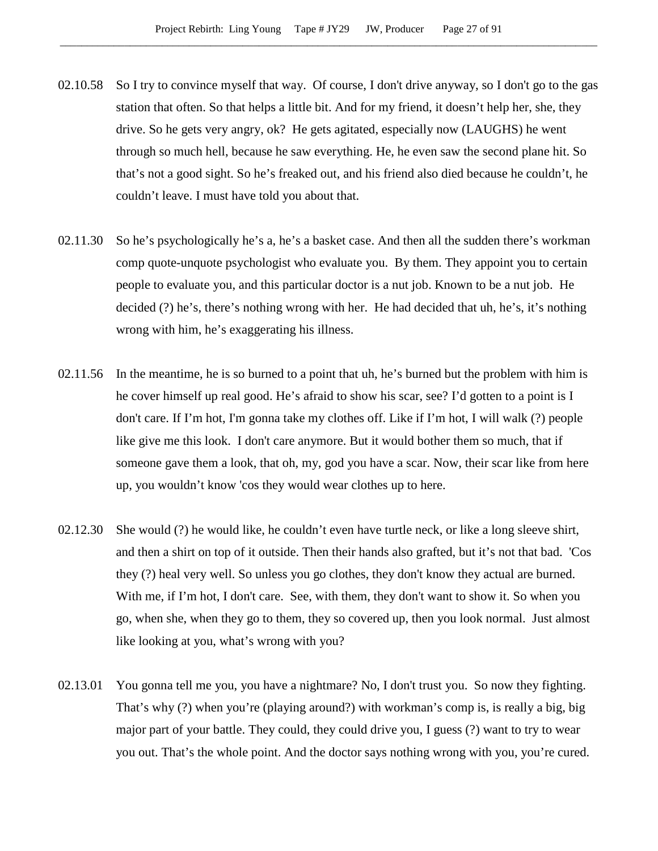- 02.10.58 So I try to convince myself that way. Of course, I don't drive anyway, so I don't go to the gas station that often. So that helps a little bit. And for my friend, it doesn't help her, she, they drive. So he gets very angry, ok? He gets agitated, especially now (LAUGHS) he went through so much hell, because he saw everything. He, he even saw the second plane hit. So that's not a good sight. So he's freaked out, and his friend also died because he couldn't, he couldn't leave. I must have told you about that.
- 02.11.30 So he's psychologically he's a, he's a basket case. And then all the sudden there's workman comp quote-unquote psychologist who evaluate you. By them. They appoint you to certain people to evaluate you, and this particular doctor is a nut job. Known to be a nut job. He decided (?) he's, there's nothing wrong with her. He had decided that uh, he's, it's nothing wrong with him, he's exaggerating his illness.
- 02.11.56 In the meantime, he is so burned to a point that uh, he's burned but the problem with him is he cover himself up real good. He's afraid to show his scar, see? I'd gotten to a point is I don't care. If I'm hot, I'm gonna take my clothes off. Like if I'm hot, I will walk (?) people like give me this look. I don't care anymore. But it would bother them so much, that if someone gave them a look, that oh, my, god you have a scar. Now, their scar like from here up, you wouldn't know 'cos they would wear clothes up to here.
- 02.12.30 She would (?) he would like, he couldn't even have turtle neck, or like a long sleeve shirt, and then a shirt on top of it outside. Then their hands also grafted, but it's not that bad. 'Cos they (?) heal very well. So unless you go clothes, they don't know they actual are burned. With me, if I'm hot, I don't care. See, with them, they don't want to show it. So when you go, when she, when they go to them, they so covered up, then you look normal. Just almost like looking at you, what's wrong with you?
- 02.13.01 You gonna tell me you, you have a nightmare? No, I don't trust you. So now they fighting. That's why (?) when you're (playing around?) with workman's comp is, is really a big, big major part of your battle. They could, they could drive you, I guess (?) want to try to wear you out. That's the whole point. And the doctor says nothing wrong with you, you're cured.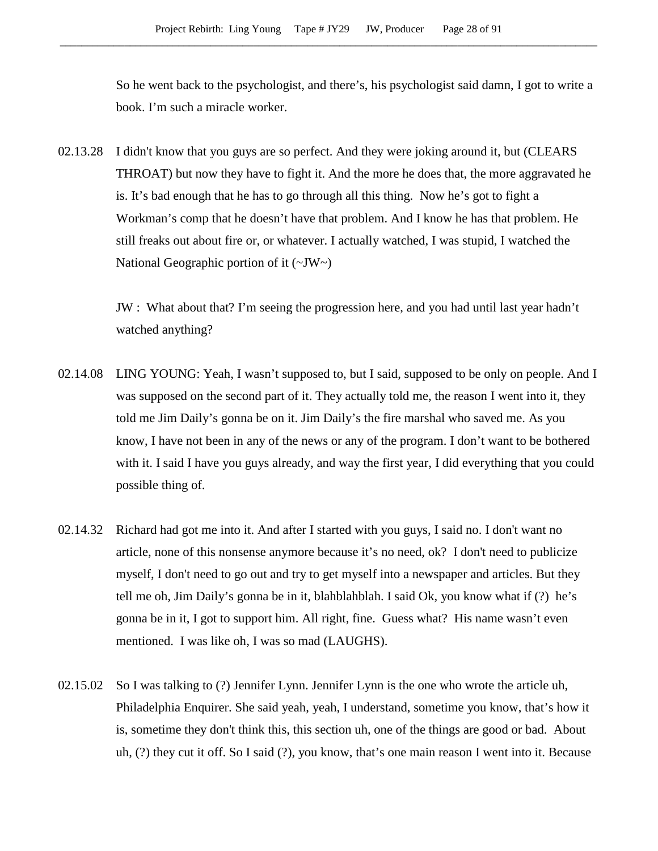So he went back to the psychologist, and there's, his psychologist said damn, I got to write a book. I'm such a miracle worker.

02.13.28 I didn't know that you guys are so perfect. And they were joking around it, but (CLEARS THROAT) but now they have to fight it. And the more he does that, the more aggravated he is. It's bad enough that he has to go through all this thing. Now he's got to fight a Workman's comp that he doesn't have that problem. And I know he has that problem. He still freaks out about fire or, or whatever. I actually watched, I was stupid, I watched the National Geographic portion of it (~JW~)

> JW : What about that? I'm seeing the progression here, and you had until last year hadn't watched anything?

- 02.14.08 LING YOUNG: Yeah, I wasn't supposed to, but I said, supposed to be only on people. And I was supposed on the second part of it. They actually told me, the reason I went into it, they told me Jim Daily's gonna be on it. Jim Daily's the fire marshal who saved me. As you know, I have not been in any of the news or any of the program. I don't want to be bothered with it. I said I have you guys already, and way the first year, I did everything that you could possible thing of.
- 02.14.32 Richard had got me into it. And after I started with you guys, I said no. I don't want no article, none of this nonsense anymore because it's no need, ok? I don't need to publicize myself, I don't need to go out and try to get myself into a newspaper and articles. But they tell me oh, Jim Daily's gonna be in it, blahblahblah. I said Ok, you know what if (?) he's gonna be in it, I got to support him. All right, fine. Guess what? His name wasn't even mentioned. I was like oh, I was so mad (LAUGHS).
- 02.15.02 So I was talking to (?) Jennifer Lynn. Jennifer Lynn is the one who wrote the article uh, Philadelphia Enquirer. She said yeah, yeah, I understand, sometime you know, that's how it is, sometime they don't think this, this section uh, one of the things are good or bad. About uh, (?) they cut it off. So I said (?), you know, that's one main reason I went into it. Because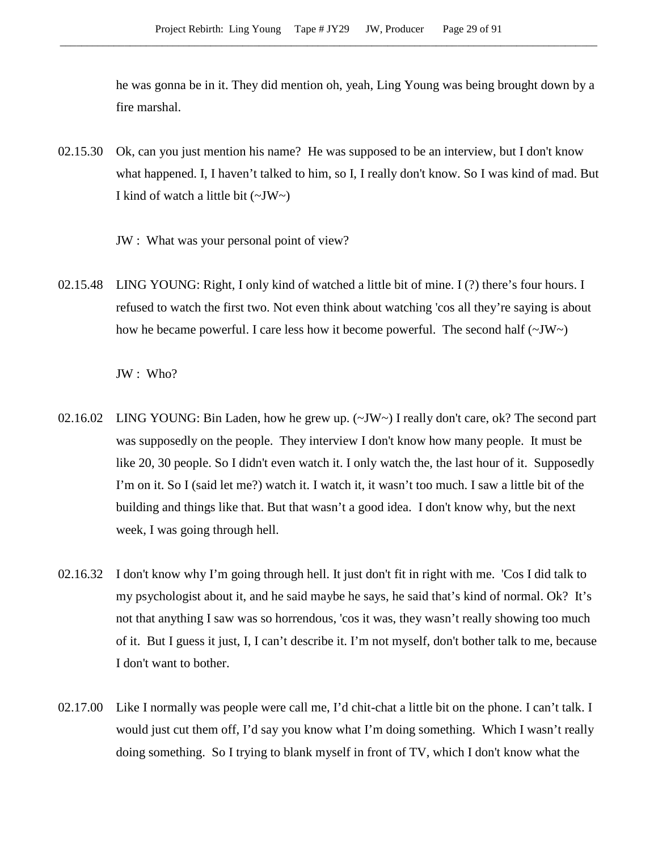he was gonna be in it. They did mention oh, yeah, Ling Young was being brought down by a fire marshal.

- 02.15.30 Ok, can you just mention his name? He was supposed to be an interview, but I don't know what happened. I, I haven't talked to him, so I, I really don't know. So I was kind of mad. But I kind of watch a little bit  $(\sim JW)$ 
	- JW : What was your personal point of view?
- 02.15.48 LING YOUNG: Right, I only kind of watched a little bit of mine. I (?) there's four hours. I refused to watch the first two. Not even think about watching 'cos all they're saying is about how he became powerful. I care less how it become powerful. The second half  $(\sim JW)$ .

JW : Who?

- 02.16.02 LING YOUNG: Bin Laden, how he grew up. (~JW~) I really don't care, ok? The second part was supposedly on the people. They interview I don't know how many people. It must be like 20, 30 people. So I didn't even watch it. I only watch the, the last hour of it. Supposedly I'm on it. So I (said let me?) watch it. I watch it, it wasn't too much. I saw a little bit of the building and things like that. But that wasn't a good idea. I don't know why, but the next week, I was going through hell.
- 02.16.32 I don't know why I'm going through hell. It just don't fit in right with me. 'Cos I did talk to my psychologist about it, and he said maybe he says, he said that's kind of normal. Ok? It's not that anything I saw was so horrendous, 'cos it was, they wasn't really showing too much of it. But I guess it just, I, I can't describe it. I'm not myself, don't bother talk to me, because I don't want to bother.
- 02.17.00 Like I normally was people were call me, I'd chit-chat a little bit on the phone. I can't talk. I would just cut them off, I'd say you know what I'm doing something. Which I wasn't really doing something. So I trying to blank myself in front of TV, which I don't know what the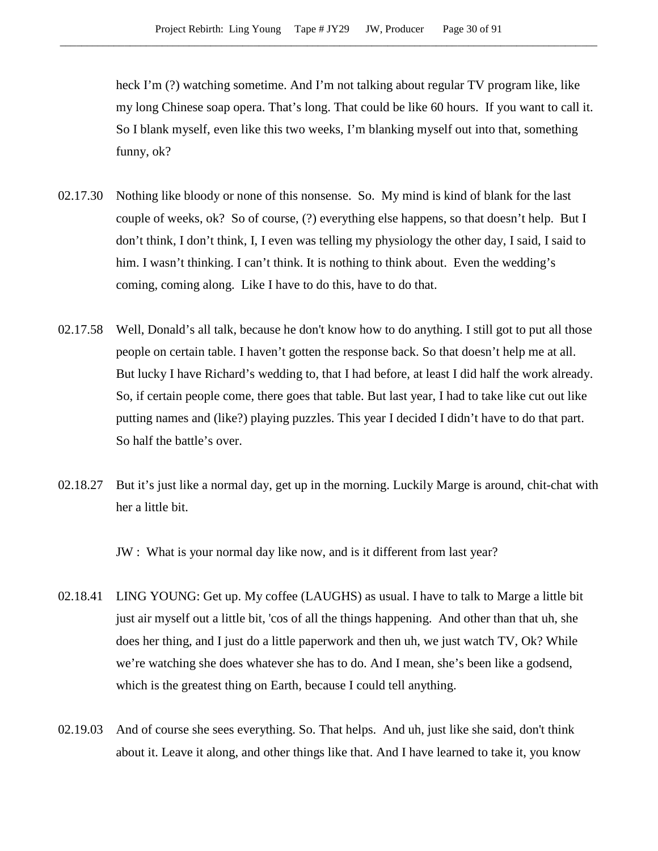heck I'm (?) watching sometime. And I'm not talking about regular TV program like, like my long Chinese soap opera. That's long. That could be like 60 hours. If you want to call it. So I blank myself, even like this two weeks, I'm blanking myself out into that, something funny, ok?

- 02.17.30 Nothing like bloody or none of this nonsense. So. My mind is kind of blank for the last couple of weeks, ok? So of course, (?) everything else happens, so that doesn't help. But I don't think, I don't think, I, I even was telling my physiology the other day, I said, I said to him. I wasn't thinking. I can't think. It is nothing to think about. Even the wedding's coming, coming along. Like I have to do this, have to do that.
- 02.17.58 Well, Donald's all talk, because he don't know how to do anything. I still got to put all those people on certain table. I haven't gotten the response back. So that doesn't help me at all. But lucky I have Richard's wedding to, that I had before, at least I did half the work already. So, if certain people come, there goes that table. But last year, I had to take like cut out like putting names and (like?) playing puzzles. This year I decided I didn't have to do that part. So half the battle's over.
- 02.18.27 But it's just like a normal day, get up in the morning. Luckily Marge is around, chit-chat with her a little bit.

JW : What is your normal day like now, and is it different from last year?

- 02.18.41 LING YOUNG: Get up. My coffee (LAUGHS) as usual. I have to talk to Marge a little bit just air myself out a little bit, 'cos of all the things happening. And other than that uh, she does her thing, and I just do a little paperwork and then uh, we just watch TV, Ok? While we're watching she does whatever she has to do. And I mean, she's been like a godsend, which is the greatest thing on Earth, because I could tell anything.
- 02.19.03 And of course she sees everything. So. That helps. And uh, just like she said, don't think about it. Leave it along, and other things like that. And I have learned to take it, you know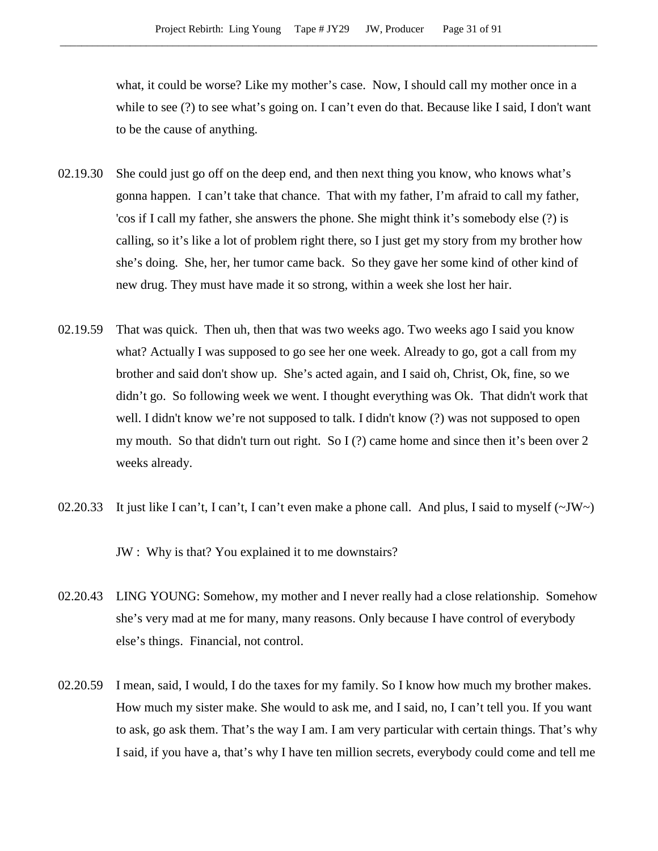what, it could be worse? Like my mother's case. Now, I should call my mother once in a while to see (?) to see what's going on. I can't even do that. Because like I said, I don't want to be the cause of anything.

- 02.19.30 She could just go off on the deep end, and then next thing you know, who knows what's gonna happen. I can't take that chance. That with my father, I'm afraid to call my father, 'cos if I call my father, she answers the phone. She might think it's somebody else (?) is calling, so it's like a lot of problem right there, so I just get my story from my brother how she's doing. She, her, her tumor came back. So they gave her some kind of other kind of new drug. They must have made it so strong, within a week she lost her hair.
- 02.19.59 That was quick. Then uh, then that was two weeks ago. Two weeks ago I said you know what? Actually I was supposed to go see her one week. Already to go, got a call from my brother and said don't show up. She's acted again, and I said oh, Christ, Ok, fine, so we didn't go. So following week we went. I thought everything was Ok. That didn't work that well. I didn't know we're not supposed to talk. I didn't know (?) was not supposed to open my mouth. So that didn't turn out right. So I (?) came home and since then it's been over 2 weeks already.
- 02.20.33 It just like I can't, I can't, I can't even make a phone call. And plus, I said to myself  $(\sim JW)$

JW : Why is that? You explained it to me downstairs?

- 02.20.43 LING YOUNG: Somehow, my mother and I never really had a close relationship. Somehow she's very mad at me for many, many reasons. Only because I have control of everybody else's things. Financial, not control.
- 02.20.59 I mean, said, I would, I do the taxes for my family. So I know how much my brother makes. How much my sister make. She would to ask me, and I said, no, I can't tell you. If you want to ask, go ask them. That's the way I am. I am very particular with certain things. That's why I said, if you have a, that's why I have ten million secrets, everybody could come and tell me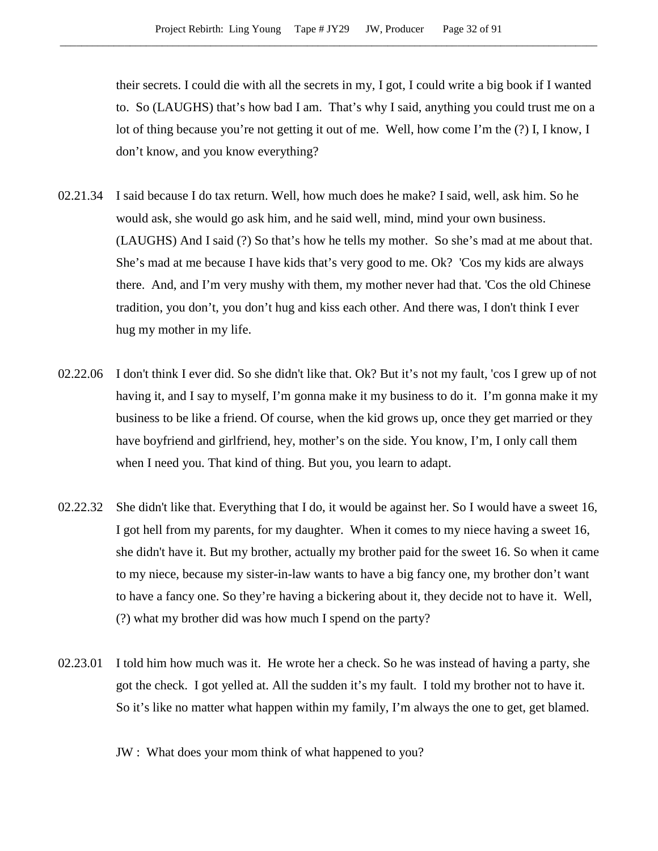their secrets. I could die with all the secrets in my, I got, I could write a big book if I wanted to. So (LAUGHS) that's how bad I am. That's why I said, anything you could trust me on a lot of thing because you're not getting it out of me. Well, how come I'm the  $(?)$  I, I know, I don't know, and you know everything?

- 02.21.34 I said because I do tax return. Well, how much does he make? I said, well, ask him. So he would ask, she would go ask him, and he said well, mind, mind your own business. (LAUGHS) And I said (?) So that's how he tells my mother. So she's mad at me about that. She's mad at me because I have kids that's very good to me. Ok? 'Cos my kids are always there. And, and I'm very mushy with them, my mother never had that. 'Cos the old Chinese tradition, you don't, you don't hug and kiss each other. And there was, I don't think I ever hug my mother in my life.
- 02.22.06 I don't think I ever did. So she didn't like that. Ok? But it's not my fault, 'cos I grew up of not having it, and I say to myself, I'm gonna make it my business to do it. I'm gonna make it my business to be like a friend. Of course, when the kid grows up, once they get married or they have boyfriend and girlfriend, hey, mother's on the side. You know, I'm, I only call them when I need you. That kind of thing. But you, you learn to adapt.
- 02.22.32 She didn't like that. Everything that I do, it would be against her. So I would have a sweet 16, I got hell from my parents, for my daughter. When it comes to my niece having a sweet 16, she didn't have it. But my brother, actually my brother paid for the sweet 16. So when it came to my niece, because my sister-in-law wants to have a big fancy one, my brother don't want to have a fancy one. So they're having a bickering about it, they decide not to have it. Well, (?) what my brother did was how much I spend on the party?
- 02.23.01 I told him how much was it. He wrote her a check. So he was instead of having a party, she got the check. I got yelled at. All the sudden it's my fault. I told my brother not to have it. So it's like no matter what happen within my family, I'm always the one to get, get blamed.

JW : What does your mom think of what happened to you?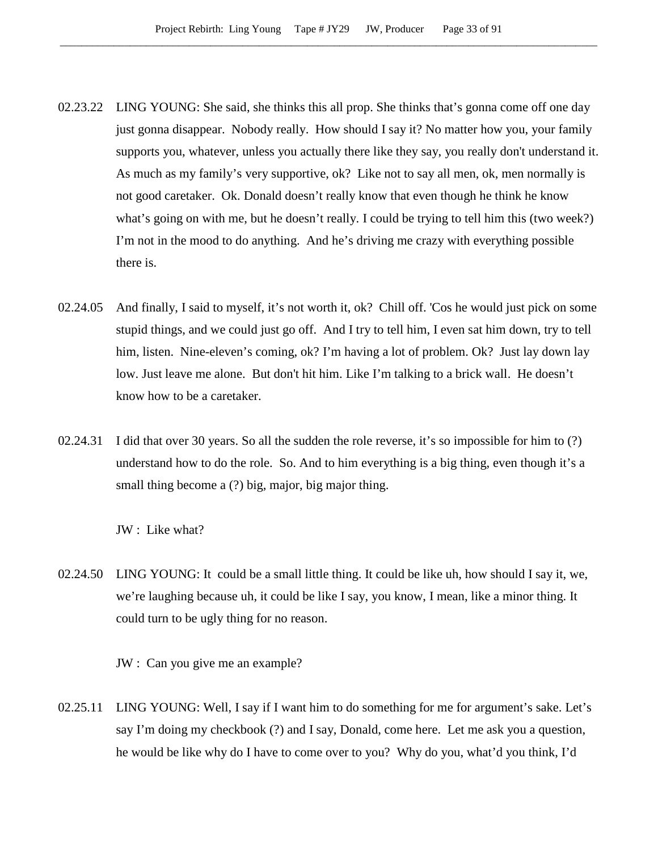- 02.23.22 LING YOUNG: She said, she thinks this all prop. She thinks that's gonna come off one day just gonna disappear. Nobody really. How should I say it? No matter how you, your family supports you, whatever, unless you actually there like they say, you really don't understand it. As much as my family's very supportive, ok? Like not to say all men, ok, men normally is not good caretaker. Ok. Donald doesn't really know that even though he think he know what's going on with me, but he doesn't really. I could be trying to tell him this (two week?) I'm not in the mood to do anything. And he's driving me crazy with everything possible there is.
- 02.24.05 And finally, I said to myself, it's not worth it, ok? Chill off. 'Cos he would just pick on some stupid things, and we could just go off. And I try to tell him, I even sat him down, try to tell him, listen. Nine-eleven's coming, ok? I'm having a lot of problem. Ok? Just lay down lay low. Just leave me alone. But don't hit him. Like I'm talking to a brick wall. He doesn't know how to be a caretaker.
- 02.24.31 I did that over 30 years. So all the sudden the role reverse, it's so impossible for him to (?) understand how to do the role. So. And to him everything is a big thing, even though it's a small thing become a (?) big, major, big major thing.

JW : Like what?

02.24.50 LING YOUNG: It could be a small little thing. It could be like uh, how should I say it, we, we're laughing because uh, it could be like I say, you know, I mean, like a minor thing. It could turn to be ugly thing for no reason.

JW : Can you give me an example?

02.25.11 LING YOUNG: Well, I say if I want him to do something for me for argument's sake. Let's say I'm doing my checkbook (?) and I say, Donald, come here. Let me ask you a question, he would be like why do I have to come over to you? Why do you, what'd you think, I'd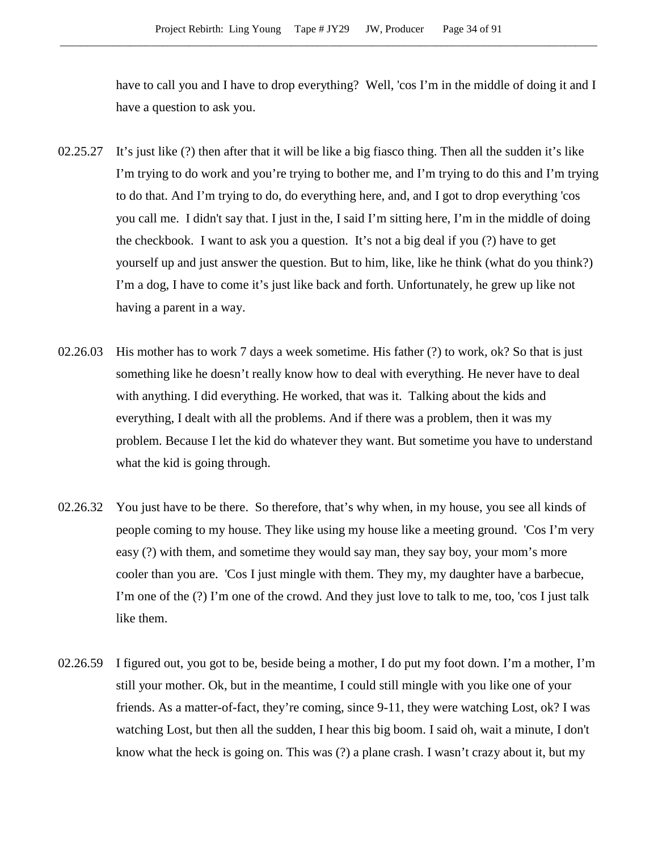have to call you and I have to drop everything? Well, 'cos I'm in the middle of doing it and I have a question to ask you.

- 02.25.27 It's just like (?) then after that it will be like a big fiasco thing. Then all the sudden it's like I'm trying to do work and you're trying to bother me, and I'm trying to do this and I'm trying to do that. And I'm trying to do, do everything here, and, and I got to drop everything 'cos you call me. I didn't say that. I just in the, I said I'm sitting here, I'm in the middle of doing the checkbook. I want to ask you a question. It's not a big deal if you (?) have to get yourself up and just answer the question. But to him, like, like he think (what do you think?) I'm a dog, I have to come it's just like back and forth. Unfortunately, he grew up like not having a parent in a way.
- 02.26.03 His mother has to work 7 days a week sometime. His father (?) to work, ok? So that is just something like he doesn't really know how to deal with everything. He never have to deal with anything. I did everything. He worked, that was it. Talking about the kids and everything, I dealt with all the problems. And if there was a problem, then it was my problem. Because I let the kid do whatever they want. But sometime you have to understand what the kid is going through.
- 02.26.32 You just have to be there. So therefore, that's why when, in my house, you see all kinds of people coming to my house. They like using my house like a meeting ground. 'Cos I'm very easy (?) with them, and sometime they would say man, they say boy, your mom's more cooler than you are. 'Cos I just mingle with them. They my, my daughter have a barbecue, I'm one of the (?) I'm one of the crowd. And they just love to talk to me, too, 'cos I just talk like them.
- 02.26.59 I figured out, you got to be, beside being a mother, I do put my foot down. I'm a mother, I'm still your mother. Ok, but in the meantime, I could still mingle with you like one of your friends. As a matter-of-fact, they're coming, since 9-11, they were watching Lost, ok? I was watching Lost, but then all the sudden, I hear this big boom. I said oh, wait a minute, I don't know what the heck is going on. This was (?) a plane crash. I wasn't crazy about it, but my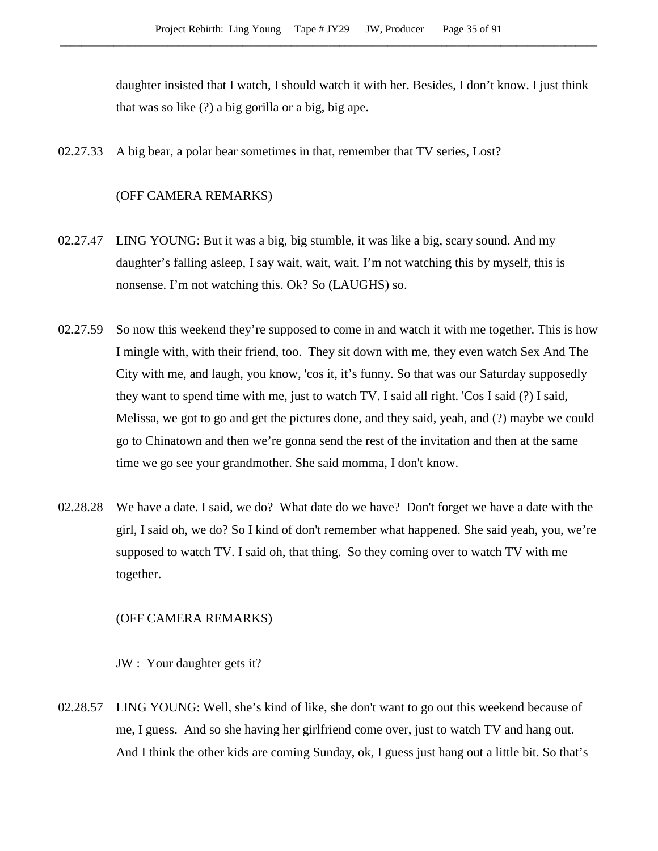daughter insisted that I watch, I should watch it with her. Besides, I don't know. I just think that was so like (?) a big gorilla or a big, big ape.

02.27.33 A big bear, a polar bear sometimes in that, remember that TV series, Lost?

# (OFF CAMERA REMARKS)

- 02.27.47 LING YOUNG: But it was a big, big stumble, it was like a big, scary sound. And my daughter's falling asleep, I say wait, wait, wait. I'm not watching this by myself, this is nonsense. I'm not watching this. Ok? So (LAUGHS) so.
- 02.27.59 So now this weekend they're supposed to come in and watch it with me together. This is how I mingle with, with their friend, too. They sit down with me, they even watch Sex And The City with me, and laugh, you know, 'cos it, it's funny. So that was our Saturday supposedly they want to spend time with me, just to watch TV. I said all right. 'Cos I said (?) I said, Melissa, we got to go and get the pictures done, and they said, yeah, and (?) maybe we could go to Chinatown and then we're gonna send the rest of the invitation and then at the same time we go see your grandmother. She said momma, I don't know.
- 02.28.28 We have a date. I said, we do? What date do we have? Don't forget we have a date with the girl, I said oh, we do? So I kind of don't remember what happened. She said yeah, you, we're supposed to watch TV. I said oh, that thing. So they coming over to watch TV with me together.

#### (OFF CAMERA REMARKS)

JW : Your daughter gets it?

02.28.57 LING YOUNG: Well, she's kind of like, she don't want to go out this weekend because of me, I guess. And so she having her girlfriend come over, just to watch TV and hang out. And I think the other kids are coming Sunday, ok, I guess just hang out a little bit. So that's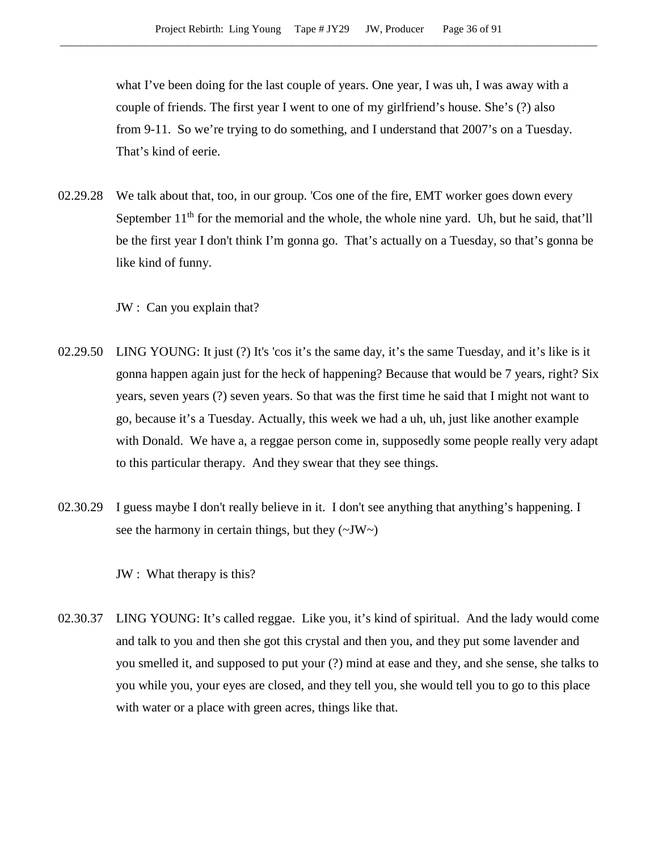what I've been doing for the last couple of years. One year, I was uh, I was away with a couple of friends. The first year I went to one of my girlfriend's house. She's (?) also from 9-11. So we're trying to do something, and I understand that 2007's on a Tuesday. That's kind of eerie.

02.29.28 We talk about that, too, in our group. 'Cos one of the fire, EMT worker goes down every September  $11<sup>th</sup>$  for the memorial and the whole, the whole nine yard. Uh, but he said, that'll be the first year I don't think I'm gonna go. That's actually on a Tuesday, so that's gonna be like kind of funny.

JW : Can you explain that?

- 02.29.50 LING YOUNG: It just (?) It's 'cos it's the same day, it's the same Tuesday, and it's like is it gonna happen again just for the heck of happening? Because that would be 7 years, right? Six years, seven years (?) seven years. So that was the first time he said that I might not want to go, because it's a Tuesday. Actually, this week we had a uh, uh, just like another example with Donald. We have a, a reggae person come in, supposedly some people really very adapt to this particular therapy. And they swear that they see things.
- 02.30.29 I guess maybe I don't really believe in it. I don't see anything that anything's happening. I see the harmony in certain things, but they  $(\sim JW)$

JW : What therapy is this?

02.30.37 LING YOUNG: It's called reggae. Like you, it's kind of spiritual. And the lady would come and talk to you and then she got this crystal and then you, and they put some lavender and you smelled it, and supposed to put your (?) mind at ease and they, and she sense, she talks to you while you, your eyes are closed, and they tell you, she would tell you to go to this place with water or a place with green acres, things like that.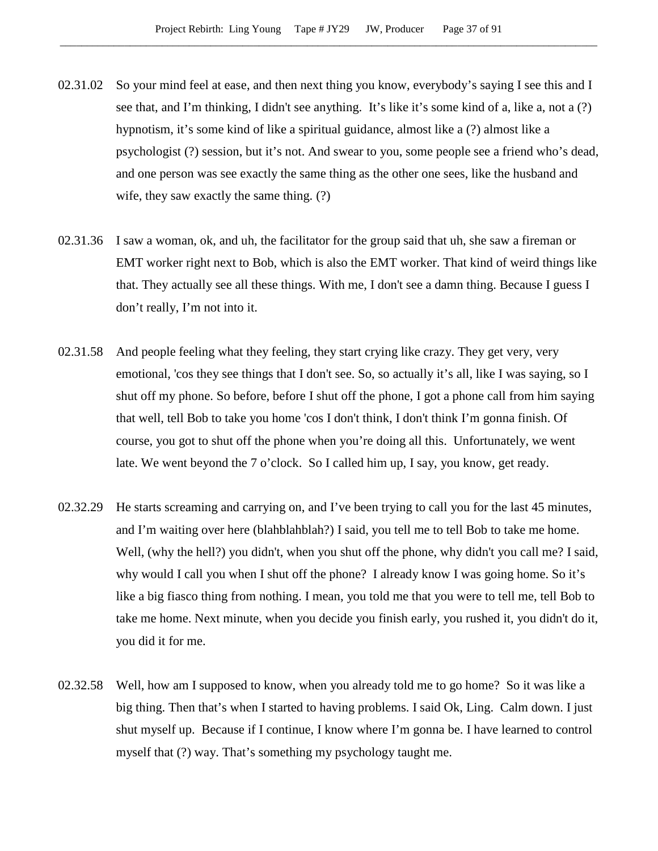- 02.31.02 So your mind feel at ease, and then next thing you know, everybody's saying I see this and I see that, and I'm thinking, I didn't see anything. It's like it's some kind of a, like a, not a (?) hypnotism, it's some kind of like a spiritual guidance, almost like a (?) almost like a psychologist (?) session, but it's not. And swear to you, some people see a friend who's dead, and one person was see exactly the same thing as the other one sees, like the husband and wife, they saw exactly the same thing. (?)
- 02.31.36 I saw a woman, ok, and uh, the facilitator for the group said that uh, she saw a fireman or EMT worker right next to Bob, which is also the EMT worker. That kind of weird things like that. They actually see all these things. With me, I don't see a damn thing. Because I guess I don't really, I'm not into it.
- 02.31.58 And people feeling what they feeling, they start crying like crazy. They get very, very emotional, 'cos they see things that I don't see. So, so actually it's all, like I was saying, so I shut off my phone. So before, before I shut off the phone, I got a phone call from him saying that well, tell Bob to take you home 'cos I don't think, I don't think I'm gonna finish. Of course, you got to shut off the phone when you're doing all this. Unfortunately, we went late. We went beyond the 7 o'clock. So I called him up, I say, you know, get ready.
- 02.32.29 He starts screaming and carrying on, and I've been trying to call you for the last 45 minutes, and I'm waiting over here (blahblahblah?) I said, you tell me to tell Bob to take me home. Well, (why the hell?) you didn't, when you shut off the phone, why didn't you call me? I said, why would I call you when I shut off the phone? I already know I was going home. So it's like a big fiasco thing from nothing. I mean, you told me that you were to tell me, tell Bob to take me home. Next minute, when you decide you finish early, you rushed it, you didn't do it, you did it for me.
- 02.32.58 Well, how am I supposed to know, when you already told me to go home? So it was like a big thing. Then that's when I started to having problems. I said Ok, Ling. Calm down. I just shut myself up. Because if I continue, I know where I'm gonna be. I have learned to control myself that (?) way. That's something my psychology taught me.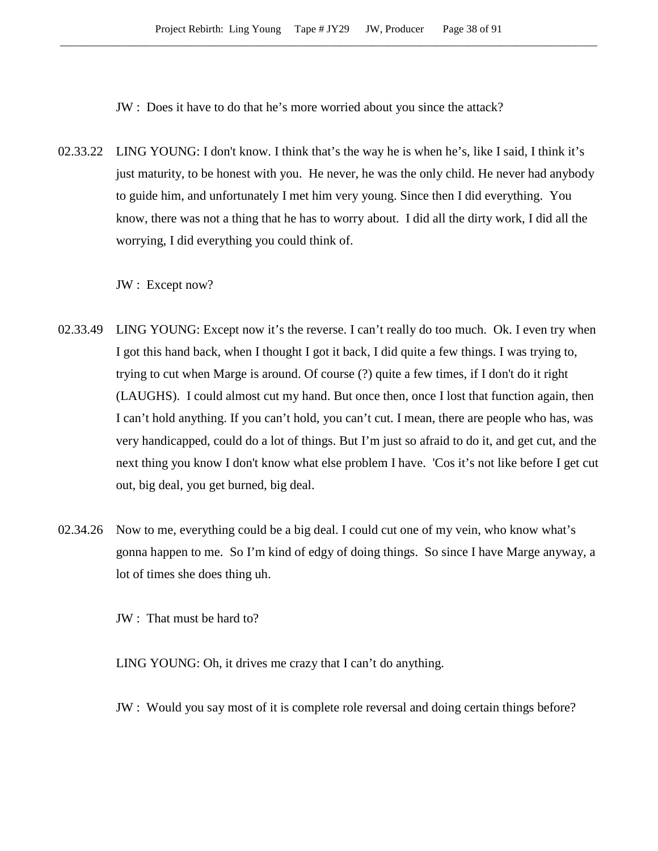JW : Does it have to do that he's more worried about you since the attack?

02.33.22 LING YOUNG: I don't know. I think that's the way he is when he's, like I said, I think it's just maturity, to be honest with you. He never, he was the only child. He never had anybody to guide him, and unfortunately I met him very young. Since then I did everything. You know, there was not a thing that he has to worry about. I did all the dirty work, I did all the worrying, I did everything you could think of.

JW : Except now?

- 02.33.49 LING YOUNG: Except now it's the reverse. I can't really do too much. Ok. I even try when I got this hand back, when I thought I got it back, I did quite a few things. I was trying to, trying to cut when Marge is around. Of course (?) quite a few times, if I don't do it right (LAUGHS). I could almost cut my hand. But once then, once I lost that function again, then I can't hold anything. If you can't hold, you can't cut. I mean, there are people who has, was very handicapped, could do a lot of things. But I'm just so afraid to do it, and get cut, and the next thing you know I don't know what else problem I have. 'Cos it's not like before I get cut out, big deal, you get burned, big deal.
- 02.34.26 Now to me, everything could be a big deal. I could cut one of my vein, who know what's gonna happen to me. So I'm kind of edgy of doing things. So since I have Marge anyway, a lot of times she does thing uh.

JW : That must be hard to?

LING YOUNG: Oh, it drives me crazy that I can't do anything.

JW : Would you say most of it is complete role reversal and doing certain things before?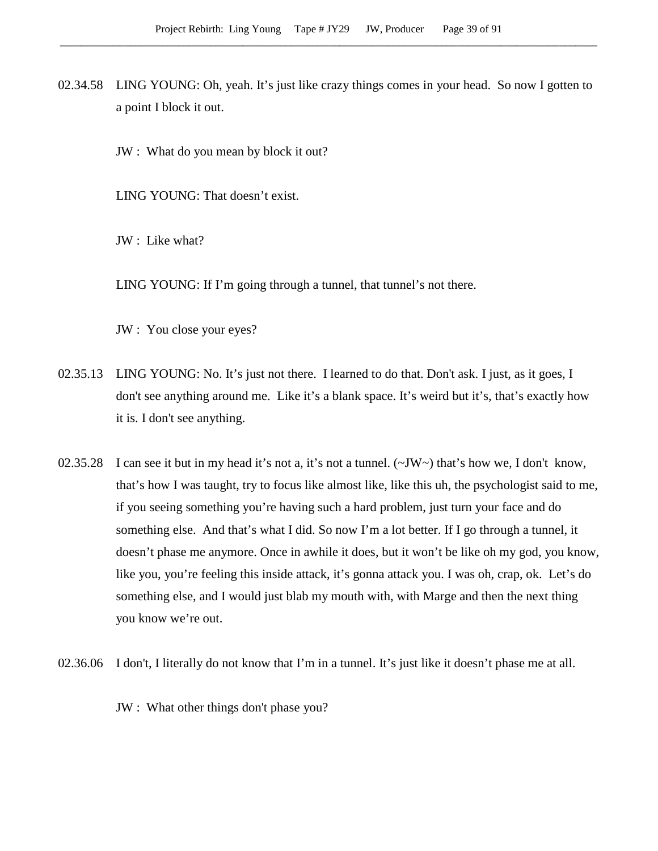- 02.34.58 LING YOUNG: Oh, yeah. It's just like crazy things comes in your head. So now I gotten to a point I block it out.
	- JW : What do you mean by block it out?

LING YOUNG: That doesn't exist.

JW : Like what?

LING YOUNG: If I'm going through a tunnel, that tunnel's not there.

JW : You close your eyes?

- 02.35.13 LING YOUNG: No. It's just not there. I learned to do that. Don't ask. I just, as it goes, I don't see anything around me. Like it's a blank space. It's weird but it's, that's exactly how it is. I don't see anything.
- 02.35.28 I can see it but in my head it's not a, it's not a tunnel.  $(\sim JW \sim)$  that's how we, I don't know, that's how I was taught, try to focus like almost like, like this uh, the psychologist said to me, if you seeing something you're having such a hard problem, just turn your face and do something else. And that's what I did. So now I'm a lot better. If I go through a tunnel, it doesn't phase me anymore. Once in awhile it does, but it won't be like oh my god, you know, like you, you're feeling this inside attack, it's gonna attack you. I was oh, crap, ok. Let's do something else, and I would just blab my mouth with, with Marge and then the next thing you know we're out.
- 02.36.06 I don't, I literally do not know that I'm in a tunnel. It's just like it doesn't phase me at all.

JW : What other things don't phase you?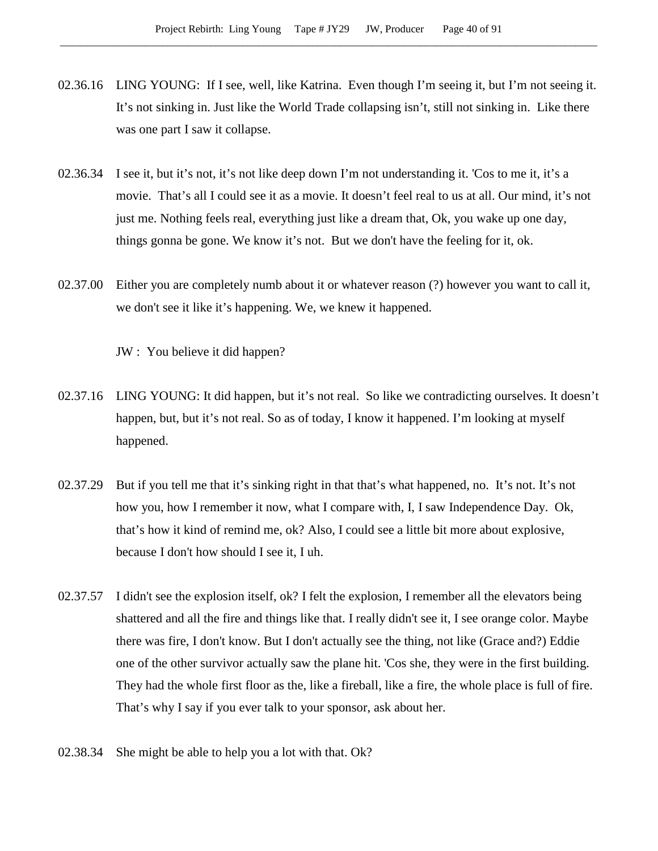- 02.36.16 LING YOUNG: If I see, well, like Katrina. Even though I'm seeing it, but I'm not seeing it. It's not sinking in. Just like the World Trade collapsing isn't, still not sinking in. Like there was one part I saw it collapse.
- 02.36.34 I see it, but it's not, it's not like deep down I'm not understanding it. 'Cos to me it, it's a movie. That's all I could see it as a movie. It doesn't feel real to us at all. Our mind, it's not just me. Nothing feels real, everything just like a dream that, Ok, you wake up one day, things gonna be gone. We know it's not. But we don't have the feeling for it, ok.
- 02.37.00 Either you are completely numb about it or whatever reason (?) however you want to call it, we don't see it like it's happening. We, we knew it happened.

JW : You believe it did happen?

- 02.37.16 LING YOUNG: It did happen, but it's not real. So like we contradicting ourselves. It doesn't happen, but, but it's not real. So as of today, I know it happened. I'm looking at myself happened.
- 02.37.29 But if you tell me that it's sinking right in that that's what happened, no. It's not. It's not how you, how I remember it now, what I compare with, I, I saw Independence Day. Ok, that's how it kind of remind me, ok? Also, I could see a little bit more about explosive, because I don't how should I see it, I uh.
- 02.37.57 I didn't see the explosion itself, ok? I felt the explosion, I remember all the elevators being shattered and all the fire and things like that. I really didn't see it, I see orange color. Maybe there was fire, I don't know. But I don't actually see the thing, not like (Grace and?) Eddie one of the other survivor actually saw the plane hit. 'Cos she, they were in the first building. They had the whole first floor as the, like a fireball, like a fire, the whole place is full of fire. That's why I say if you ever talk to your sponsor, ask about her.
- 02.38.34 She might be able to help you a lot with that. Ok?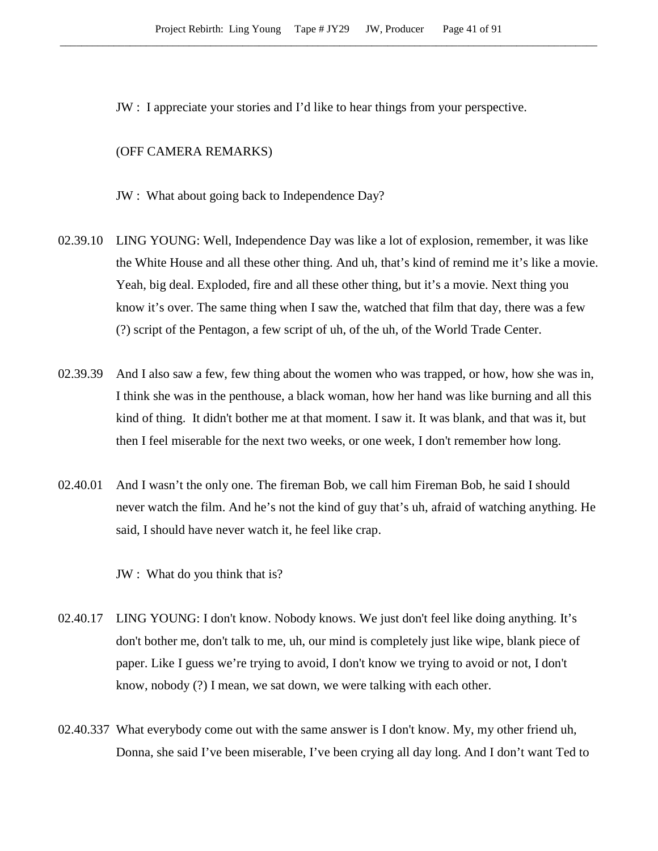JW : I appreciate your stories and I'd like to hear things from your perspective.

## (OFF CAMERA REMARKS)

- JW : What about going back to Independence Day?
- 02.39.10 LING YOUNG: Well, Independence Day was like a lot of explosion, remember, it was like the White House and all these other thing. And uh, that's kind of remind me it's like a movie. Yeah, big deal. Exploded, fire and all these other thing, but it's a movie. Next thing you know it's over. The same thing when I saw the, watched that film that day, there was a few (?) script of the Pentagon, a few script of uh, of the uh, of the World Trade Center.
- 02.39.39 And I also saw a few, few thing about the women who was trapped, or how, how she was in, I think she was in the penthouse, a black woman, how her hand was like burning and all this kind of thing. It didn't bother me at that moment. I saw it. It was blank, and that was it, but then I feel miserable for the next two weeks, or one week, I don't remember how long.
- 02.40.01 And I wasn't the only one. The fireman Bob, we call him Fireman Bob, he said I should never watch the film. And he's not the kind of guy that's uh, afraid of watching anything. He said, I should have never watch it, he feel like crap.

JW : What do you think that is?

- 02.40.17 LING YOUNG: I don't know. Nobody knows. We just don't feel like doing anything. It's don't bother me, don't talk to me, uh, our mind is completely just like wipe, blank piece of paper. Like I guess we're trying to avoid, I don't know we trying to avoid or not, I don't know, nobody (?) I mean, we sat down, we were talking with each other.
- 02.40.337 What everybody come out with the same answer is I don't know. My, my other friend uh, Donna, she said I've been miserable, I've been crying all day long. And I don't want Ted to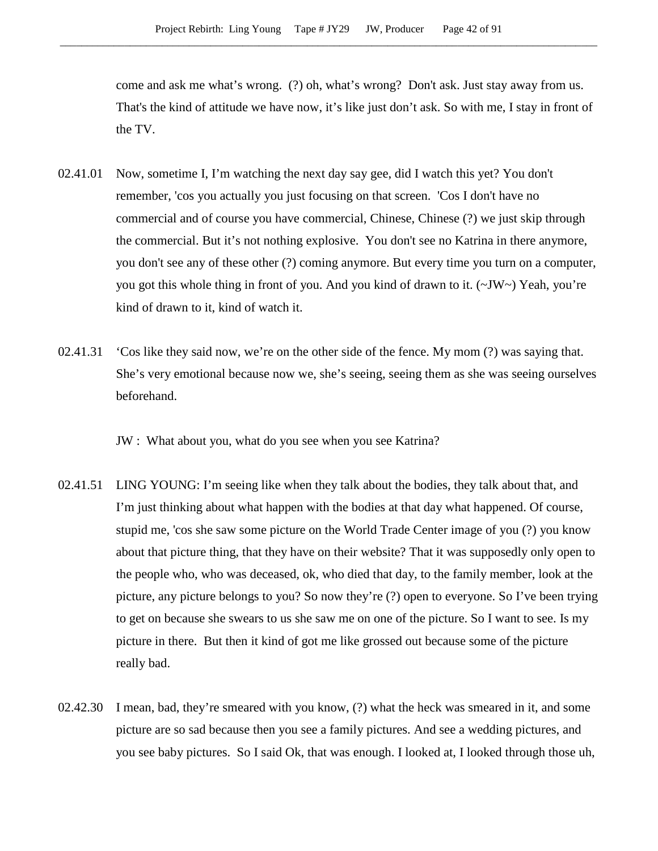come and ask me what's wrong. (?) oh, what's wrong? Don't ask. Just stay away from us. That's the kind of attitude we have now, it's like just don't ask. So with me, I stay in front of the TV.

- 02.41.01 Now, sometime I, I'm watching the next day say gee, did I watch this yet? You don't remember, 'cos you actually you just focusing on that screen. 'Cos I don't have no commercial and of course you have commercial, Chinese, Chinese (?) we just skip through the commercial. But it's not nothing explosive. You don't see no Katrina in there anymore, you don't see any of these other (?) coming anymore. But every time you turn on a computer, you got this whole thing in front of you. And you kind of drawn to it. (~JW~) Yeah, you're kind of drawn to it, kind of watch it.
- 02.41.31 'Cos like they said now, we're on the other side of the fence. My mom (?) was saying that. She's very emotional because now we, she's seeing, seeing them as she was seeing ourselves beforehand.

JW : What about you, what do you see when you see Katrina?

- 02.41.51 LING YOUNG: I'm seeing like when they talk about the bodies, they talk about that, and I'm just thinking about what happen with the bodies at that day what happened. Of course, stupid me, 'cos she saw some picture on the World Trade Center image of you (?) you know about that picture thing, that they have on their website? That it was supposedly only open to the people who, who was deceased, ok, who died that day, to the family member, look at the picture, any picture belongs to you? So now they're (?) open to everyone. So I've been trying to get on because she swears to us she saw me on one of the picture. So I want to see. Is my picture in there. But then it kind of got me like grossed out because some of the picture really bad.
- 02.42.30 I mean, bad, they're smeared with you know, (?) what the heck was smeared in it, and some picture are so sad because then you see a family pictures. And see a wedding pictures, and you see baby pictures. So I said Ok, that was enough. I looked at, I looked through those uh,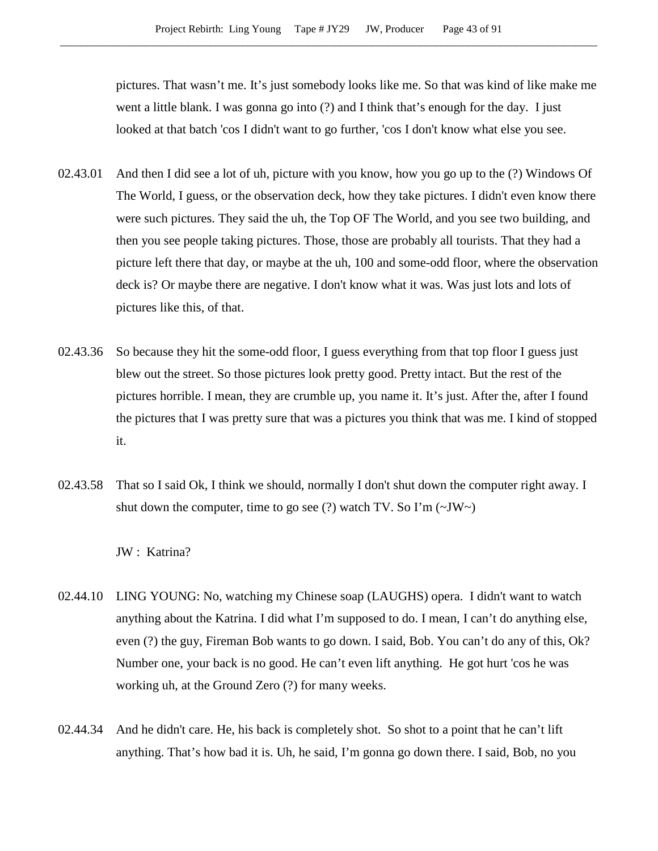pictures. That wasn't me. It's just somebody looks like me. So that was kind of like make me went a little blank. I was gonna go into (?) and I think that's enough for the day. I just looked at that batch 'cos I didn't want to go further, 'cos I don't know what else you see.

- 02.43.01 And then I did see a lot of uh, picture with you know, how you go up to the (?) Windows Of The World, I guess, or the observation deck, how they take pictures. I didn't even know there were such pictures. They said the uh, the Top OF The World, and you see two building, and then you see people taking pictures. Those, those are probably all tourists. That they had a picture left there that day, or maybe at the uh, 100 and some-odd floor, where the observation deck is? Or maybe there are negative. I don't know what it was. Was just lots and lots of pictures like this, of that.
- 02.43.36 So because they hit the some-odd floor, I guess everything from that top floor I guess just blew out the street. So those pictures look pretty good. Pretty intact. But the rest of the pictures horrible. I mean, they are crumble up, you name it. It's just. After the, after I found the pictures that I was pretty sure that was a pictures you think that was me. I kind of stopped it.
- 02.43.58 That so I said Ok, I think we should, normally I don't shut down the computer right away. I shut down the computer, time to go see (?) watch TV. So  $\Gamma$ m (~JW~)

JW : Katrina?

- 02.44.10 LING YOUNG: No, watching my Chinese soap (LAUGHS) opera. I didn't want to watch anything about the Katrina. I did what I'm supposed to do. I mean, I can't do anything else, even (?) the guy, Fireman Bob wants to go down. I said, Bob. You can't do any of this, Ok? Number one, your back is no good. He can't even lift anything. He got hurt 'cos he was working uh, at the Ground Zero (?) for many weeks.
- 02.44.34 And he didn't care. He, his back is completely shot. So shot to a point that he can't lift anything. That's how bad it is. Uh, he said, I'm gonna go down there. I said, Bob, no you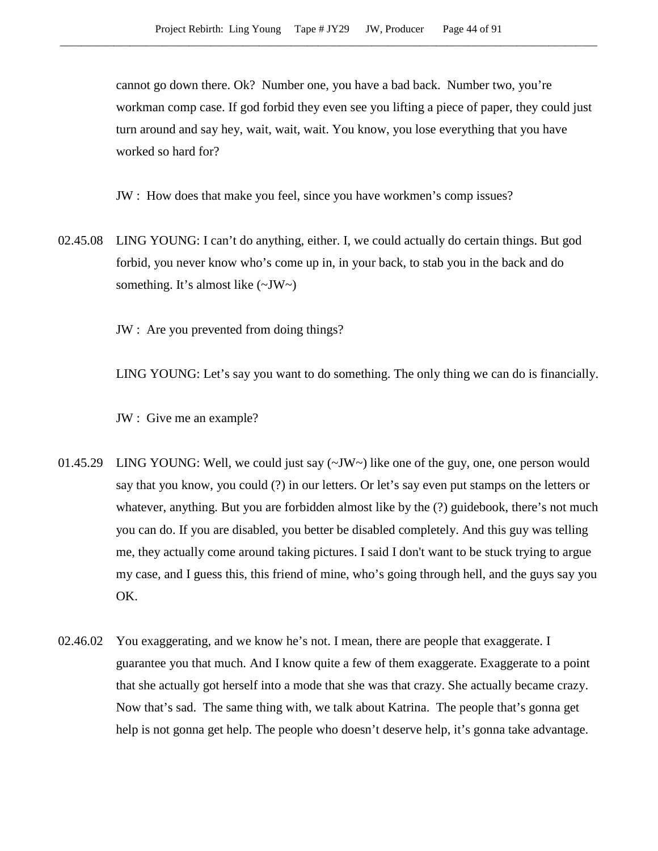cannot go down there. Ok? Number one, you have a bad back. Number two, you're workman comp case. If god forbid they even see you lifting a piece of paper, they could just turn around and say hey, wait, wait, wait. You know, you lose everything that you have worked so hard for?

JW : How does that make you feel, since you have workmen's comp issues?

02.45.08 LING YOUNG: I can't do anything, either. I, we could actually do certain things. But god forbid, you never know who's come up in, in your back, to stab you in the back and do something. It's almost like  $(\sim JW \sim)$ 

JW : Are you prevented from doing things?

LING YOUNG: Let's say you want to do something. The only thing we can do is financially.

JW : Give me an example?

- 01.45.29 LING YOUNG: Well, we could just say (~JW~) like one of the guy, one, one person would say that you know, you could (?) in our letters. Or let's say even put stamps on the letters or whatever, anything. But you are forbidden almost like by the  $(?)$  guidebook, there's not much you can do. If you are disabled, you better be disabled completely. And this guy was telling me, they actually come around taking pictures. I said I don't want to be stuck trying to argue my case, and I guess this, this friend of mine, who's going through hell, and the guys say you OK.
- 02.46.02 You exaggerating, and we know he's not. I mean, there are people that exaggerate. I guarantee you that much. And I know quite a few of them exaggerate. Exaggerate to a point that she actually got herself into a mode that she was that crazy. She actually became crazy. Now that's sad. The same thing with, we talk about Katrina. The people that's gonna get help is not gonna get help. The people who doesn't deserve help, it's gonna take advantage.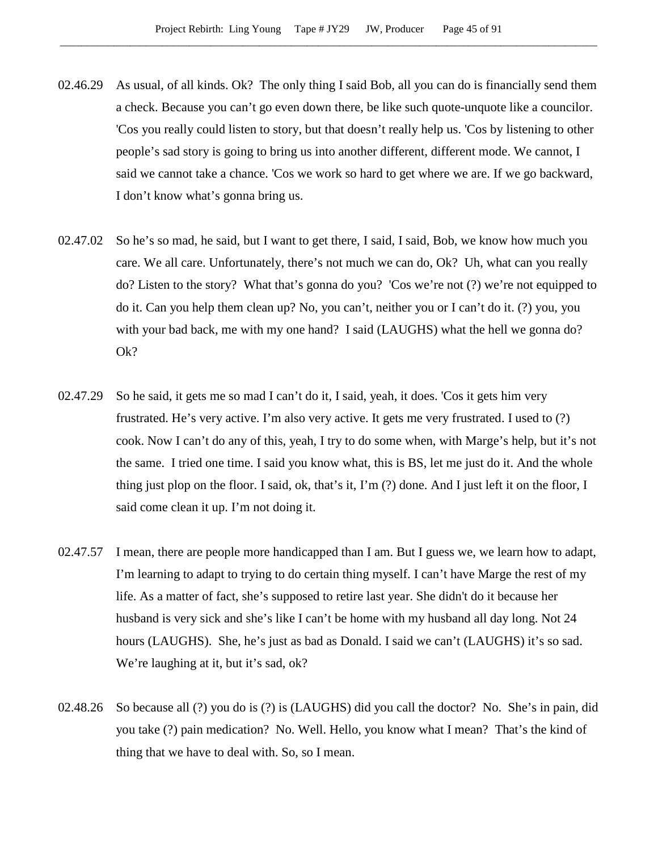- 02.46.29 As usual, of all kinds. Ok? The only thing I said Bob, all you can do is financially send them a check. Because you can't go even down there, be like such quote-unquote like a councilor. 'Cos you really could listen to story, but that doesn't really help us. 'Cos by listening to other people's sad story is going to bring us into another different, different mode. We cannot, I said we cannot take a chance. 'Cos we work so hard to get where we are. If we go backward, I don't know what's gonna bring us.
- 02.47.02 So he's so mad, he said, but I want to get there, I said, I said, Bob, we know how much you care. We all care. Unfortunately, there's not much we can do, Ok? Uh, what can you really do? Listen to the story? What that's gonna do you? 'Cos we're not (?) we're not equipped to do it. Can you help them clean up? No, you can't, neither you or I can't do it. (?) you, you with your bad back, me with my one hand? I said (LAUGHS) what the hell we gonna do? Ok?
- 02.47.29 So he said, it gets me so mad I can't do it, I said, yeah, it does. 'Cos it gets him very frustrated. He's very active. I'm also very active. It gets me very frustrated. I used to (?) cook. Now I can't do any of this, yeah, I try to do some when, with Marge's help, but it's not the same. I tried one time. I said you know what, this is BS, let me just do it. And the whole thing just plop on the floor. I said, ok, that's it, I'm (?) done. And I just left it on the floor, I said come clean it up. I'm not doing it.
- 02.47.57 I mean, there are people more handicapped than I am. But I guess we, we learn how to adapt, I'm learning to adapt to trying to do certain thing myself. I can't have Marge the rest of my life. As a matter of fact, she's supposed to retire last year. She didn't do it because her husband is very sick and she's like I can't be home with my husband all day long. Not 24 hours (LAUGHS). She, he's just as bad as Donald. I said we can't (LAUGHS) it's so sad. We're laughing at it, but it's sad, ok?
- 02.48.26 So because all (?) you do is (?) is (LAUGHS) did you call the doctor? No. She's in pain, did you take (?) pain medication? No. Well. Hello, you know what I mean? That's the kind of thing that we have to deal with. So, so I mean.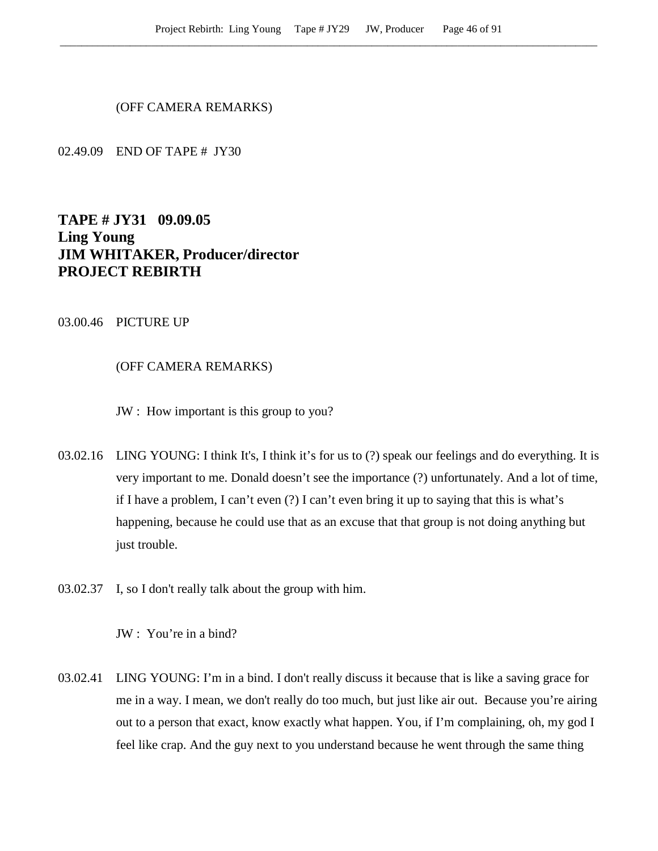(OFF CAMERA REMARKS)

02.49.09 END OF TAPE # JY30

# **TAPE # JY31 09.09.05 Ling Young JIM WHITAKER, Producer/director PROJECT REBIRTH**

## 03.00.46 PICTURE UP

## (OFF CAMERA REMARKS)

JW : How important is this group to you?

- 03.02.16 LING YOUNG: I think It's, I think it's for us to (?) speak our feelings and do everything. It is very important to me. Donald doesn't see the importance (?) unfortunately. And a lot of time, if I have a problem, I can't even (?) I can't even bring it up to saying that this is what's happening, because he could use that as an excuse that that group is not doing anything but just trouble.
- 03.02.37 I, so I don't really talk about the group with him.

JW : You're in a bind?

03.02.41 LING YOUNG: I'm in a bind. I don't really discuss it because that is like a saving grace for me in a way. I mean, we don't really do too much, but just like air out. Because you're airing out to a person that exact, know exactly what happen. You, if I'm complaining, oh, my god I feel like crap. And the guy next to you understand because he went through the same thing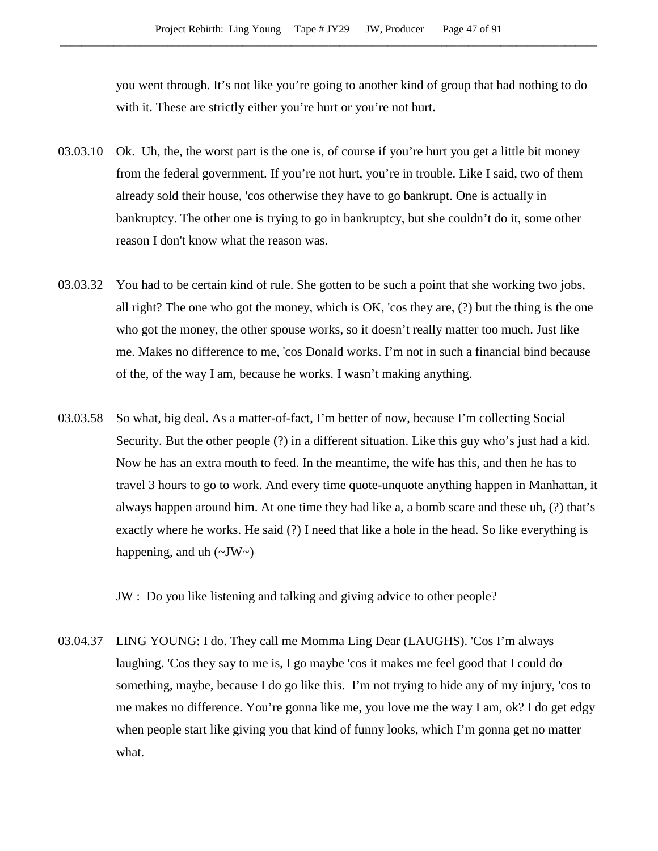you went through. It's not like you're going to another kind of group that had nothing to do with it. These are strictly either you're hurt or you're not hurt.

- 03.03.10 Ok. Uh, the, the worst part is the one is, of course if you're hurt you get a little bit money from the federal government. If you're not hurt, you're in trouble. Like I said, two of them already sold their house, 'cos otherwise they have to go bankrupt. One is actually in bankruptcy. The other one is trying to go in bankruptcy, but she couldn't do it, some other reason I don't know what the reason was.
- 03.03.32 You had to be certain kind of rule. She gotten to be such a point that she working two jobs, all right? The one who got the money, which is OK, 'cos they are, (?) but the thing is the one who got the money, the other spouse works, so it doesn't really matter too much. Just like me. Makes no difference to me, 'cos Donald works. I'm not in such a financial bind because of the, of the way I am, because he works. I wasn't making anything.
- 03.03.58 So what, big deal. As a matter-of-fact, I'm better of now, because I'm collecting Social Security. But the other people (?) in a different situation. Like this guy who's just had a kid. Now he has an extra mouth to feed. In the meantime, the wife has this, and then he has to travel 3 hours to go to work. And every time quote-unquote anything happen in Manhattan, it always happen around him. At one time they had like a, a bomb scare and these uh, (?) that's exactly where he works. He said (?) I need that like a hole in the head. So like everything is happening, and uh  $(\sim JW \sim)$

JW : Do you like listening and talking and giving advice to other people?

03.04.37 LING YOUNG: I do. They call me Momma Ling Dear (LAUGHS). 'Cos I'm always laughing. 'Cos they say to me is, I go maybe 'cos it makes me feel good that I could do something, maybe, because I do go like this. I'm not trying to hide any of my injury, 'cos to me makes no difference. You're gonna like me, you love me the way I am, ok? I do get edgy when people start like giving you that kind of funny looks, which I'm gonna get no matter what.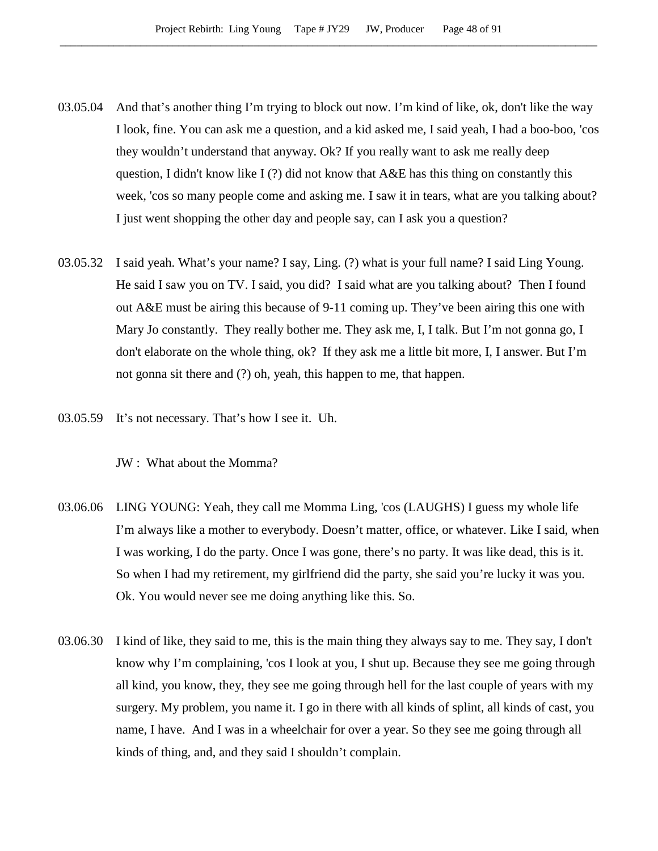- 03.05.04 And that's another thing I'm trying to block out now. I'm kind of like, ok, don't like the way I look, fine. You can ask me a question, and a kid asked me, I said yeah, I had a boo-boo, 'cos they wouldn't understand that anyway. Ok? If you really want to ask me really deep question, I didn't know like I (?) did not know that A&E has this thing on constantly this week, 'cos so many people come and asking me. I saw it in tears, what are you talking about? I just went shopping the other day and people say, can I ask you a question?
- 03.05.32 I said yeah. What's your name? I say, Ling. (?) what is your full name? I said Ling Young. He said I saw you on TV. I said, you did? I said what are you talking about? Then I found out A&E must be airing this because of 9-11 coming up. They've been airing this one with Mary Jo constantly. They really bother me. They ask me, I, I talk. But I'm not gonna go, I don't elaborate on the whole thing, ok? If they ask me a little bit more, I, I answer. But I'm not gonna sit there and (?) oh, yeah, this happen to me, that happen.
- 03.05.59 It's not necessary. That's how I see it. Uh.

JW : What about the Momma?

- 03.06.06 LING YOUNG: Yeah, they call me Momma Ling, 'cos (LAUGHS) I guess my whole life I'm always like a mother to everybody. Doesn't matter, office, or whatever. Like I said, when I was working, I do the party. Once I was gone, there's no party. It was like dead, this is it. So when I had my retirement, my girlfriend did the party, she said you're lucky it was you. Ok. You would never see me doing anything like this. So.
- 03.06.30 I kind of like, they said to me, this is the main thing they always say to me. They say, I don't know why I'm complaining, 'cos I look at you, I shut up. Because they see me going through all kind, you know, they, they see me going through hell for the last couple of years with my surgery. My problem, you name it. I go in there with all kinds of splint, all kinds of cast, you name, I have. And I was in a wheelchair for over a year. So they see me going through all kinds of thing, and, and they said I shouldn't complain.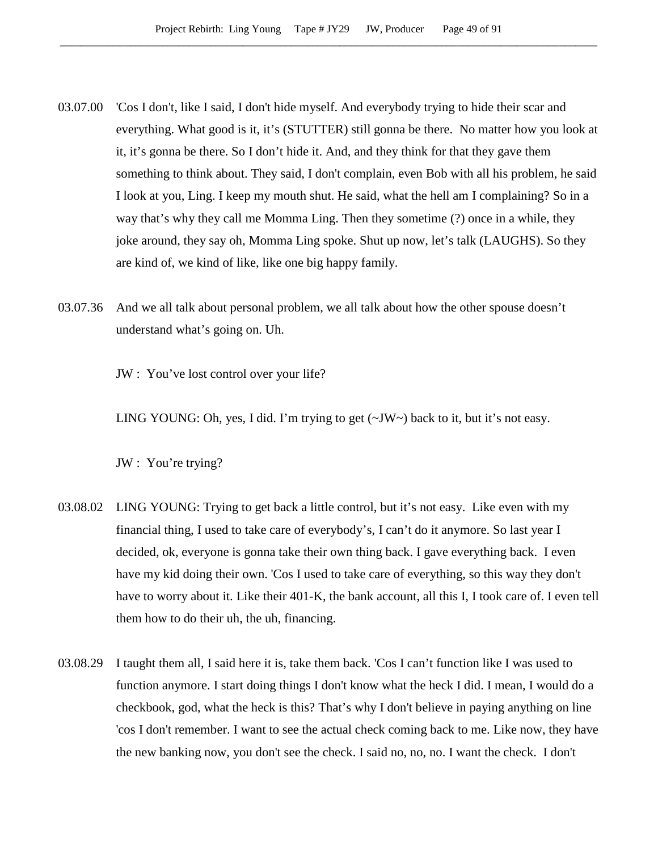- 03.07.00 'Cos I don't, like I said, I don't hide myself. And everybody trying to hide their scar and everything. What good is it, it's (STUTTER) still gonna be there. No matter how you look at it, it's gonna be there. So I don't hide it. And, and they think for that they gave them something to think about. They said, I don't complain, even Bob with all his problem, he said I look at you, Ling. I keep my mouth shut. He said, what the hell am I complaining? So in a way that's why they call me Momma Ling. Then they sometime (?) once in a while, they joke around, they say oh, Momma Ling spoke. Shut up now, let's talk (LAUGHS). So they are kind of, we kind of like, like one big happy family.
- 03.07.36 And we all talk about personal problem, we all talk about how the other spouse doesn't understand what's going on. Uh.

JW : You've lost control over your life?

LING YOUNG: Oh, yes, I did. I'm trying to get (~JW~) back to it, but it's not easy.

JW : You're trying?

- 03.08.02 LING YOUNG: Trying to get back a little control, but it's not easy. Like even with my financial thing, I used to take care of everybody's, I can't do it anymore. So last year I decided, ok, everyone is gonna take their own thing back. I gave everything back. I even have my kid doing their own. 'Cos I used to take care of everything, so this way they don't have to worry about it. Like their 401-K, the bank account, all this I, I took care of. I even tell them how to do their uh, the uh, financing.
- 03.08.29 I taught them all, I said here it is, take them back. 'Cos I can't function like I was used to function anymore. I start doing things I don't know what the heck I did. I mean, I would do a checkbook, god, what the heck is this? That's why I don't believe in paying anything on line 'cos I don't remember. I want to see the actual check coming back to me. Like now, they have the new banking now, you don't see the check. I said no, no, no. I want the check. I don't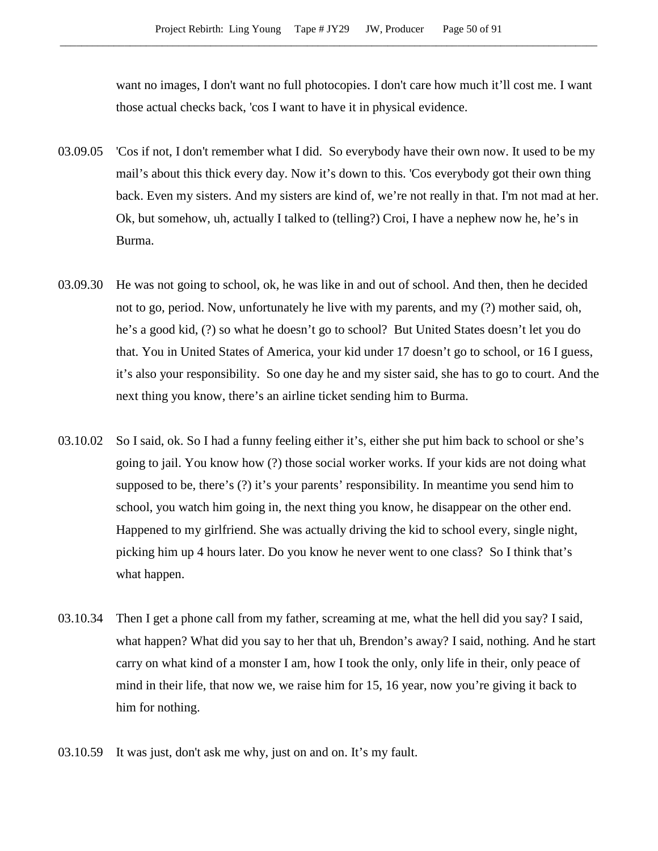want no images, I don't want no full photocopies. I don't care how much it'll cost me. I want those actual checks back, 'cos I want to have it in physical evidence.

- 03.09.05 'Cos if not, I don't remember what I did. So everybody have their own now. It used to be my mail's about this thick every day. Now it's down to this. 'Cos everybody got their own thing back. Even my sisters. And my sisters are kind of, we're not really in that. I'm not mad at her. Ok, but somehow, uh, actually I talked to (telling?) Croi, I have a nephew now he, he's in Burma.
- 03.09.30 He was not going to school, ok, he was like in and out of school. And then, then he decided not to go, period. Now, unfortunately he live with my parents, and my (?) mother said, oh, he's a good kid, (?) so what he doesn't go to school? But United States doesn't let you do that. You in United States of America, your kid under 17 doesn't go to school, or 16 I guess, it's also your responsibility. So one day he and my sister said, she has to go to court. And the next thing you know, there's an airline ticket sending him to Burma.
- 03.10.02 So I said, ok. So I had a funny feeling either it's, either she put him back to school or she's going to jail. You know how (?) those social worker works. If your kids are not doing what supposed to be, there's (?) it's your parents' responsibility. In meantime you send him to school, you watch him going in, the next thing you know, he disappear on the other end. Happened to my girlfriend. She was actually driving the kid to school every, single night, picking him up 4 hours later. Do you know he never went to one class? So I think that's what happen.
- 03.10.34 Then I get a phone call from my father, screaming at me, what the hell did you say? I said, what happen? What did you say to her that uh, Brendon's away? I said, nothing. And he start carry on what kind of a monster I am, how I took the only, only life in their, only peace of mind in their life, that now we, we raise him for 15, 16 year, now you're giving it back to him for nothing.
- 03.10.59 It was just, don't ask me why, just on and on. It's my fault.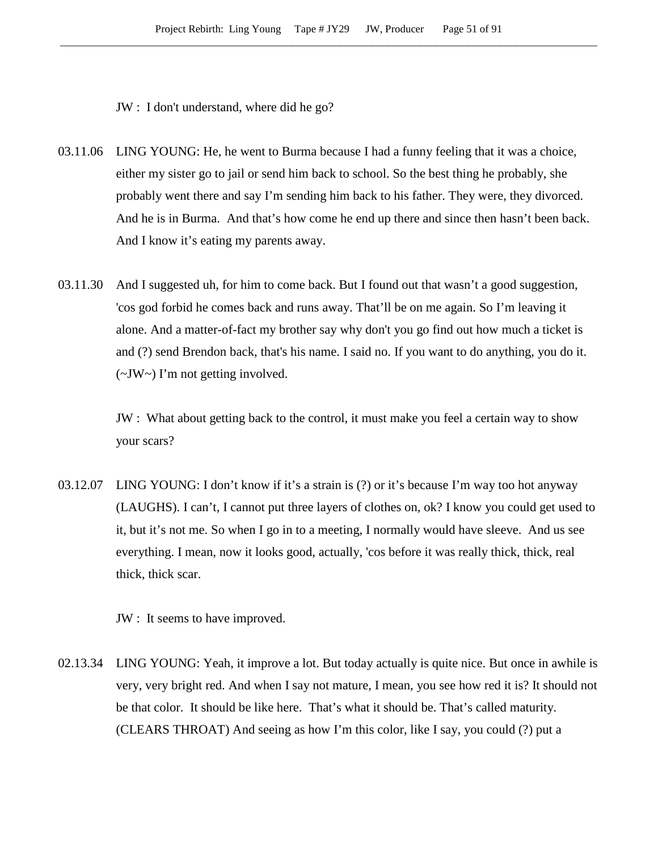JW : I don't understand, where did he go?

- 03.11.06 LING YOUNG: He, he went to Burma because I had a funny feeling that it was a choice, either my sister go to jail or send him back to school. So the best thing he probably, she probably went there and say I'm sending him back to his father. They were, they divorced. And he is in Burma. And that's how come he end up there and since then hasn't been back. And I know it's eating my parents away.
- 03.11.30 And I suggested uh, for him to come back. But I found out that wasn't a good suggestion, 'cos god forbid he comes back and runs away. That'll be on me again. So I'm leaving it alone. And a matter-of-fact my brother say why don't you go find out how much a ticket is and (?) send Brendon back, that's his name. I said no. If you want to do anything, you do it. (~JW~) I'm not getting involved.

JW : What about getting back to the control, it must make you feel a certain way to show your scars?

03.12.07 LING YOUNG: I don't know if it's a strain is (?) or it's because I'm way too hot anyway (LAUGHS). I can't, I cannot put three layers of clothes on, ok? I know you could get used to it, but it's not me. So when I go in to a meeting, I normally would have sleeve. And us see everything. I mean, now it looks good, actually, 'cos before it was really thick, thick, real thick, thick scar.

JW : It seems to have improved.

02.13.34 LING YOUNG: Yeah, it improve a lot. But today actually is quite nice. But once in awhile is very, very bright red. And when I say not mature, I mean, you see how red it is? It should not be that color. It should be like here. That's what it should be. That's called maturity. (CLEARS THROAT) And seeing as how I'm this color, like I say, you could (?) put a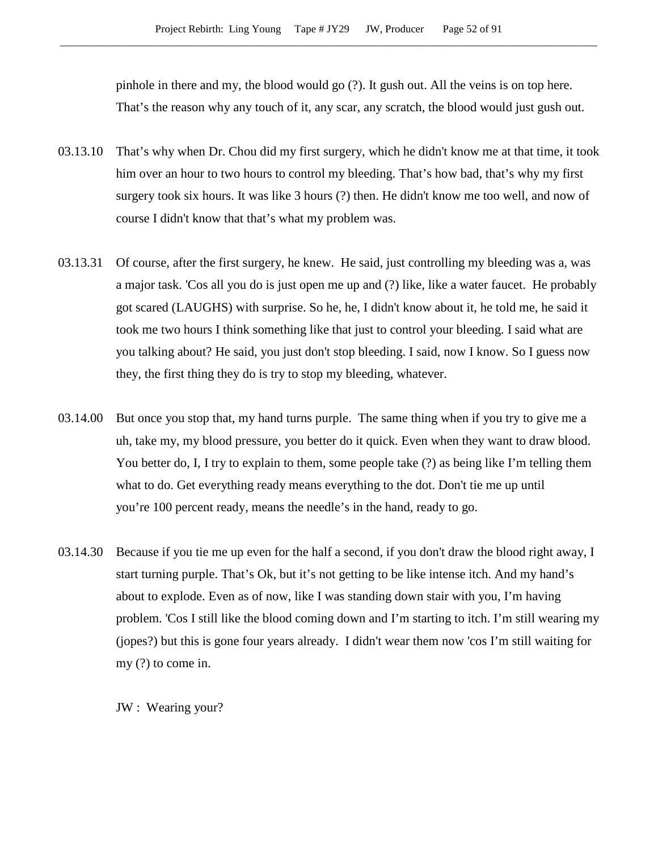pinhole in there and my, the blood would go (?). It gush out. All the veins is on top here. That's the reason why any touch of it, any scar, any scratch, the blood would just gush out.

- 03.13.10 That's why when Dr. Chou did my first surgery, which he didn't know me at that time, it took him over an hour to two hours to control my bleeding. That's how bad, that's why my first surgery took six hours. It was like 3 hours (?) then. He didn't know me too well, and now of course I didn't know that that's what my problem was.
- 03.13.31 Of course, after the first surgery, he knew. He said, just controlling my bleeding was a, was a major task. 'Cos all you do is just open me up and (?) like, like a water faucet. He probably got scared (LAUGHS) with surprise. So he, he, I didn't know about it, he told me, he said it took me two hours I think something like that just to control your bleeding. I said what are you talking about? He said, you just don't stop bleeding. I said, now I know. So I guess now they, the first thing they do is try to stop my bleeding, whatever.
- 03.14.00 But once you stop that, my hand turns purple. The same thing when if you try to give me a uh, take my, my blood pressure, you better do it quick. Even when they want to draw blood. You better do, I, I try to explain to them, some people take (?) as being like I'm telling them what to do. Get everything ready means everything to the dot. Don't tie me up until you're 100 percent ready, means the needle's in the hand, ready to go.
- 03.14.30 Because if you tie me up even for the half a second, if you don't draw the blood right away, I start turning purple. That's Ok, but it's not getting to be like intense itch. And my hand's about to explode. Even as of now, like I was standing down stair with you, I'm having problem. 'Cos I still like the blood coming down and I'm starting to itch. I'm still wearing my (jopes?) but this is gone four years already. I didn't wear them now 'cos I'm still waiting for my (?) to come in.

JW : Wearing your?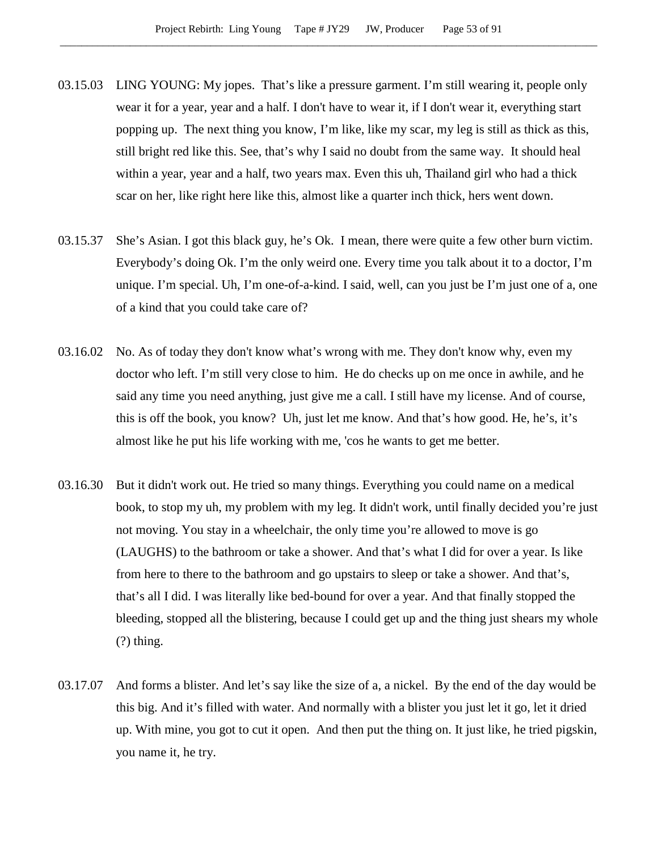- 03.15.03 LING YOUNG: My jopes. That's like a pressure garment. I'm still wearing it, people only wear it for a year, year and a half. I don't have to wear it, if I don't wear it, everything start popping up. The next thing you know, I'm like, like my scar, my leg is still as thick as this, still bright red like this. See, that's why I said no doubt from the same way. It should heal within a year, year and a half, two years max. Even this uh, Thailand girl who had a thick scar on her, like right here like this, almost like a quarter inch thick, hers went down.
- 03.15.37 She's Asian. I got this black guy, he's Ok. I mean, there were quite a few other burn victim. Everybody's doing Ok. I'm the only weird one. Every time you talk about it to a doctor, I'm unique. I'm special. Uh, I'm one-of-a-kind. I said, well, can you just be I'm just one of a, one of a kind that you could take care of?
- 03.16.02 No. As of today they don't know what's wrong with me. They don't know why, even my doctor who left. I'm still very close to him. He do checks up on me once in awhile, and he said any time you need anything, just give me a call. I still have my license. And of course, this is off the book, you know? Uh, just let me know. And that's how good. He, he's, it's almost like he put his life working with me, 'cos he wants to get me better.
- 03.16.30 But it didn't work out. He tried so many things. Everything you could name on a medical book, to stop my uh, my problem with my leg. It didn't work, until finally decided you're just not moving. You stay in a wheelchair, the only time you're allowed to move is go (LAUGHS) to the bathroom or take a shower. And that's what I did for over a year. Is like from here to there to the bathroom and go upstairs to sleep or take a shower. And that's, that's all I did. I was literally like bed-bound for over a year. And that finally stopped the bleeding, stopped all the blistering, because I could get up and the thing just shears my whole  $(?)$  thing.
- 03.17.07 And forms a blister. And let's say like the size of a, a nickel. By the end of the day would be this big. And it's filled with water. And normally with a blister you just let it go, let it dried up. With mine, you got to cut it open. And then put the thing on. It just like, he tried pigskin, you name it, he try.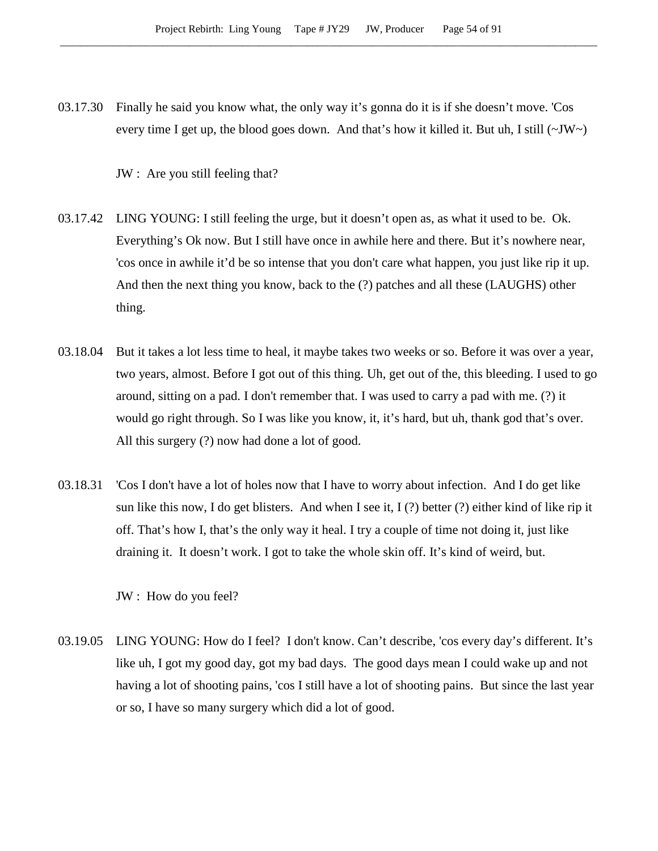03.17.30 Finally he said you know what, the only way it's gonna do it is if she doesn't move. 'Cos every time I get up, the blood goes down. And that's how it killed it. But uh, I still  $(\sim JW \sim)$ 

JW : Are you still feeling that?

- 03.17.42 LING YOUNG: I still feeling the urge, but it doesn't open as, as what it used to be. Ok. Everything's Ok now. But I still have once in awhile here and there. But it's nowhere near, 'cos once in awhile it'd be so intense that you don't care what happen, you just like rip it up. And then the next thing you know, back to the (?) patches and all these (LAUGHS) other thing.
- 03.18.04 But it takes a lot less time to heal, it maybe takes two weeks or so. Before it was over a year, two years, almost. Before I got out of this thing. Uh, get out of the, this bleeding. I used to go around, sitting on a pad. I don't remember that. I was used to carry a pad with me. (?) it would go right through. So I was like you know, it, it's hard, but uh, thank god that's over. All this surgery (?) now had done a lot of good.
- 03.18.31 'Cos I don't have a lot of holes now that I have to worry about infection. And I do get like sun like this now, I do get blisters. And when I see it, I (?) better (?) either kind of like rip it off. That's how I, that's the only way it heal. I try a couple of time not doing it, just like draining it. It doesn't work. I got to take the whole skin off. It's kind of weird, but.

JW : How do you feel?

03.19.05 LING YOUNG: How do I feel? I don't know. Can't describe, 'cos every day's different. It's like uh, I got my good day, got my bad days. The good days mean I could wake up and not having a lot of shooting pains, 'cos I still have a lot of shooting pains. But since the last year or so, I have so many surgery which did a lot of good.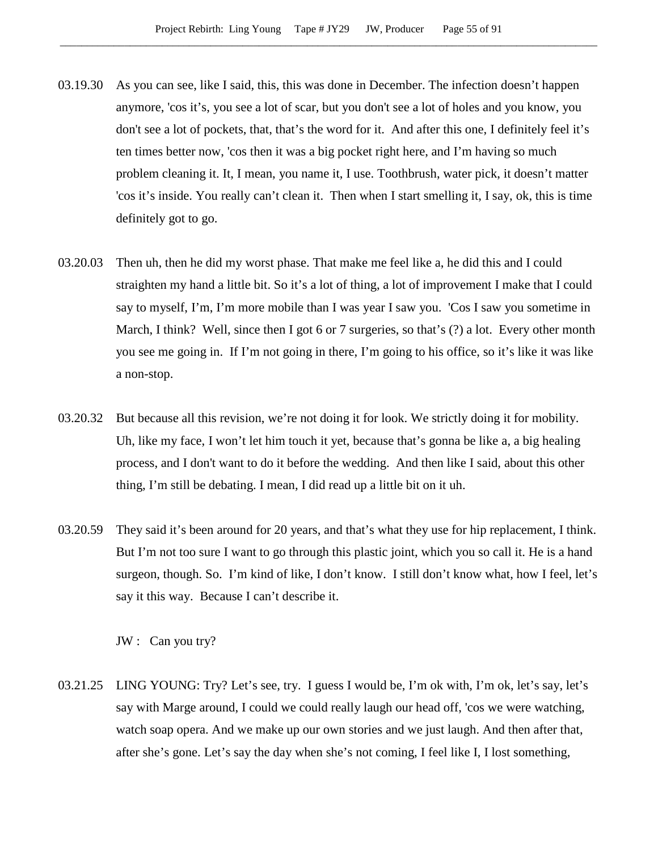- 03.19.30 As you can see, like I said, this, this was done in December. The infection doesn't happen anymore, 'cos it's, you see a lot of scar, but you don't see a lot of holes and you know, you don't see a lot of pockets, that, that's the word for it. And after this one, I definitely feel it's ten times better now, 'cos then it was a big pocket right here, and I'm having so much problem cleaning it. It, I mean, you name it, I use. Toothbrush, water pick, it doesn't matter 'cos it's inside. You really can't clean it. Then when I start smelling it, I say, ok, this is time definitely got to go.
- 03.20.03 Then uh, then he did my worst phase. That make me feel like a, he did this and I could straighten my hand a little bit. So it's a lot of thing, a lot of improvement I make that I could say to myself, I'm, I'm more mobile than I was year I saw you. 'Cos I saw you sometime in March, I think? Well, since then I got 6 or 7 surgeries, so that's (?) a lot. Every other month you see me going in. If I'm not going in there, I'm going to his office, so it's like it was like a non-stop.
- 03.20.32 But because all this revision, we're not doing it for look. We strictly doing it for mobility. Uh, like my face, I won't let him touch it yet, because that's gonna be like a, a big healing process, and I don't want to do it before the wedding. And then like I said, about this other thing, I'm still be debating. I mean, I did read up a little bit on it uh.
- 03.20.59 They said it's been around for 20 years, and that's what they use for hip replacement, I think. But I'm not too sure I want to go through this plastic joint, which you so call it. He is a hand surgeon, though. So. I'm kind of like, I don't know. I still don't know what, how I feel, let's say it this way. Because I can't describe it.

JW : Can you try?

03.21.25 LING YOUNG: Try? Let's see, try. I guess I would be, I'm ok with, I'm ok, let's say, let's say with Marge around, I could we could really laugh our head off, 'cos we were watching, watch soap opera. And we make up our own stories and we just laugh. And then after that, after she's gone. Let's say the day when she's not coming, I feel like I, I lost something,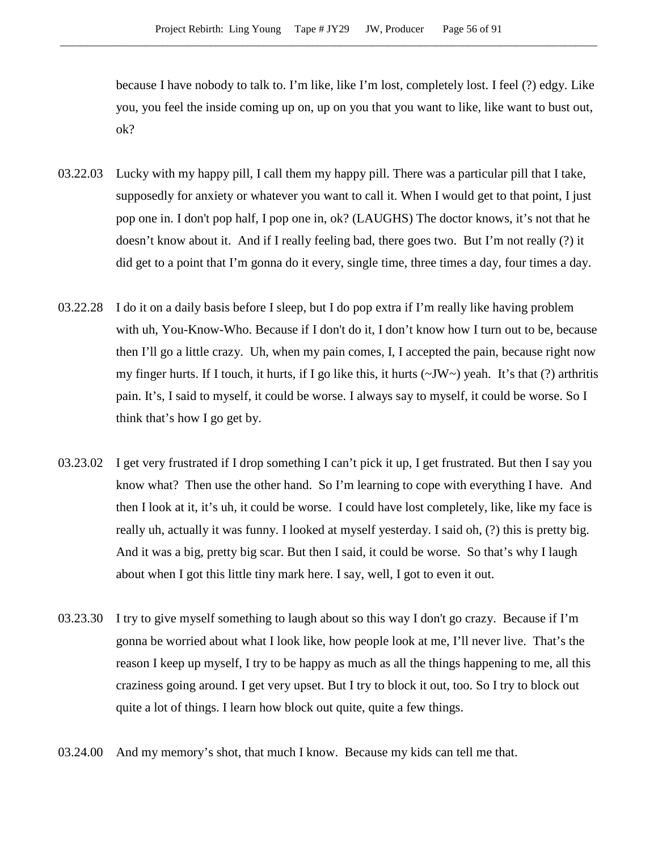because I have nobody to talk to. I'm like, like I'm lost, completely lost. I feel (?) edgy. Like you, you feel the inside coming up on, up on you that you want to like, like want to bust out, ok?

- 03.22.03 Lucky with my happy pill, I call them my happy pill. There was a particular pill that I take, supposedly for anxiety or whatever you want to call it. When I would get to that point, I just pop one in. I don't pop half, I pop one in, ok? (LAUGHS) The doctor knows, it's not that he doesn't know about it. And if I really feeling bad, there goes two. But I'm not really (?) it did get to a point that I'm gonna do it every, single time, three times a day, four times a day.
- 03.22.28 I do it on a daily basis before I sleep, but I do pop extra if I'm really like having problem with uh, You-Know-Who. Because if I don't do it, I don't know how I turn out to be, because then I'll go a little crazy. Uh, when my pain comes, I, I accepted the pain, because right now my finger hurts. If I touch, it hurts, if I go like this, it hurts  $(\sim JW_{\sim})$  yeah. It's that (?) arthritis pain. It's, I said to myself, it could be worse. I always say to myself, it could be worse. So I think that's how I go get by.
- 03.23.02 I get very frustrated if I drop something I can't pick it up, I get frustrated. But then I say you know what? Then use the other hand. So I'm learning to cope with everything I have. And then I look at it, it's uh, it could be worse. I could have lost completely, like, like my face is really uh, actually it was funny. I looked at myself yesterday. I said oh, (?) this is pretty big. And it was a big, pretty big scar. But then I said, it could be worse. So that's why I laugh about when I got this little tiny mark here. I say, well, I got to even it out.
- 03.23.30 I try to give myself something to laugh about so this way I don't go crazy. Because if I'm gonna be worried about what I look like, how people look at me, I'll never live. That's the reason I keep up myself, I try to be happy as much as all the things happening to me, all this craziness going around. I get very upset. But I try to block it out, too. So I try to block out quite a lot of things. I learn how block out quite, quite a few things.
- 03.24.00 And my memory's shot, that much I know. Because my kids can tell me that.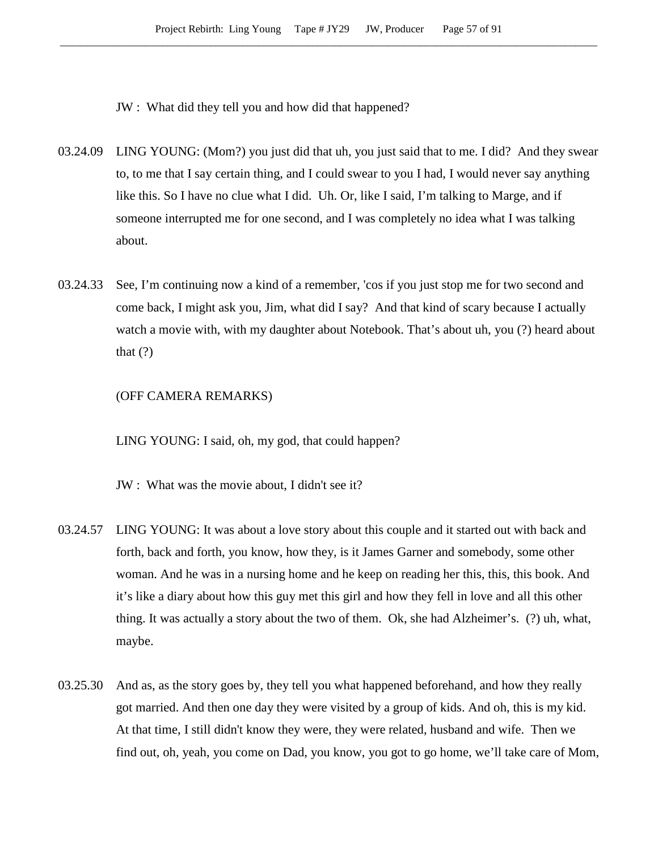JW : What did they tell you and how did that happened?

- 03.24.09 LING YOUNG: (Mom?) you just did that uh, you just said that to me. I did? And they swear to, to me that I say certain thing, and I could swear to you I had, I would never say anything like this. So I have no clue what I did. Uh. Or, like I said, I'm talking to Marge, and if someone interrupted me for one second, and I was completely no idea what I was talking about.
- 03.24.33 See, I'm continuing now a kind of a remember, 'cos if you just stop me for two second and come back, I might ask you, Jim, what did I say? And that kind of scary because I actually watch a movie with, with my daughter about Notebook. That's about uh, you (?) heard about that  $(?)$

### (OFF CAMERA REMARKS)

LING YOUNG: I said, oh, my god, that could happen?

JW : What was the movie about, I didn't see it?

- 03.24.57 LING YOUNG: It was about a love story about this couple and it started out with back and forth, back and forth, you know, how they, is it James Garner and somebody, some other woman. And he was in a nursing home and he keep on reading her this, this, this book. And it's like a diary about how this guy met this girl and how they fell in love and all this other thing. It was actually a story about the two of them. Ok, she had Alzheimer's. (?) uh, what, maybe.
- 03.25.30 And as, as the story goes by, they tell you what happened beforehand, and how they really got married. And then one day they were visited by a group of kids. And oh, this is my kid. At that time, I still didn't know they were, they were related, husband and wife. Then we find out, oh, yeah, you come on Dad, you know, you got to go home, we'll take care of Mom,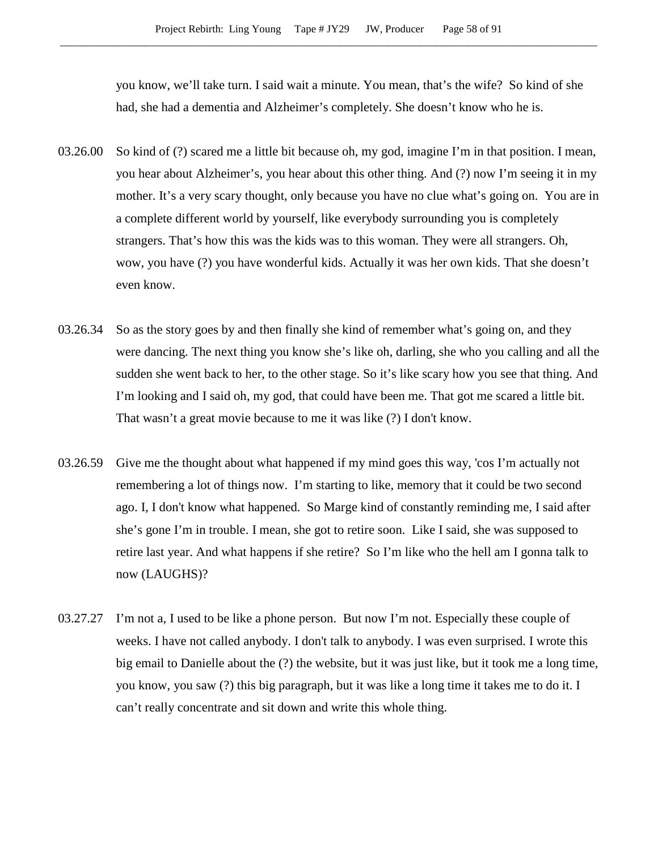you know, we'll take turn. I said wait a minute. You mean, that's the wife? So kind of she had, she had a dementia and Alzheimer's completely. She doesn't know who he is.

- 03.26.00 So kind of (?) scared me a little bit because oh, my god, imagine I'm in that position. I mean, you hear about Alzheimer's, you hear about this other thing. And (?) now I'm seeing it in my mother. It's a very scary thought, only because you have no clue what's going on. You are in a complete different world by yourself, like everybody surrounding you is completely strangers. That's how this was the kids was to this woman. They were all strangers. Oh, wow, you have (?) you have wonderful kids. Actually it was her own kids. That she doesn't even know.
- 03.26.34 So as the story goes by and then finally she kind of remember what's going on, and they were dancing. The next thing you know she's like oh, darling, she who you calling and all the sudden she went back to her, to the other stage. So it's like scary how you see that thing. And I'm looking and I said oh, my god, that could have been me. That got me scared a little bit. That wasn't a great movie because to me it was like (?) I don't know.
- 03.26.59 Give me the thought about what happened if my mind goes this way, 'cos I'm actually not remembering a lot of things now. I'm starting to like, memory that it could be two second ago. I, I don't know what happened. So Marge kind of constantly reminding me, I said after she's gone I'm in trouble. I mean, she got to retire soon. Like I said, she was supposed to retire last year. And what happens if she retire? So I'm like who the hell am I gonna talk to now (LAUGHS)?
- 03.27.27 I'm not a, I used to be like a phone person. But now I'm not. Especially these couple of weeks. I have not called anybody. I don't talk to anybody. I was even surprised. I wrote this big email to Danielle about the (?) the website, but it was just like, but it took me a long time, you know, you saw (?) this big paragraph, but it was like a long time it takes me to do it. I can't really concentrate and sit down and write this whole thing.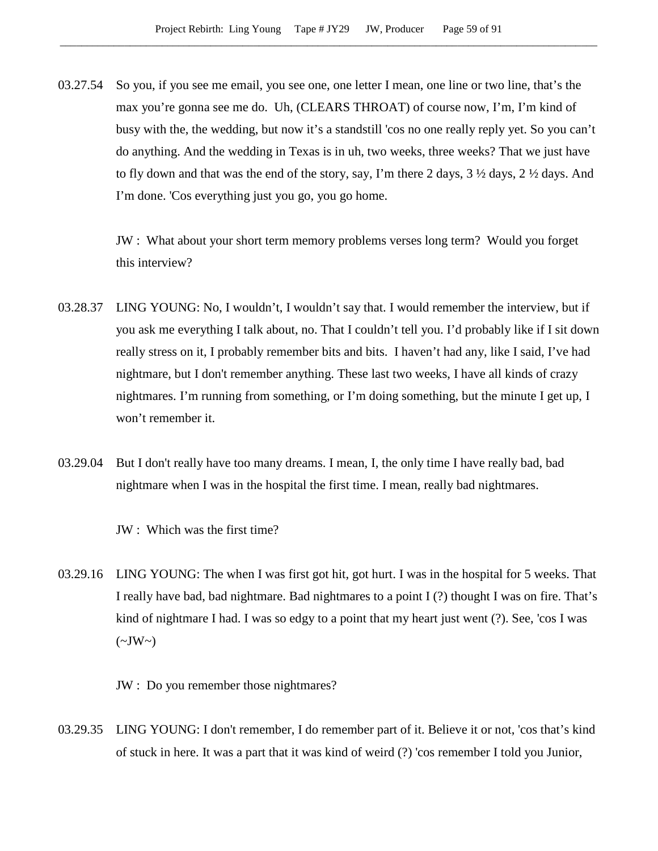03.27.54 So you, if you see me email, you see one, one letter I mean, one line or two line, that's the max you're gonna see me do. Uh, (CLEARS THROAT) of course now, I'm, I'm kind of busy with the, the wedding, but now it's a standstill 'cos no one really reply yet. So you can't do anything. And the wedding in Texas is in uh, two weeks, three weeks? That we just have to fly down and that was the end of the story, say, I'm there 2 days, 3 ½ days, 2 ½ days. And I'm done. 'Cos everything just you go, you go home.

> JW : What about your short term memory problems verses long term? Would you forget this interview?

- 03.28.37 LING YOUNG: No, I wouldn't, I wouldn't say that. I would remember the interview, but if you ask me everything I talk about, no. That I couldn't tell you. I'd probably like if I sit down really stress on it, I probably remember bits and bits. I haven't had any, like I said, I've had nightmare, but I don't remember anything. These last two weeks, I have all kinds of crazy nightmares. I'm running from something, or I'm doing something, but the minute I get up, I won't remember it.
- 03.29.04 But I don't really have too many dreams. I mean, I, the only time I have really bad, bad nightmare when I was in the hospital the first time. I mean, really bad nightmares.
	- JW : Which was the first time?
- 03.29.16 LING YOUNG: The when I was first got hit, got hurt. I was in the hospital for 5 weeks. That I really have bad, bad nightmare. Bad nightmares to a point I (?) thought I was on fire. That's kind of nightmare I had. I was so edgy to a point that my heart just went (?). See, 'cos I was  $(\sim JW \sim)$ 
	- JW : Do you remember those nightmares?
- 03.29.35 LING YOUNG: I don't remember, I do remember part of it. Believe it or not, 'cos that's kind of stuck in here. It was a part that it was kind of weird (?) 'cos remember I told you Junior,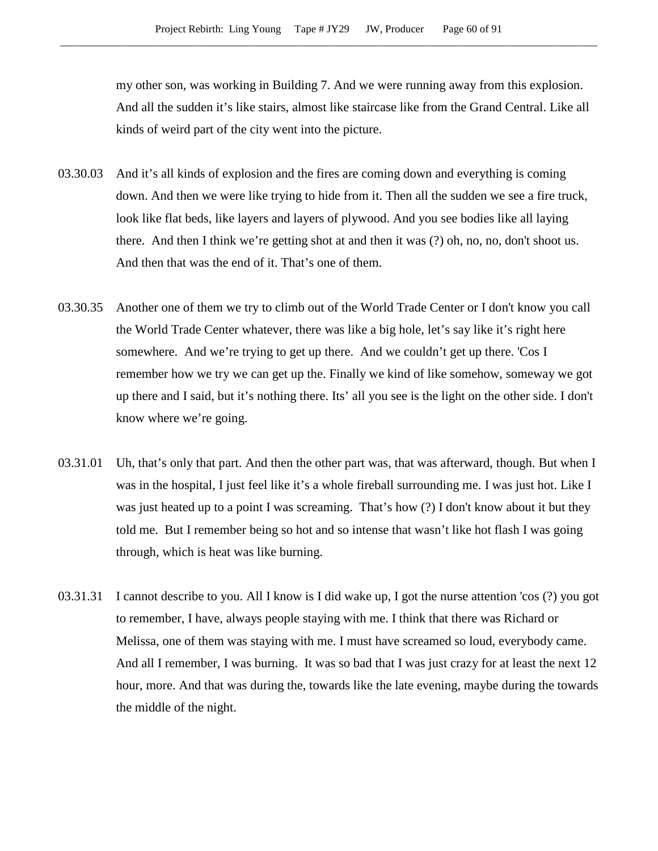my other son, was working in Building 7. And we were running away from this explosion. And all the sudden it's like stairs, almost like staircase like from the Grand Central. Like all kinds of weird part of the city went into the picture.

- 03.30.03 And it's all kinds of explosion and the fires are coming down and everything is coming down. And then we were like trying to hide from it. Then all the sudden we see a fire truck, look like flat beds, like layers and layers of plywood. And you see bodies like all laying there. And then I think we're getting shot at and then it was (?) oh, no, no, don't shoot us. And then that was the end of it. That's one of them.
- 03.30.35 Another one of them we try to climb out of the World Trade Center or I don't know you call the World Trade Center whatever, there was like a big hole, let's say like it's right here somewhere. And we're trying to get up there. And we couldn't get up there. 'Cos I remember how we try we can get up the. Finally we kind of like somehow, someway we got up there and I said, but it's nothing there. Its' all you see is the light on the other side. I don't know where we're going.
- 03.31.01 Uh, that's only that part. And then the other part was, that was afterward, though. But when I was in the hospital, I just feel like it's a whole fireball surrounding me. I was just hot. Like I was just heated up to a point I was screaming. That's how (?) I don't know about it but they told me. But I remember being so hot and so intense that wasn't like hot flash I was going through, which is heat was like burning.
- 03.31.31 I cannot describe to you. All I know is I did wake up, I got the nurse attention 'cos (?) you got to remember, I have, always people staying with me. I think that there was Richard or Melissa, one of them was staying with me. I must have screamed so loud, everybody came. And all I remember, I was burning. It was so bad that I was just crazy for at least the next 12 hour, more. And that was during the, towards like the late evening, maybe during the towards the middle of the night.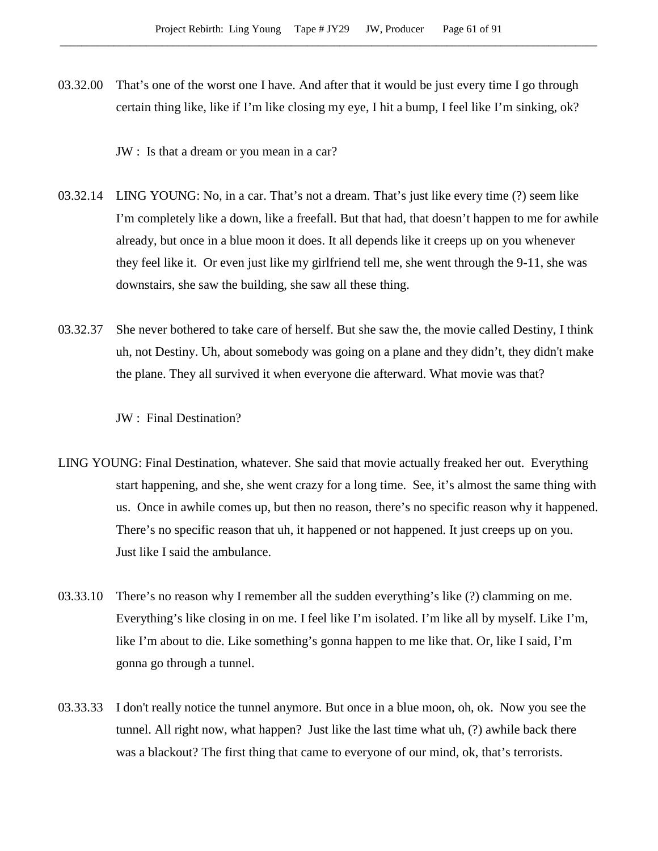03.32.00 That's one of the worst one I have. And after that it would be just every time I go through certain thing like, like if I'm like closing my eye, I hit a bump, I feel like I'm sinking, ok?

JW : Is that a dream or you mean in a car?

- 03.32.14 LING YOUNG: No, in a car. That's not a dream. That's just like every time (?) seem like I'm completely like a down, like a freefall. But that had, that doesn't happen to me for awhile already, but once in a blue moon it does. It all depends like it creeps up on you whenever they feel like it. Or even just like my girlfriend tell me, she went through the 9-11, she was downstairs, she saw the building, she saw all these thing.
- 03.32.37 She never bothered to take care of herself. But she saw the, the movie called Destiny, I think uh, not Destiny. Uh, about somebody was going on a plane and they didn't, they didn't make the plane. They all survived it when everyone die afterward. What movie was that?

JW : Final Destination?

- LING YOUNG: Final Destination, whatever. She said that movie actually freaked her out. Everything start happening, and she, she went crazy for a long time. See, it's almost the same thing with us. Once in awhile comes up, but then no reason, there's no specific reason why it happened. There's no specific reason that uh, it happened or not happened. It just creeps up on you. Just like I said the ambulance.
- 03.33.10 There's no reason why I remember all the sudden everything's like (?) clamming on me. Everything's like closing in on me. I feel like I'm isolated. I'm like all by myself. Like I'm, like I'm about to die. Like something's gonna happen to me like that. Or, like I said, I'm gonna go through a tunnel.
- 03.33.33 I don't really notice the tunnel anymore. But once in a blue moon, oh, ok. Now you see the tunnel. All right now, what happen? Just like the last time what uh, (?) awhile back there was a blackout? The first thing that came to everyone of our mind, ok, that's terrorists.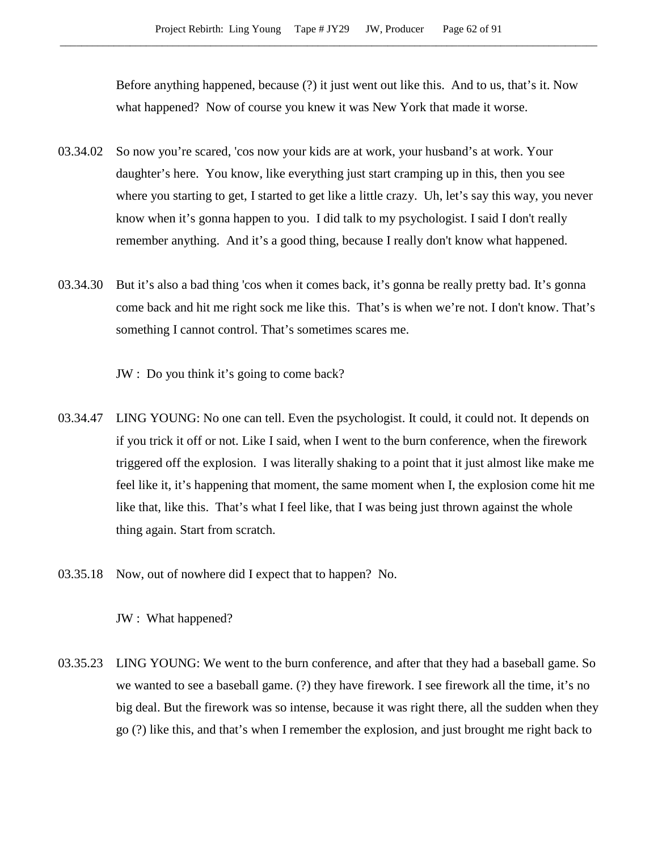Before anything happened, because (?) it just went out like this. And to us, that's it. Now what happened? Now of course you knew it was New York that made it worse.

- 03.34.02 So now you're scared, 'cos now your kids are at work, your husband's at work. Your daughter's here. You know, like everything just start cramping up in this, then you see where you starting to get, I started to get like a little crazy. Uh, let's say this way, you never know when it's gonna happen to you. I did talk to my psychologist. I said I don't really remember anything. And it's a good thing, because I really don't know what happened.
- 03.34.30 But it's also a bad thing 'cos when it comes back, it's gonna be really pretty bad. It's gonna come back and hit me right sock me like this. That's is when we're not. I don't know. That's something I cannot control. That's sometimes scares me.

JW : Do you think it's going to come back?

- 03.34.47 LING YOUNG: No one can tell. Even the psychologist. It could, it could not. It depends on if you trick it off or not. Like I said, when I went to the burn conference, when the firework triggered off the explosion. I was literally shaking to a point that it just almost like make me feel like it, it's happening that moment, the same moment when I, the explosion come hit me like that, like this. That's what I feel like, that I was being just thrown against the whole thing again. Start from scratch.
- 03.35.18 Now, out of nowhere did I expect that to happen? No.

JW : What happened?

03.35.23 LING YOUNG: We went to the burn conference, and after that they had a baseball game. So we wanted to see a baseball game. (?) they have firework. I see firework all the time, it's no big deal. But the firework was so intense, because it was right there, all the sudden when they go (?) like this, and that's when I remember the explosion, and just brought me right back to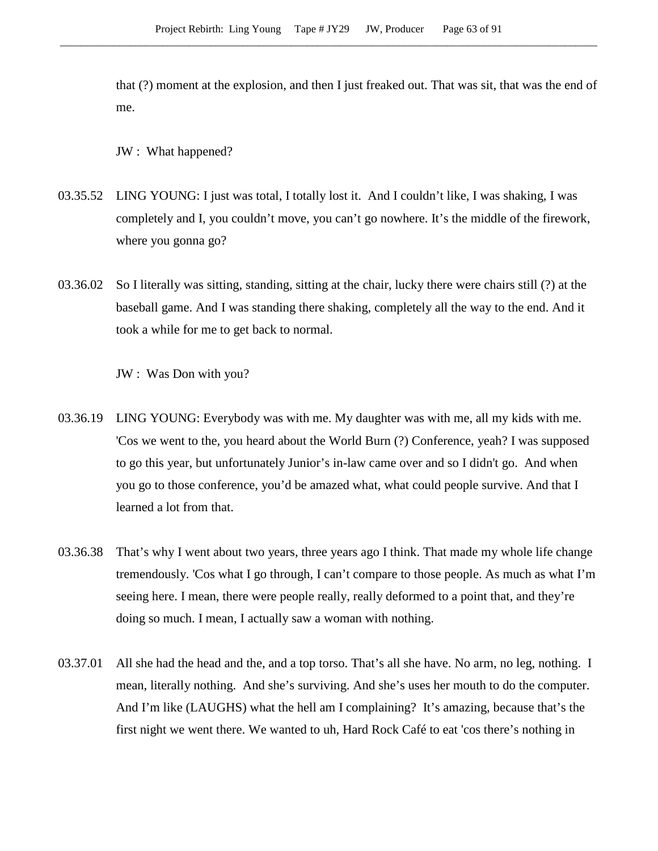that (?) moment at the explosion, and then I just freaked out. That was sit, that was the end of me.

JW : What happened?

- 03.35.52 LING YOUNG: I just was total, I totally lost it. And I couldn't like, I was shaking, I was completely and I, you couldn't move, you can't go nowhere. It's the middle of the firework, where you gonna go?
- 03.36.02 So I literally was sitting, standing, sitting at the chair, lucky there were chairs still (?) at the baseball game. And I was standing there shaking, completely all the way to the end. And it took a while for me to get back to normal.

JW : Was Don with you?

- 03.36.19 LING YOUNG: Everybody was with me. My daughter was with me, all my kids with me. 'Cos we went to the, you heard about the World Burn (?) Conference, yeah? I was supposed to go this year, but unfortunately Junior's in-law came over and so I didn't go. And when you go to those conference, you'd be amazed what, what could people survive. And that I learned a lot from that.
- 03.36.38 That's why I went about two years, three years ago I think. That made my whole life change tremendously. 'Cos what I go through, I can't compare to those people. As much as what I'm seeing here. I mean, there were people really, really deformed to a point that, and they're doing so much. I mean, I actually saw a woman with nothing.
- 03.37.01 All she had the head and the, and a top torso. That's all she have. No arm, no leg, nothing. I mean, literally nothing. And she's surviving. And she's uses her mouth to do the computer. And I'm like (LAUGHS) what the hell am I complaining? It's amazing, because that's the first night we went there. We wanted to uh, Hard Rock Café to eat 'cos there's nothing in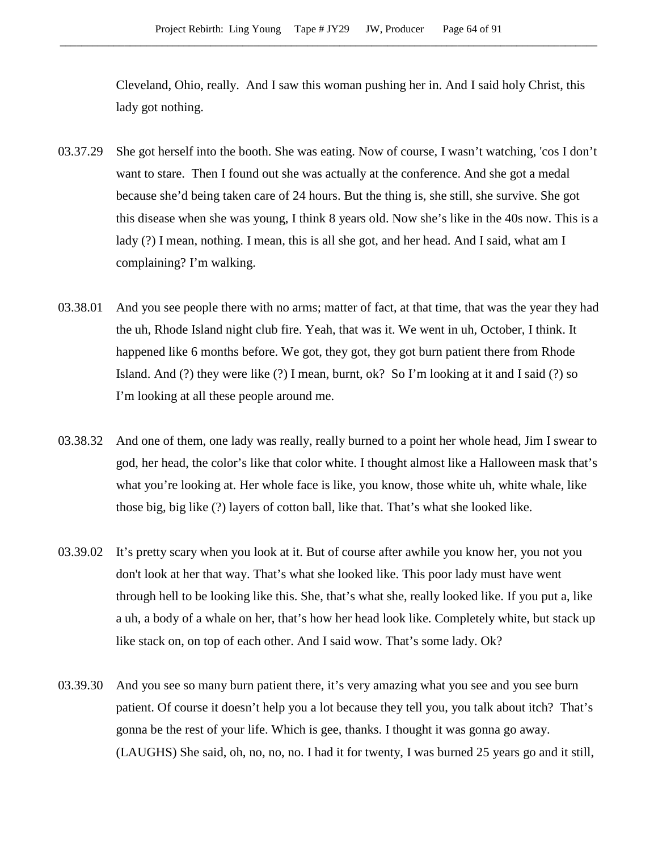Cleveland, Ohio, really. And I saw this woman pushing her in. And I said holy Christ, this lady got nothing.

- 03.37.29 She got herself into the booth. She was eating. Now of course, I wasn't watching, 'cos I don't want to stare. Then I found out she was actually at the conference. And she got a medal because she'd being taken care of 24 hours. But the thing is, she still, she survive. She got this disease when she was young, I think 8 years old. Now she's like in the 40s now. This is a lady (?) I mean, nothing. I mean, this is all she got, and her head. And I said, what am I complaining? I'm walking.
- 03.38.01 And you see people there with no arms; matter of fact, at that time, that was the year they had the uh, Rhode Island night club fire. Yeah, that was it. We went in uh, October, I think. It happened like 6 months before. We got, they got, they got burn patient there from Rhode Island. And (?) they were like (?) I mean, burnt, ok? So I'm looking at it and I said (?) so I'm looking at all these people around me.
- 03.38.32 And one of them, one lady was really, really burned to a point her whole head, Jim I swear to god, her head, the color's like that color white. I thought almost like a Halloween mask that's what you're looking at. Her whole face is like, you know, those white uh, white whale, like those big, big like (?) layers of cotton ball, like that. That's what she looked like.
- 03.39.02 It's pretty scary when you look at it. But of course after awhile you know her, you not you don't look at her that way. That's what she looked like. This poor lady must have went through hell to be looking like this. She, that's what she, really looked like. If you put a, like a uh, a body of a whale on her, that's how her head look like. Completely white, but stack up like stack on, on top of each other. And I said wow. That's some lady. Ok?
- 03.39.30 And you see so many burn patient there, it's very amazing what you see and you see burn patient. Of course it doesn't help you a lot because they tell you, you talk about itch? That's gonna be the rest of your life. Which is gee, thanks. I thought it was gonna go away. (LAUGHS) She said, oh, no, no, no. I had it for twenty, I was burned 25 years go and it still,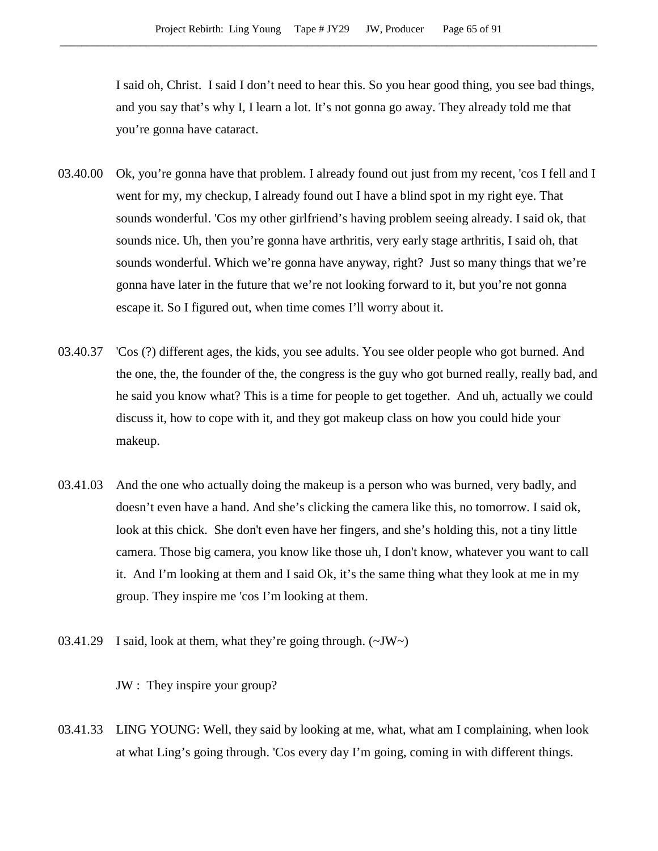I said oh, Christ. I said I don't need to hear this. So you hear good thing, you see bad things, and you say that's why I, I learn a lot. It's not gonna go away. They already told me that you're gonna have cataract.

- 03.40.00 Ok, you're gonna have that problem. I already found out just from my recent, 'cos I fell and I went for my, my checkup, I already found out I have a blind spot in my right eye. That sounds wonderful. 'Cos my other girlfriend's having problem seeing already. I said ok, that sounds nice. Uh, then you're gonna have arthritis, very early stage arthritis, I said oh, that sounds wonderful. Which we're gonna have anyway, right? Just so many things that we're gonna have later in the future that we're not looking forward to it, but you're not gonna escape it. So I figured out, when time comes I'll worry about it.
- 03.40.37 'Cos (?) different ages, the kids, you see adults. You see older people who got burned. And the one, the, the founder of the, the congress is the guy who got burned really, really bad, and he said you know what? This is a time for people to get together. And uh, actually we could discuss it, how to cope with it, and they got makeup class on how you could hide your makeup.
- 03.41.03 And the one who actually doing the makeup is a person who was burned, very badly, and doesn't even have a hand. And she's clicking the camera like this, no tomorrow. I said ok, look at this chick. She don't even have her fingers, and she's holding this, not a tiny little camera. Those big camera, you know like those uh, I don't know, whatever you want to call it. And I'm looking at them and I said Ok, it's the same thing what they look at me in my group. They inspire me 'cos I'm looking at them.
- 03.41.29 I said, look at them, what they're going through.  $(\sim JW \sim)$

JW : They inspire your group?

03.41.33 LING YOUNG: Well, they said by looking at me, what, what am I complaining, when look at what Ling's going through. 'Cos every day I'm going, coming in with different things.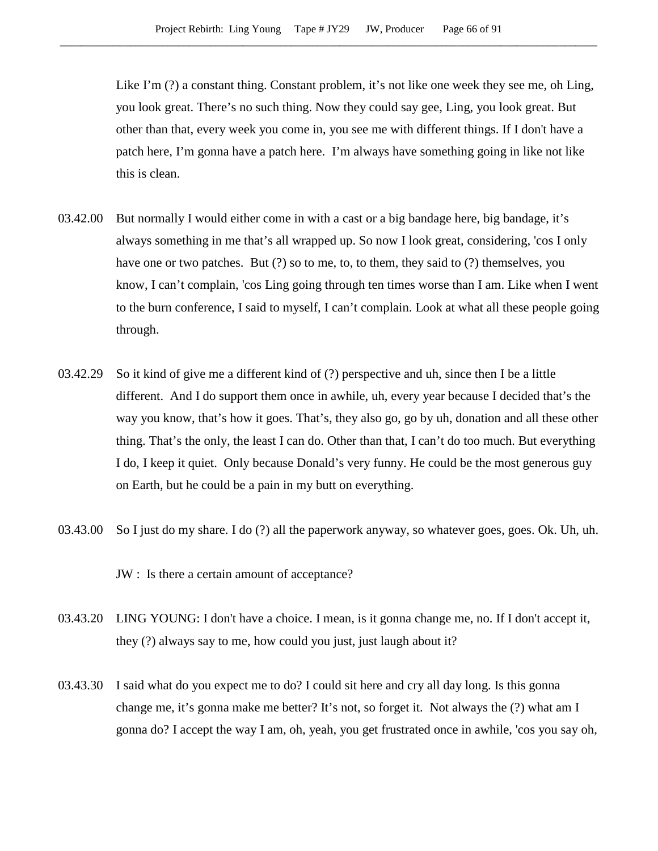Like I'm (?) a constant thing. Constant problem, it's not like one week they see me, oh Ling, you look great. There's no such thing. Now they could say gee, Ling, you look great. But other than that, every week you come in, you see me with different things. If I don't have a patch here, I'm gonna have a patch here. I'm always have something going in like not like this is clean.

- 03.42.00 But normally I would either come in with a cast or a big bandage here, big bandage, it's always something in me that's all wrapped up. So now I look great, considering, 'cos I only have one or two patches. But (?) so to me, to, to them, they said to (?) themselves, you know, I can't complain, 'cos Ling going through ten times worse than I am. Like when I went to the burn conference, I said to myself, I can't complain. Look at what all these people going through.
- 03.42.29 So it kind of give me a different kind of (?) perspective and uh, since then I be a little different. And I do support them once in awhile, uh, every year because I decided that's the way you know, that's how it goes. That's, they also go, go by uh, donation and all these other thing. That's the only, the least I can do. Other than that, I can't do too much. But everything I do, I keep it quiet. Only because Donald's very funny. He could be the most generous guy on Earth, but he could be a pain in my butt on everything.
- 03.43.00 So I just do my share. I do (?) all the paperwork anyway, so whatever goes, goes. Ok. Uh, uh.

JW : Is there a certain amount of acceptance?

- 03.43.20 LING YOUNG: I don't have a choice. I mean, is it gonna change me, no. If I don't accept it, they (?) always say to me, how could you just, just laugh about it?
- 03.43.30 I said what do you expect me to do? I could sit here and cry all day long. Is this gonna change me, it's gonna make me better? It's not, so forget it. Not always the (?) what am I gonna do? I accept the way I am, oh, yeah, you get frustrated once in awhile, 'cos you say oh,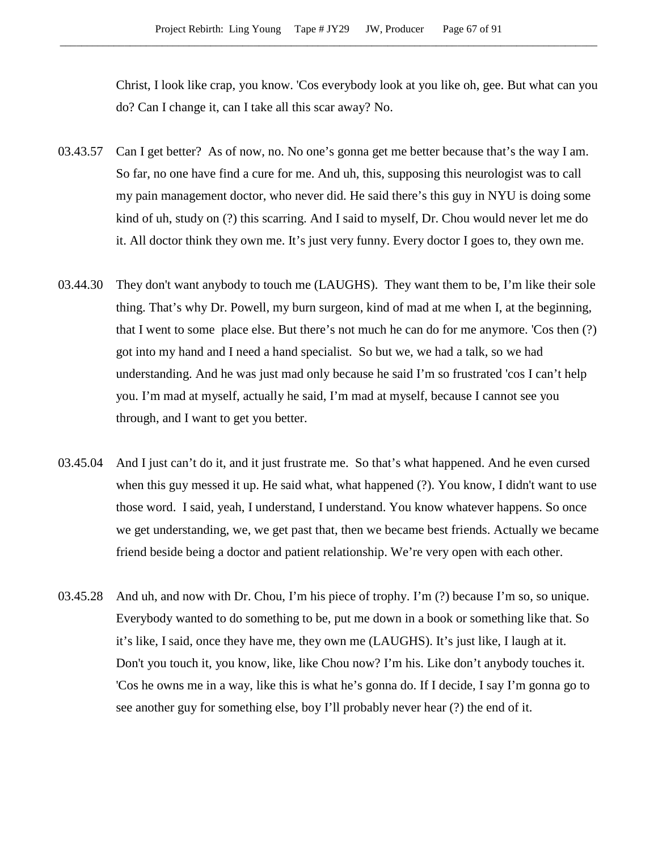Christ, I look like crap, you know. 'Cos everybody look at you like oh, gee. But what can you do? Can I change it, can I take all this scar away? No.

- 03.43.57 Can I get better? As of now, no. No one's gonna get me better because that's the way I am. So far, no one have find a cure for me. And uh, this, supposing this neurologist was to call my pain management doctor, who never did. He said there's this guy in NYU is doing some kind of uh, study on (?) this scarring. And I said to myself, Dr. Chou would never let me do it. All doctor think they own me. It's just very funny. Every doctor I goes to, they own me.
- 03.44.30 They don't want anybody to touch me (LAUGHS). They want them to be, I'm like their sole thing. That's why Dr. Powell, my burn surgeon, kind of mad at me when I, at the beginning, that I went to some place else. But there's not much he can do for me anymore. 'Cos then (?) got into my hand and I need a hand specialist. So but we, we had a talk, so we had understanding. And he was just mad only because he said I'm so frustrated 'cos I can't help you. I'm mad at myself, actually he said, I'm mad at myself, because I cannot see you through, and I want to get you better.
- 03.45.04 And I just can't do it, and it just frustrate me. So that's what happened. And he even cursed when this guy messed it up. He said what, what happened (?). You know, I didn't want to use those word. I said, yeah, I understand, I understand. You know whatever happens. So once we get understanding, we, we get past that, then we became best friends. Actually we became friend beside being a doctor and patient relationship. We're very open with each other.
- 03.45.28 And uh, and now with Dr. Chou, I'm his piece of trophy. I'm (?) because I'm so, so unique. Everybody wanted to do something to be, put me down in a book or something like that. So it's like, I said, once they have me, they own me (LAUGHS). It's just like, I laugh at it. Don't you touch it, you know, like, like Chou now? I'm his. Like don't anybody touches it. 'Cos he owns me in a way, like this is what he's gonna do. If I decide, I say I'm gonna go to see another guy for something else, boy I'll probably never hear (?) the end of it.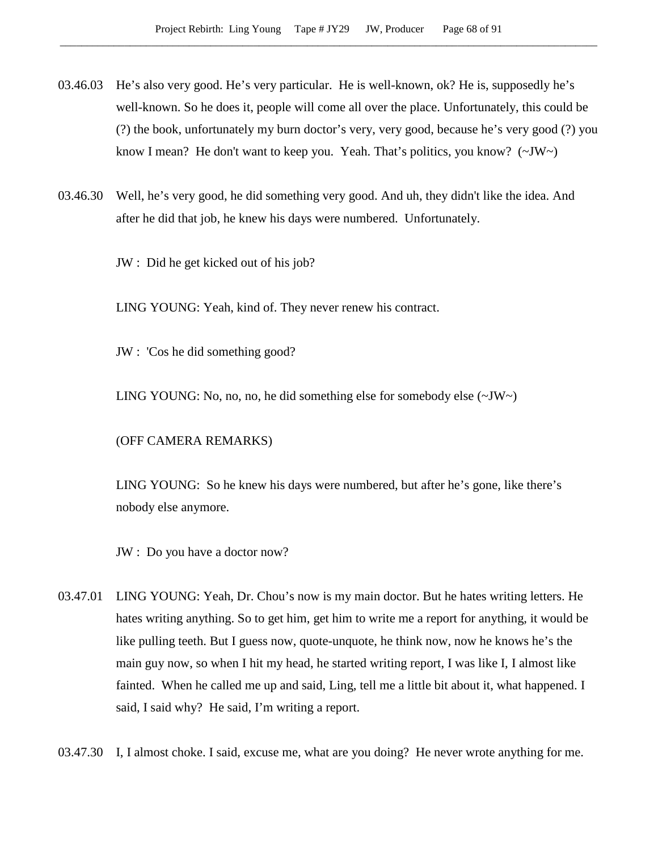- 03.46.03 He's also very good. He's very particular. He is well-known, ok? He is, supposedly he's well-known. So he does it, people will come all over the place. Unfortunately, this could be (?) the book, unfortunately my burn doctor's very, very good, because he's very good (?) you know I mean? He don't want to keep you. Yeah. That's politics, you know?  $(\sim JW \sim)$
- 03.46.30 Well, he's very good, he did something very good. And uh, they didn't like the idea. And after he did that job, he knew his days were numbered. Unfortunately.

JW : Did he get kicked out of his job?

LING YOUNG: Yeah, kind of. They never renew his contract.

JW : 'Cos he did something good?

LING YOUNG: No, no, no, he did something else for somebody else (~JW~)

(OFF CAMERA REMARKS)

LING YOUNG: So he knew his days were numbered, but after he's gone, like there's nobody else anymore.

JW : Do you have a doctor now?

- 03.47.01 LING YOUNG: Yeah, Dr. Chou's now is my main doctor. But he hates writing letters. He hates writing anything. So to get him, get him to write me a report for anything, it would be like pulling teeth. But I guess now, quote-unquote, he think now, now he knows he's the main guy now, so when I hit my head, he started writing report, I was like I, I almost like fainted. When he called me up and said, Ling, tell me a little bit about it, what happened. I said, I said why? He said, I'm writing a report.
- 03.47.30 I, I almost choke. I said, excuse me, what are you doing? He never wrote anything for me.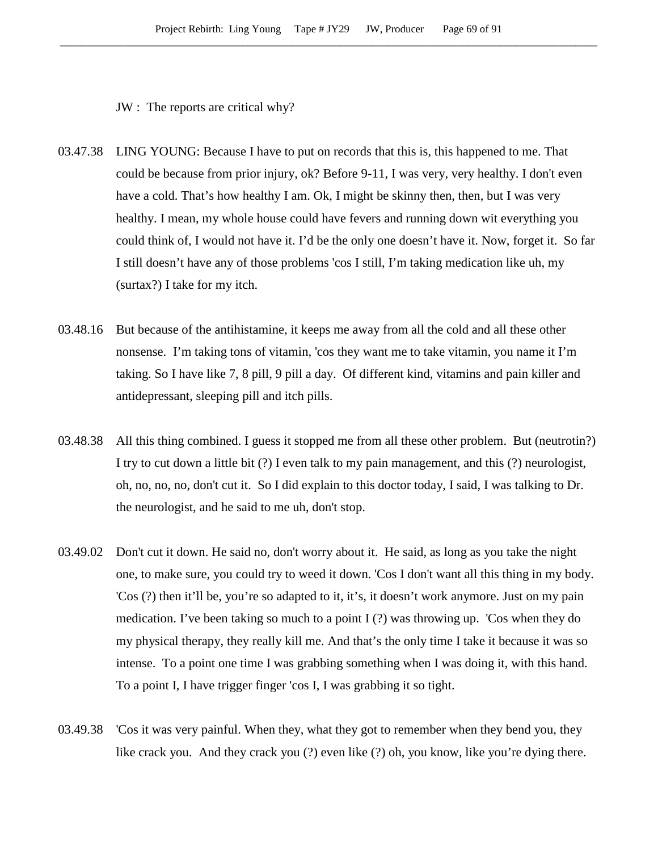JW : The reports are critical why?

- 03.47.38 LING YOUNG: Because I have to put on records that this is, this happened to me. That could be because from prior injury, ok? Before 9-11, I was very, very healthy. I don't even have a cold. That's how healthy I am. Ok, I might be skinny then, then, but I was very healthy. I mean, my whole house could have fevers and running down wit everything you could think of, I would not have it. I'd be the only one doesn't have it. Now, forget it. So far I still doesn't have any of those problems 'cos I still, I'm taking medication like uh, my (surtax?) I take for my itch.
- 03.48.16 But because of the antihistamine, it keeps me away from all the cold and all these other nonsense. I'm taking tons of vitamin, 'cos they want me to take vitamin, you name it I'm taking. So I have like 7, 8 pill, 9 pill a day. Of different kind, vitamins and pain killer and antidepressant, sleeping pill and itch pills.
- 03.48.38 All this thing combined. I guess it stopped me from all these other problem. But (neutrotin?) I try to cut down a little bit (?) I even talk to my pain management, and this (?) neurologist, oh, no, no, no, don't cut it. So I did explain to this doctor today, I said, I was talking to Dr. the neurologist, and he said to me uh, don't stop.
- 03.49.02 Don't cut it down. He said no, don't worry about it. He said, as long as you take the night one, to make sure, you could try to weed it down. 'Cos I don't want all this thing in my body. 'Cos (?) then it'll be, you're so adapted to it, it's, it doesn't work anymore. Just on my pain medication. I've been taking so much to a point I (?) was throwing up. 'Cos when they do my physical therapy, they really kill me. And that's the only time I take it because it was so intense. To a point one time I was grabbing something when I was doing it, with this hand. To a point I, I have trigger finger 'cos I, I was grabbing it so tight.
- 03.49.38 'Cos it was very painful. When they, what they got to remember when they bend you, they like crack you. And they crack you (?) even like (?) oh, you know, like you're dying there.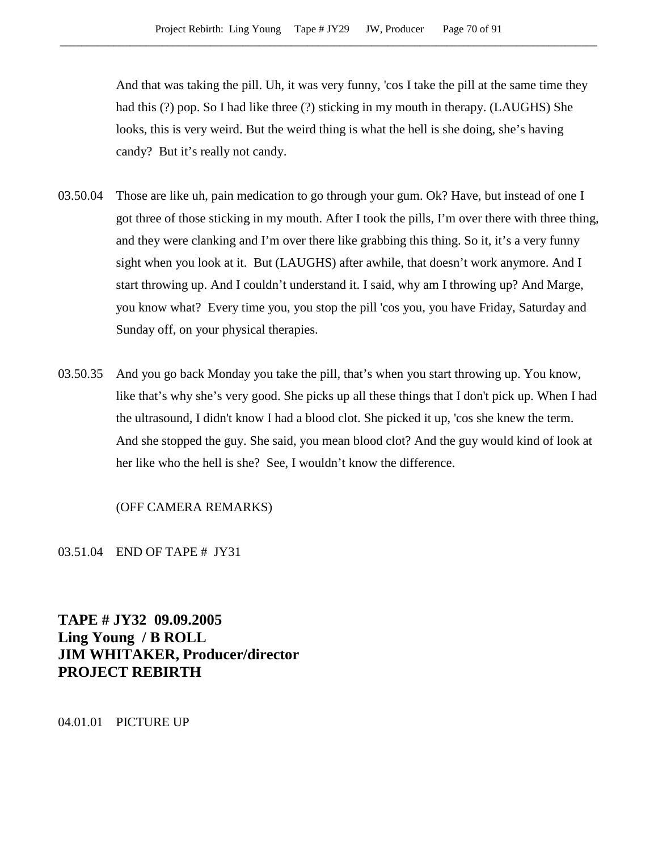And that was taking the pill. Uh, it was very funny, 'cos I take the pill at the same time they had this (?) pop. So I had like three (?) sticking in my mouth in therapy. (LAUGHS) She looks, this is very weird. But the weird thing is what the hell is she doing, she's having candy? But it's really not candy.

- 03.50.04 Those are like uh, pain medication to go through your gum. Ok? Have, but instead of one I got three of those sticking in my mouth. After I took the pills, I'm over there with three thing, and they were clanking and I'm over there like grabbing this thing. So it, it's a very funny sight when you look at it. But (LAUGHS) after awhile, that doesn't work anymore. And I start throwing up. And I couldn't understand it. I said, why am I throwing up? And Marge, you know what? Every time you, you stop the pill 'cos you, you have Friday, Saturday and Sunday off, on your physical therapies.
- 03.50.35 And you go back Monday you take the pill, that's when you start throwing up. You know, like that's why she's very good. She picks up all these things that I don't pick up. When I had the ultrasound, I didn't know I had a blood clot. She picked it up, 'cos she knew the term. And she stopped the guy. She said, you mean blood clot? And the guy would kind of look at her like who the hell is she? See, I wouldn't know the difference.

## (OFF CAMERA REMARKS)

03.51.04 END OF TAPE # JY31

**TAPE # JY32 09.09.2005 Ling Young / B ROLL JIM WHITAKER, Producer/director PROJECT REBIRTH**

04.01.01 PICTURE UP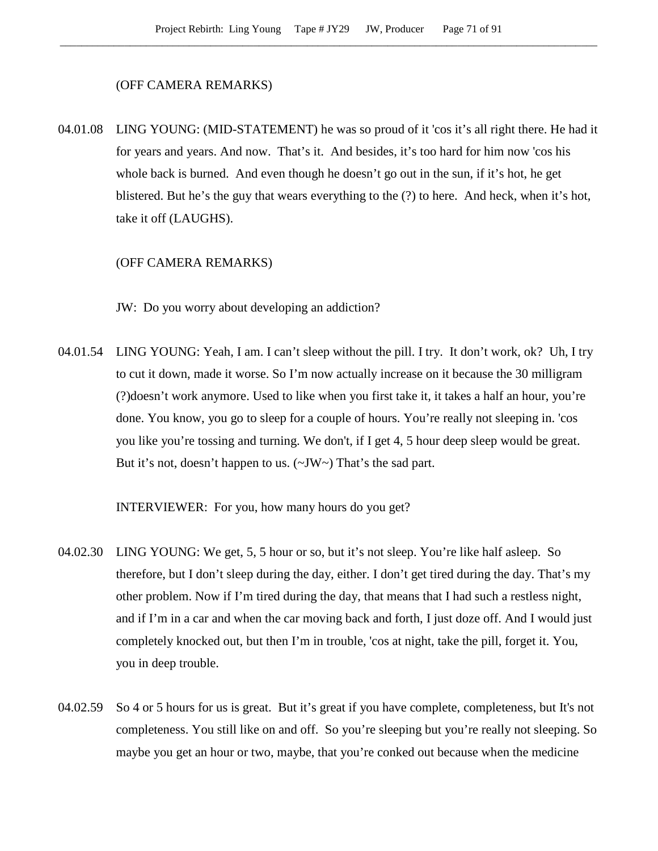#### (OFF CAMERA REMARKS)

04.01.08 LING YOUNG: (MID-STATEMENT) he was so proud of it 'cos it's all right there. He had it for years and years. And now. That's it. And besides, it's too hard for him now 'cos his whole back is burned. And even though he doesn't go out in the sun, if it's hot, he get blistered. But he's the guy that wears everything to the (?) to here. And heck, when it's hot, take it off (LAUGHS).

### (OFF CAMERA REMARKS)

JW: Do you worry about developing an addiction?

04.01.54 LING YOUNG: Yeah, I am. I can't sleep without the pill. I try. It don't work, ok? Uh, I try to cut it down, made it worse. So I'm now actually increase on it because the 30 milligram (?)doesn't work anymore. Used to like when you first take it, it takes a half an hour, you're done. You know, you go to sleep for a couple of hours. You're really not sleeping in. 'cos you like you're tossing and turning. We don't, if I get 4, 5 hour deep sleep would be great. But it's not, doesn't happen to us. ( $\sim$ JW $\sim$ ) That's the sad part.

INTERVIEWER: For you, how many hours do you get?

- 04.02.30 LING YOUNG: We get, 5, 5 hour or so, but it's not sleep. You're like half asleep. So therefore, but I don't sleep during the day, either. I don't get tired during the day. That's my other problem. Now if I'm tired during the day, that means that I had such a restless night, and if I'm in a car and when the car moving back and forth, I just doze off. And I would just completely knocked out, but then I'm in trouble, 'cos at night, take the pill, forget it. You, you in deep trouble.
- 04.02.59 So 4 or 5 hours for us is great. But it's great if you have complete, completeness, but It's not completeness. You still like on and off. So you're sleeping but you're really not sleeping. So maybe you get an hour or two, maybe, that you're conked out because when the medicine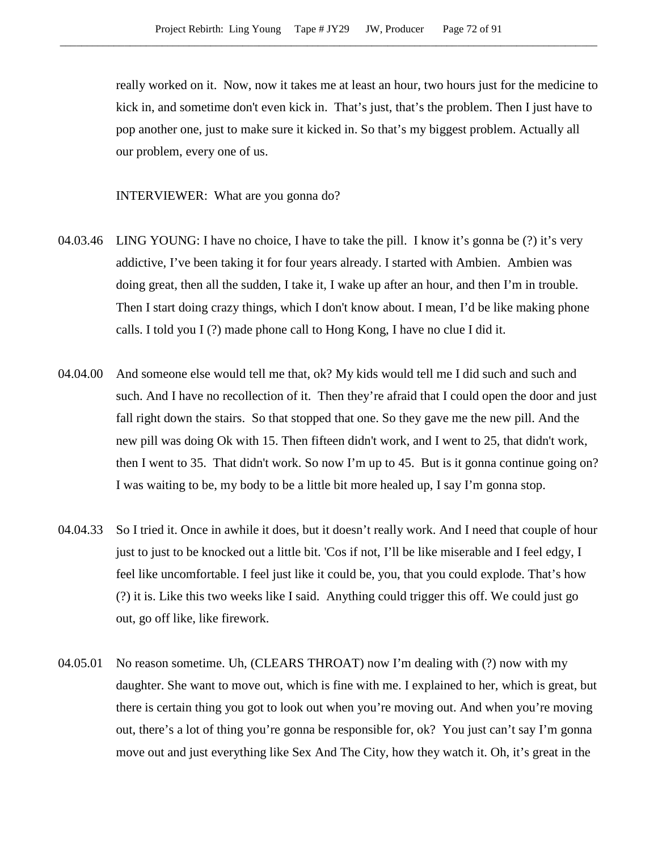really worked on it. Now, now it takes me at least an hour, two hours just for the medicine to kick in, and sometime don't even kick in. That's just, that's the problem. Then I just have to pop another one, just to make sure it kicked in. So that's my biggest problem. Actually all our problem, every one of us.

INTERVIEWER: What are you gonna do?

- 04.03.46 LING YOUNG: I have no choice, I have to take the pill. I know it's gonna be (?) it's very addictive, I've been taking it for four years already. I started with Ambien. Ambien was doing great, then all the sudden, I take it, I wake up after an hour, and then I'm in trouble. Then I start doing crazy things, which I don't know about. I mean, I'd be like making phone calls. I told you I (?) made phone call to Hong Kong, I have no clue I did it.
- 04.04.00 And someone else would tell me that, ok? My kids would tell me I did such and such and such. And I have no recollection of it. Then they're afraid that I could open the door and just fall right down the stairs. So that stopped that one. So they gave me the new pill. And the new pill was doing Ok with 15. Then fifteen didn't work, and I went to 25, that didn't work, then I went to 35. That didn't work. So now I'm up to 45. But is it gonna continue going on? I was waiting to be, my body to be a little bit more healed up, I say I'm gonna stop.
- 04.04.33 So I tried it. Once in awhile it does, but it doesn't really work. And I need that couple of hour just to just to be knocked out a little bit. 'Cos if not, I'll be like miserable and I feel edgy, I feel like uncomfortable. I feel just like it could be, you, that you could explode. That's how (?) it is. Like this two weeks like I said. Anything could trigger this off. We could just go out, go off like, like firework.
- 04.05.01 No reason sometime. Uh, (CLEARS THROAT) now I'm dealing with (?) now with my daughter. She want to move out, which is fine with me. I explained to her, which is great, but there is certain thing you got to look out when you're moving out. And when you're moving out, there's a lot of thing you're gonna be responsible for, ok? You just can't say I'm gonna move out and just everything like Sex And The City, how they watch it. Oh, it's great in the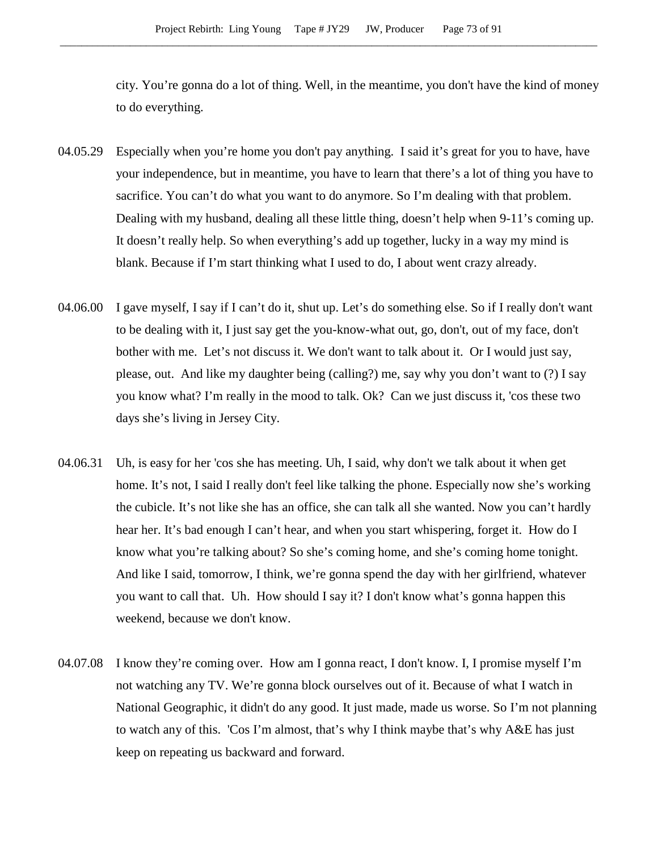city. You're gonna do a lot of thing. Well, in the meantime, you don't have the kind of money to do everything.

- 04.05.29 Especially when you're home you don't pay anything. I said it's great for you to have, have your independence, but in meantime, you have to learn that there's a lot of thing you have to sacrifice. You can't do what you want to do anymore. So I'm dealing with that problem. Dealing with my husband, dealing all these little thing, doesn't help when 9-11's coming up. It doesn't really help. So when everything's add up together, lucky in a way my mind is blank. Because if I'm start thinking what I used to do, I about went crazy already.
- 04.06.00 I gave myself, I say if I can't do it, shut up. Let's do something else. So if I really don't want to be dealing with it, I just say get the you-know-what out, go, don't, out of my face, don't bother with me. Let's not discuss it. We don't want to talk about it. Or I would just say, please, out. And like my daughter being (calling?) me, say why you don't want to (?) I say you know what? I'm really in the mood to talk. Ok? Can we just discuss it, 'cos these two days she's living in Jersey City.
- 04.06.31 Uh, is easy for her 'cos she has meeting. Uh, I said, why don't we talk about it when get home. It's not, I said I really don't feel like talking the phone. Especially now she's working the cubicle. It's not like she has an office, she can talk all she wanted. Now you can't hardly hear her. It's bad enough I can't hear, and when you start whispering, forget it. How do I know what you're talking about? So she's coming home, and she's coming home tonight. And like I said, tomorrow, I think, we're gonna spend the day with her girlfriend, whatever you want to call that. Uh. How should I say it? I don't know what's gonna happen this weekend, because we don't know.
- 04.07.08 I know they're coming over. How am I gonna react, I don't know. I, I promise myself I'm not watching any TV. We're gonna block ourselves out of it. Because of what I watch in National Geographic, it didn't do any good. It just made, made us worse. So I'm not planning to watch any of this. 'Cos I'm almost, that's why I think maybe that's why A&E has just keep on repeating us backward and forward.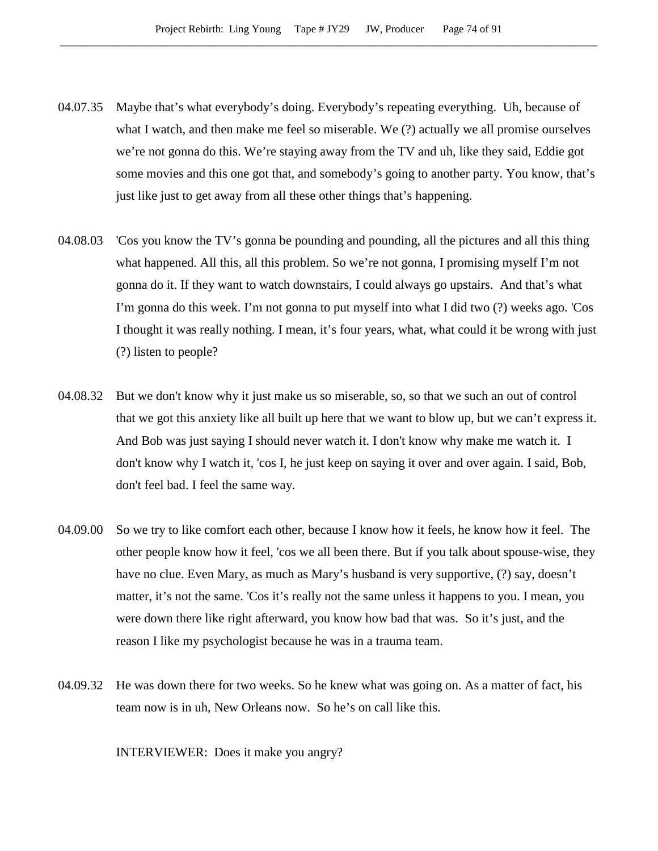- 04.07.35 Maybe that's what everybody's doing. Everybody's repeating everything. Uh, because of what I watch, and then make me feel so miserable. We (?) actually we all promise ourselves we're not gonna do this. We're staying away from the TV and uh, like they said, Eddie got some movies and this one got that, and somebody's going to another party. You know, that's just like just to get away from all these other things that's happening.
- 04.08.03 'Cos you know the TV's gonna be pounding and pounding, all the pictures and all this thing what happened. All this, all this problem. So we're not gonna, I promising myself I'm not gonna do it. If they want to watch downstairs, I could always go upstairs. And that's what I'm gonna do this week. I'm not gonna to put myself into what I did two (?) weeks ago. 'Cos I thought it was really nothing. I mean, it's four years, what, what could it be wrong with just (?) listen to people?
- 04.08.32 But we don't know why it just make us so miserable, so, so that we such an out of control that we got this anxiety like all built up here that we want to blow up, but we can't express it. And Bob was just saying I should never watch it. I don't know why make me watch it. I don't know why I watch it, 'cos I, he just keep on saying it over and over again. I said, Bob, don't feel bad. I feel the same way.
- 04.09.00 So we try to like comfort each other, because I know how it feels, he know how it feel. The other people know how it feel, 'cos we all been there. But if you talk about spouse-wise, they have no clue. Even Mary, as much as Mary's husband is very supportive, (?) say, doesn't matter, it's not the same. 'Cos it's really not the same unless it happens to you. I mean, you were down there like right afterward, you know how bad that was. So it's just, and the reason I like my psychologist because he was in a trauma team.
- 04.09.32 He was down there for two weeks. So he knew what was going on. As a matter of fact, his team now is in uh, New Orleans now. So he's on call like this.

INTERVIEWER: Does it make you angry?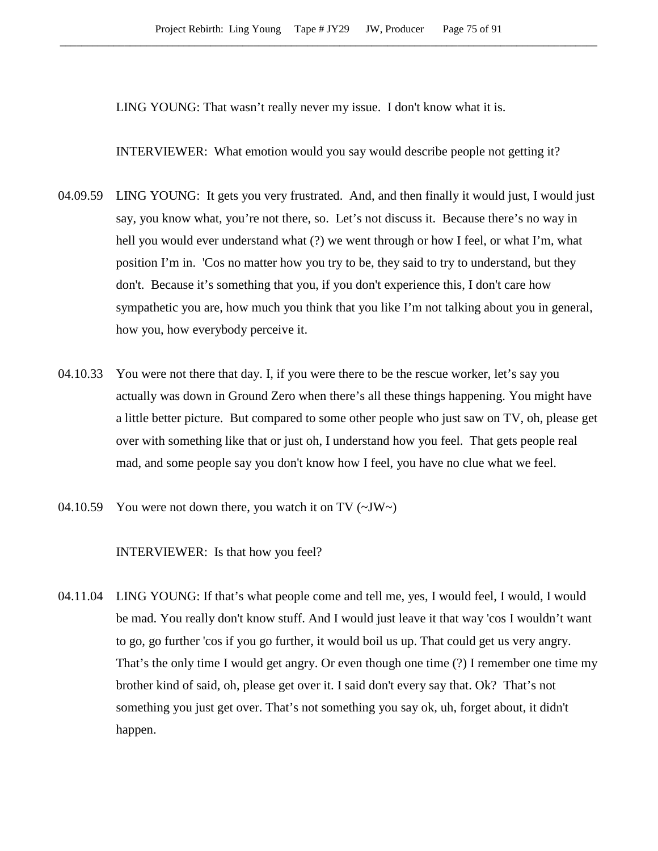LING YOUNG: That wasn't really never my issue. I don't know what it is.

INTERVIEWER: What emotion would you say would describe people not getting it?

- 04.09.59 LING YOUNG: It gets you very frustrated. And, and then finally it would just, I would just say, you know what, you're not there, so. Let's not discuss it. Because there's no way in hell you would ever understand what (?) we went through or how I feel, or what I'm, what position I'm in. 'Cos no matter how you try to be, they said to try to understand, but they don't. Because it's something that you, if you don't experience this, I don't care how sympathetic you are, how much you think that you like I'm not talking about you in general, how you, how everybody perceive it.
- 04.10.33 You were not there that day. I, if you were there to be the rescue worker, let's say you actually was down in Ground Zero when there's all these things happening. You might have a little better picture. But compared to some other people who just saw on TV, oh, please get over with something like that or just oh, I understand how you feel. That gets people real mad, and some people say you don't know how I feel, you have no clue what we feel.
- 04.10.59 You were not down there, you watch it on TV  $(\sim JW)$

INTERVIEWER: Is that how you feel?

04.11.04 LING YOUNG: If that's what people come and tell me, yes, I would feel, I would, I would be mad. You really don't know stuff. And I would just leave it that way 'cos I wouldn't want to go, go further 'cos if you go further, it would boil us up. That could get us very angry. That's the only time I would get angry. Or even though one time (?) I remember one time my brother kind of said, oh, please get over it. I said don't every say that. Ok? That's not something you just get over. That's not something you say ok, uh, forget about, it didn't happen.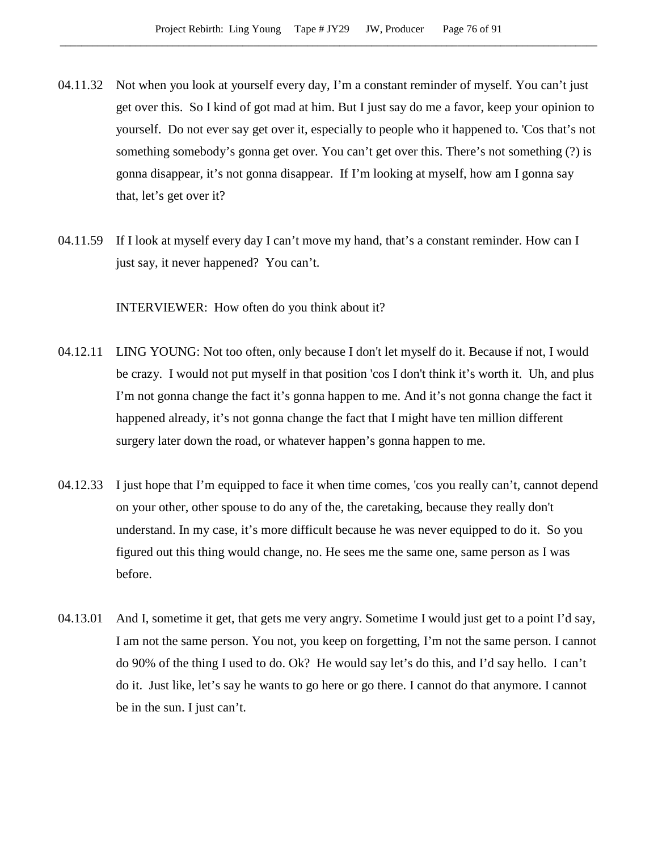- 04.11.32 Not when you look at yourself every day, I'm a constant reminder of myself. You can't just get over this. So I kind of got mad at him. But I just say do me a favor, keep your opinion to yourself. Do not ever say get over it, especially to people who it happened to. 'Cos that's not something somebody's gonna get over. You can't get over this. There's not something (?) is gonna disappear, it's not gonna disappear. If I'm looking at myself, how am I gonna say that, let's get over it?
- 04.11.59 If I look at myself every day I can't move my hand, that's a constant reminder. How can I just say, it never happened? You can't.

INTERVIEWER: How often do you think about it?

- 04.12.11 LING YOUNG: Not too often, only because I don't let myself do it. Because if not, I would be crazy. I would not put myself in that position 'cos I don't think it's worth it. Uh, and plus I'm not gonna change the fact it's gonna happen to me. And it's not gonna change the fact it happened already, it's not gonna change the fact that I might have ten million different surgery later down the road, or whatever happen's gonna happen to me.
- 04.12.33 I just hope that I'm equipped to face it when time comes, 'cos you really can't, cannot depend on your other, other spouse to do any of the, the caretaking, because they really don't understand. In my case, it's more difficult because he was never equipped to do it. So you figured out this thing would change, no. He sees me the same one, same person as I was before.
- 04.13.01 And I, sometime it get, that gets me very angry. Sometime I would just get to a point I'd say, I am not the same person. You not, you keep on forgetting, I'm not the same person. I cannot do 90% of the thing I used to do. Ok? He would say let's do this, and I'd say hello. I can't do it. Just like, let's say he wants to go here or go there. I cannot do that anymore. I cannot be in the sun. I just can't.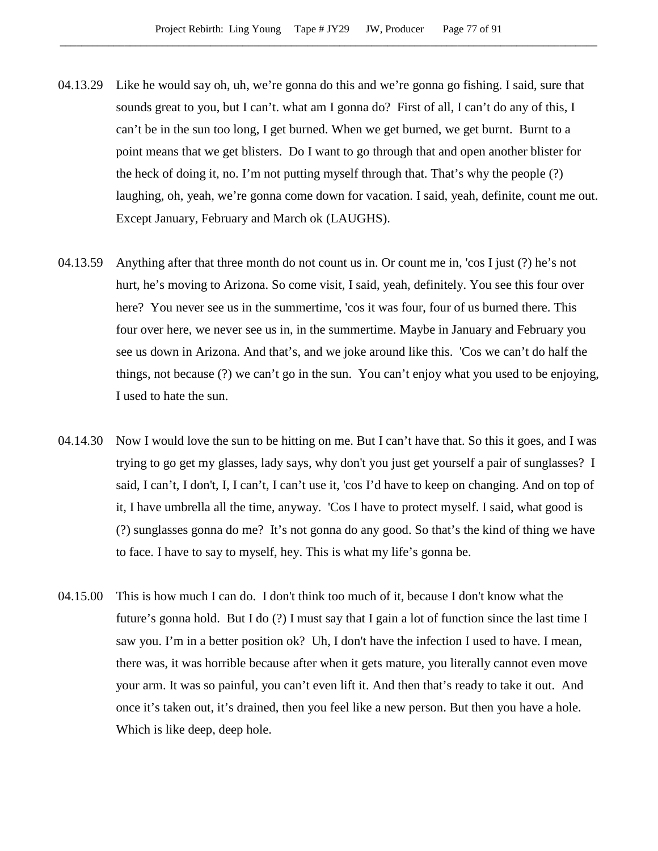- 04.13.29 Like he would say oh, uh, we're gonna do this and we're gonna go fishing. I said, sure that sounds great to you, but I can't. what am I gonna do? First of all, I can't do any of this, I can't be in the sun too long, I get burned. When we get burned, we get burnt. Burnt to a point means that we get blisters. Do I want to go through that and open another blister for the heck of doing it, no. I'm not putting myself through that. That's why the people (?) laughing, oh, yeah, we're gonna come down for vacation. I said, yeah, definite, count me out. Except January, February and March ok (LAUGHS).
- 04.13.59 Anything after that three month do not count us in. Or count me in, 'cos I just (?) he's not hurt, he's moving to Arizona. So come visit, I said, yeah, definitely. You see this four over here? You never see us in the summertime, 'cos it was four, four of us burned there. This four over here, we never see us in, in the summertime. Maybe in January and February you see us down in Arizona. And that's, and we joke around like this. 'Cos we can't do half the things, not because (?) we can't go in the sun. You can't enjoy what you used to be enjoying, I used to hate the sun.
- 04.14.30 Now I would love the sun to be hitting on me. But I can't have that. So this it goes, and I was trying to go get my glasses, lady says, why don't you just get yourself a pair of sunglasses? I said, I can't, I don't, I, I can't, I can't use it, 'cos I'd have to keep on changing. And on top of it, I have umbrella all the time, anyway. 'Cos I have to protect myself. I said, what good is (?) sunglasses gonna do me? It's not gonna do any good. So that's the kind of thing we have to face. I have to say to myself, hey. This is what my life's gonna be.
- 04.15.00 This is how much I can do. I don't think too much of it, because I don't know what the future's gonna hold. But I do (?) I must say that I gain a lot of function since the last time I saw you. I'm in a better position ok? Uh, I don't have the infection I used to have. I mean, there was, it was horrible because after when it gets mature, you literally cannot even move your arm. It was so painful, you can't even lift it. And then that's ready to take it out. And once it's taken out, it's drained, then you feel like a new person. But then you have a hole. Which is like deep, deep hole.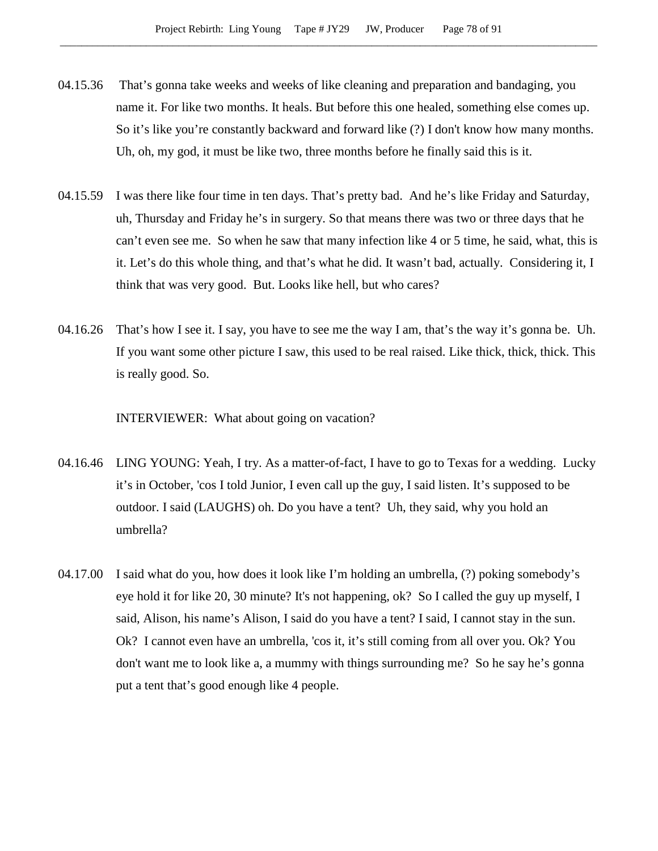- 04.15.36 That's gonna take weeks and weeks of like cleaning and preparation and bandaging, you name it. For like two months. It heals. But before this one healed, something else comes up. So it's like you're constantly backward and forward like (?) I don't know how many months. Uh, oh, my god, it must be like two, three months before he finally said this is it.
- 04.15.59 I was there like four time in ten days. That's pretty bad. And he's like Friday and Saturday, uh, Thursday and Friday he's in surgery. So that means there was two or three days that he can't even see me. So when he saw that many infection like 4 or 5 time, he said, what, this is it. Let's do this whole thing, and that's what he did. It wasn't bad, actually. Considering it, I think that was very good. But. Looks like hell, but who cares?
- 04.16.26 That's how I see it. I say, you have to see me the way I am, that's the way it's gonna be. Uh. If you want some other picture I saw, this used to be real raised. Like thick, thick, thick. This is really good. So.

INTERVIEWER: What about going on vacation?

- 04.16.46 LING YOUNG: Yeah, I try. As a matter-of-fact, I have to go to Texas for a wedding. Lucky it's in October, 'cos I told Junior, I even call up the guy, I said listen. It's supposed to be outdoor. I said (LAUGHS) oh. Do you have a tent? Uh, they said, why you hold an umbrella?
- 04.17.00 I said what do you, how does it look like I'm holding an umbrella, (?) poking somebody's eye hold it for like 20, 30 minute? It's not happening, ok? So I called the guy up myself, I said, Alison, his name's Alison, I said do you have a tent? I said, I cannot stay in the sun. Ok? I cannot even have an umbrella, 'cos it, it's still coming from all over you. Ok? You don't want me to look like a, a mummy with things surrounding me? So he say he's gonna put a tent that's good enough like 4 people.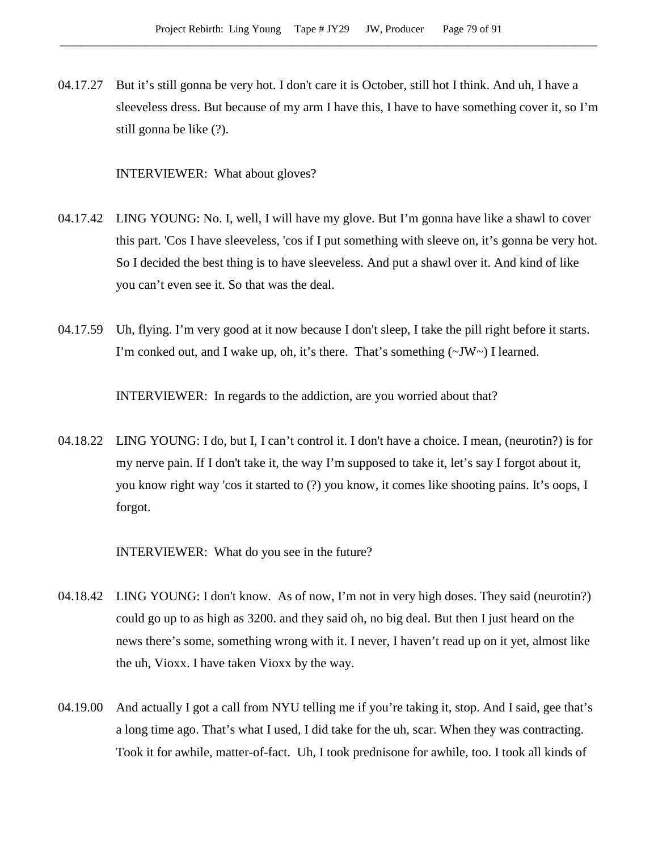04.17.27 But it's still gonna be very hot. I don't care it is October, still hot I think. And uh, I have a sleeveless dress. But because of my arm I have this, I have to have something cover it, so I'm still gonna be like (?).

INTERVIEWER: What about gloves?

- 04.17.42 LING YOUNG: No. I, well, I will have my glove. But I'm gonna have like a shawl to cover this part. 'Cos I have sleeveless, 'cos if I put something with sleeve on, it's gonna be very hot. So I decided the best thing is to have sleeveless. And put a shawl over it. And kind of like you can't even see it. So that was the deal.
- 04.17.59 Uh, flying. I'm very good at it now because I don't sleep, I take the pill right before it starts. I'm conked out, and I wake up, oh, it's there. That's something  $(\sim JW \sim)$  I learned.

INTERVIEWER: In regards to the addiction, are you worried about that?

04.18.22 LING YOUNG: I do, but I, I can't control it. I don't have a choice. I mean, (neurotin?) is for my nerve pain. If I don't take it, the way I'm supposed to take it, let's say I forgot about it, you know right way 'cos it started to (?) you know, it comes like shooting pains. It's oops, I forgot.

INTERVIEWER: What do you see in the future?

- 04.18.42 LING YOUNG: I don't know. As of now, I'm not in very high doses. They said (neurotin?) could go up to as high as 3200. and they said oh, no big deal. But then I just heard on the news there's some, something wrong with it. I never, I haven't read up on it yet, almost like the uh, Vioxx. I have taken Vioxx by the way.
- 04.19.00 And actually I got a call from NYU telling me if you're taking it, stop. And I said, gee that's a long time ago. That's what I used, I did take for the uh, scar. When they was contracting. Took it for awhile, matter-of-fact. Uh, I took prednisone for awhile, too. I took all kinds of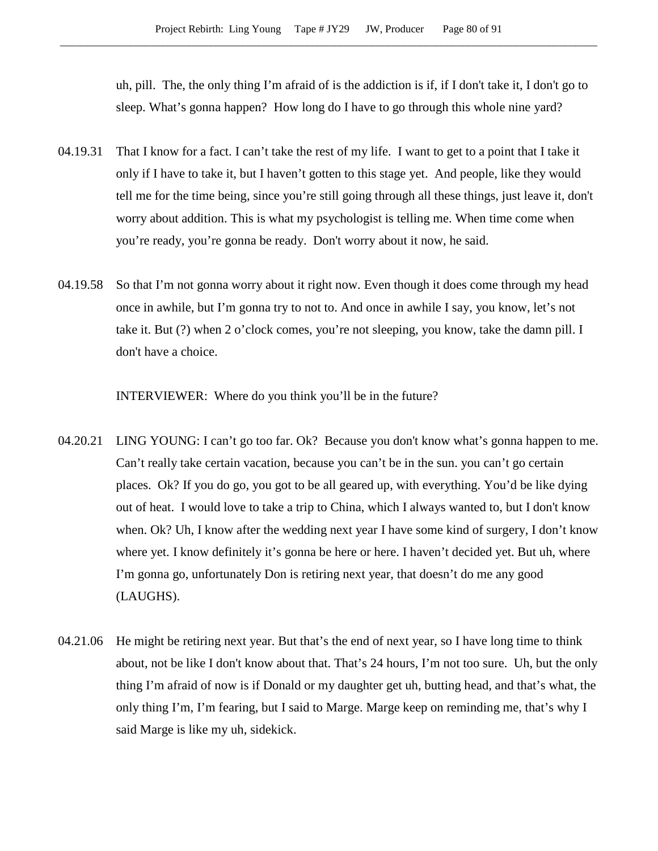uh, pill. The, the only thing I'm afraid of is the addiction is if, if I don't take it, I don't go to sleep. What's gonna happen? How long do I have to go through this whole nine yard?

- 04.19.31 That I know for a fact. I can't take the rest of my life. I want to get to a point that I take it only if I have to take it, but I haven't gotten to this stage yet. And people, like they would tell me for the time being, since you're still going through all these things, just leave it, don't worry about addition. This is what my psychologist is telling me. When time come when you're ready, you're gonna be ready. Don't worry about it now, he said.
- 04.19.58 So that I'm not gonna worry about it right now. Even though it does come through my head once in awhile, but I'm gonna try to not to. And once in awhile I say, you know, let's not take it. But (?) when 2 o'clock comes, you're not sleeping, you know, take the damn pill. I don't have a choice.

INTERVIEWER: Where do you think you'll be in the future?

- 04.20.21 LING YOUNG: I can't go too far. Ok? Because you don't know what's gonna happen to me. Can't really take certain vacation, because you can't be in the sun. you can't go certain places. Ok? If you do go, you got to be all geared up, with everything. You'd be like dying out of heat. I would love to take a trip to China, which I always wanted to, but I don't know when. Ok? Uh, I know after the wedding next year I have some kind of surgery, I don't know where yet. I know definitely it's gonna be here or here. I haven't decided yet. But uh, where I'm gonna go, unfortunately Don is retiring next year, that doesn't do me any good (LAUGHS).
- 04.21.06 He might be retiring next year. But that's the end of next year, so I have long time to think about, not be like I don't know about that. That's 24 hours, I'm not too sure. Uh, but the only thing I'm afraid of now is if Donald or my daughter get uh, butting head, and that's what, the only thing I'm, I'm fearing, but I said to Marge. Marge keep on reminding me, that's why I said Marge is like my uh, sidekick.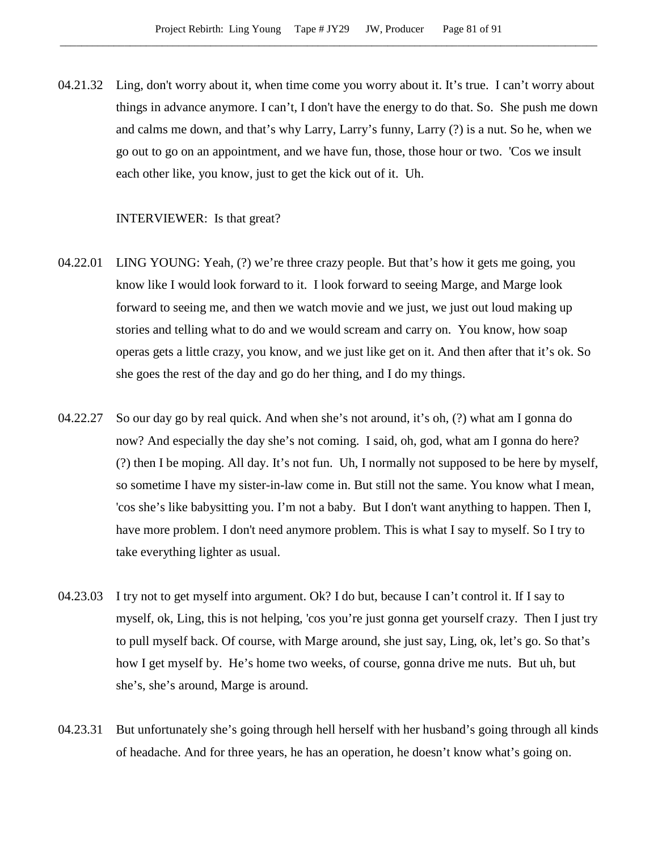04.21.32 Ling, don't worry about it, when time come you worry about it. It's true. I can't worry about things in advance anymore. I can't, I don't have the energy to do that. So. She push me down and calms me down, and that's why Larry, Larry's funny, Larry (?) is a nut. So he, when we go out to go on an appointment, and we have fun, those, those hour or two. 'Cos we insult each other like, you know, just to get the kick out of it. Uh.

### INTERVIEWER: Is that great?

- 04.22.01 LING YOUNG: Yeah, (?) we're three crazy people. But that's how it gets me going, you know like I would look forward to it. I look forward to seeing Marge, and Marge look forward to seeing me, and then we watch movie and we just, we just out loud making up stories and telling what to do and we would scream and carry on. You know, how soap operas gets a little crazy, you know, and we just like get on it. And then after that it's ok. So she goes the rest of the day and go do her thing, and I do my things.
- 04.22.27 So our day go by real quick. And when she's not around, it's oh, (?) what am I gonna do now? And especially the day she's not coming. I said, oh, god, what am I gonna do here? (?) then I be moping. All day. It's not fun. Uh, I normally not supposed to be here by myself, so sometime I have my sister-in-law come in. But still not the same. You know what I mean, 'cos she's like babysitting you. I'm not a baby. But I don't want anything to happen. Then I, have more problem. I don't need anymore problem. This is what I say to myself. So I try to take everything lighter as usual.
- 04.23.03 I try not to get myself into argument. Ok? I do but, because I can't control it. If I say to myself, ok, Ling, this is not helping, 'cos you're just gonna get yourself crazy. Then I just try to pull myself back. Of course, with Marge around, she just say, Ling, ok, let's go. So that's how I get myself by. He's home two weeks, of course, gonna drive me nuts. But uh, but she's, she's around, Marge is around.
- 04.23.31 But unfortunately she's going through hell herself with her husband's going through all kinds of headache. And for three years, he has an operation, he doesn't know what's going on.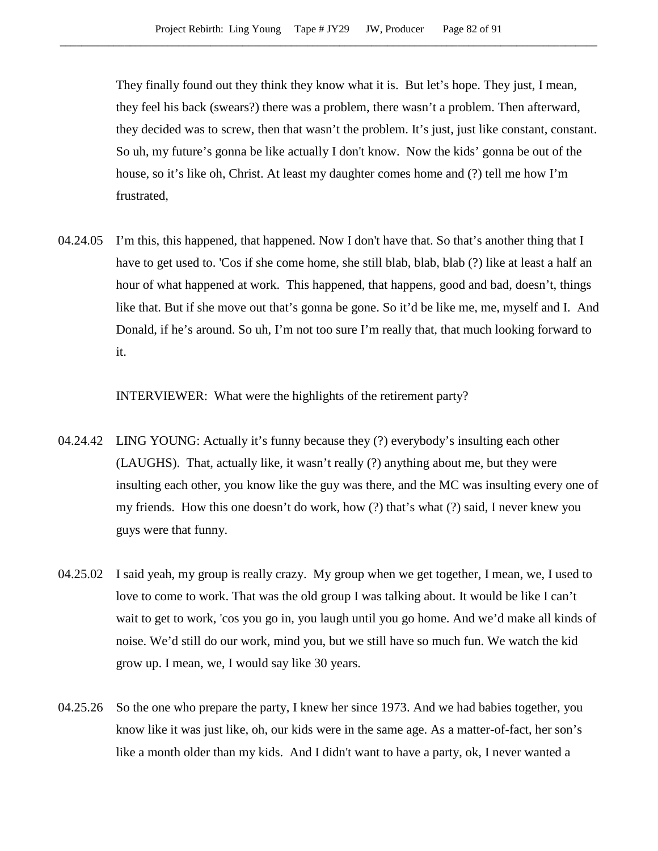They finally found out they think they know what it is. But let's hope. They just, I mean, they feel his back (swears?) there was a problem, there wasn't a problem. Then afterward, they decided was to screw, then that wasn't the problem. It's just, just like constant, constant. So uh, my future's gonna be like actually I don't know. Now the kids' gonna be out of the house, so it's like oh, Christ. At least my daughter comes home and (?) tell me how I'm frustrated,

04.24.05 I'm this, this happened, that happened. Now I don't have that. So that's another thing that I have to get used to. 'Cos if she come home, she still blab, blab, blab (?) like at least a half an hour of what happened at work. This happened, that happens, good and bad, doesn't, things like that. But if she move out that's gonna be gone. So it'd be like me, me, myself and I. And Donald, if he's around. So uh, I'm not too sure I'm really that, that much looking forward to it.

INTERVIEWER: What were the highlights of the retirement party?

- 04.24.42 LING YOUNG: Actually it's funny because they (?) everybody's insulting each other (LAUGHS). That, actually like, it wasn't really (?) anything about me, but they were insulting each other, you know like the guy was there, and the MC was insulting every one of my friends. How this one doesn't do work, how (?) that's what (?) said, I never knew you guys were that funny.
- 04.25.02 I said yeah, my group is really crazy. My group when we get together, I mean, we, I used to love to come to work. That was the old group I was talking about. It would be like I can't wait to get to work, 'cos you go in, you laugh until you go home. And we'd make all kinds of noise. We'd still do our work, mind you, but we still have so much fun. We watch the kid grow up. I mean, we, I would say like 30 years.
- 04.25.26 So the one who prepare the party, I knew her since 1973. And we had babies together, you know like it was just like, oh, our kids were in the same age. As a matter-of-fact, her son's like a month older than my kids. And I didn't want to have a party, ok, I never wanted a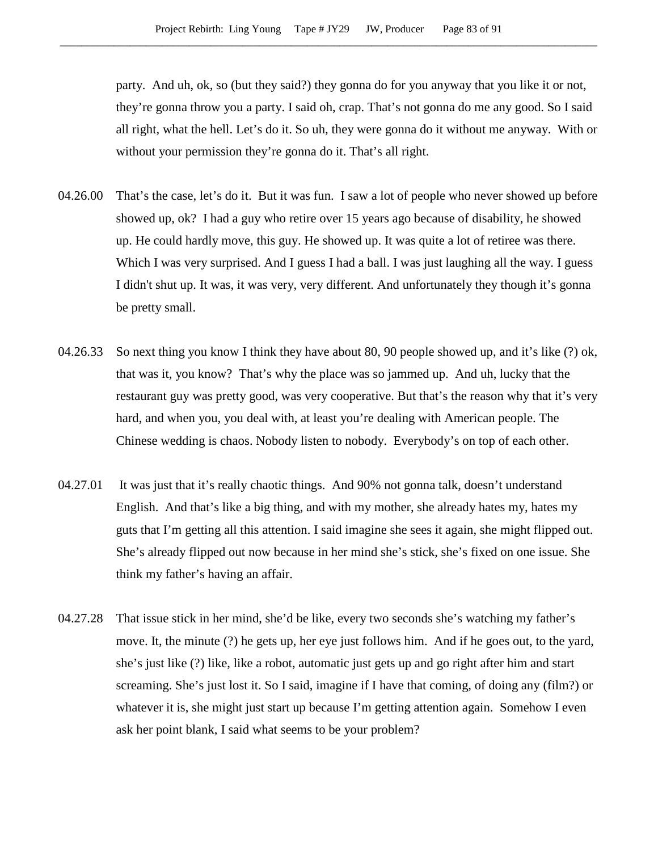party. And uh, ok, so (but they said?) they gonna do for you anyway that you like it or not, they're gonna throw you a party. I said oh, crap. That's not gonna do me any good. So I said all right, what the hell. Let's do it. So uh, they were gonna do it without me anyway. With or without your permission they're gonna do it. That's all right.

- 04.26.00 That's the case, let's do it. But it was fun. I saw a lot of people who never showed up before showed up, ok? I had a guy who retire over 15 years ago because of disability, he showed up. He could hardly move, this guy. He showed up. It was quite a lot of retiree was there. Which I was very surprised. And I guess I had a ball. I was just laughing all the way. I guess I didn't shut up. It was, it was very, very different. And unfortunately they though it's gonna be pretty small.
- 04.26.33 So next thing you know I think they have about 80, 90 people showed up, and it's like (?) ok, that was it, you know? That's why the place was so jammed up. And uh, lucky that the restaurant guy was pretty good, was very cooperative. But that's the reason why that it's very hard, and when you, you deal with, at least you're dealing with American people. The Chinese wedding is chaos. Nobody listen to nobody. Everybody's on top of each other.
- 04.27.01 It was just that it's really chaotic things. And 90% not gonna talk, doesn't understand English. And that's like a big thing, and with my mother, she already hates my, hates my guts that I'm getting all this attention. I said imagine she sees it again, she might flipped out. She's already flipped out now because in her mind she's stick, she's fixed on one issue. She think my father's having an affair.
- 04.27.28 That issue stick in her mind, she'd be like, every two seconds she's watching my father's move. It, the minute (?) he gets up, her eye just follows him. And if he goes out, to the yard, she's just like (?) like, like a robot, automatic just gets up and go right after him and start screaming. She's just lost it. So I said, imagine if I have that coming, of doing any (film?) or whatever it is, she might just start up because I'm getting attention again. Somehow I even ask her point blank, I said what seems to be your problem?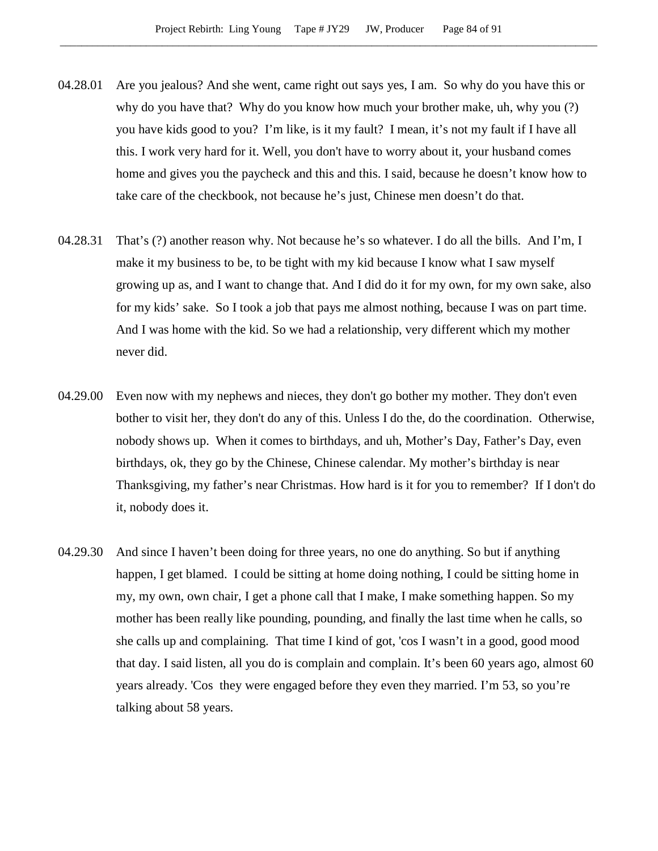- 04.28.01 Are you jealous? And she went, came right out says yes, I am. So why do you have this or why do you have that? Why do you know how much your brother make, uh, why you (?) you have kids good to you? I'm like, is it my fault? I mean, it's not my fault if I have all this. I work very hard for it. Well, you don't have to worry about it, your husband comes home and gives you the paycheck and this and this. I said, because he doesn't know how to take care of the checkbook, not because he's just, Chinese men doesn't do that.
- 04.28.31 That's (?) another reason why. Not because he's so whatever. I do all the bills. And I'm, I make it my business to be, to be tight with my kid because I know what I saw myself growing up as, and I want to change that. And I did do it for my own, for my own sake, also for my kids' sake. So I took a job that pays me almost nothing, because I was on part time. And I was home with the kid. So we had a relationship, very different which my mother never did.
- 04.29.00 Even now with my nephews and nieces, they don't go bother my mother. They don't even bother to visit her, they don't do any of this. Unless I do the, do the coordination. Otherwise, nobody shows up. When it comes to birthdays, and uh, Mother's Day, Father's Day, even birthdays, ok, they go by the Chinese, Chinese calendar. My mother's birthday is near Thanksgiving, my father's near Christmas. How hard is it for you to remember? If I don't do it, nobody does it.
- 04.29.30 And since I haven't been doing for three years, no one do anything. So but if anything happen, I get blamed. I could be sitting at home doing nothing, I could be sitting home in my, my own, own chair, I get a phone call that I make, I make something happen. So my mother has been really like pounding, pounding, and finally the last time when he calls, so she calls up and complaining. That time I kind of got, 'cos I wasn't in a good, good mood that day. I said listen, all you do is complain and complain. It's been 60 years ago, almost 60 years already. 'Cos they were engaged before they even they married. I'm 53, so you're talking about 58 years.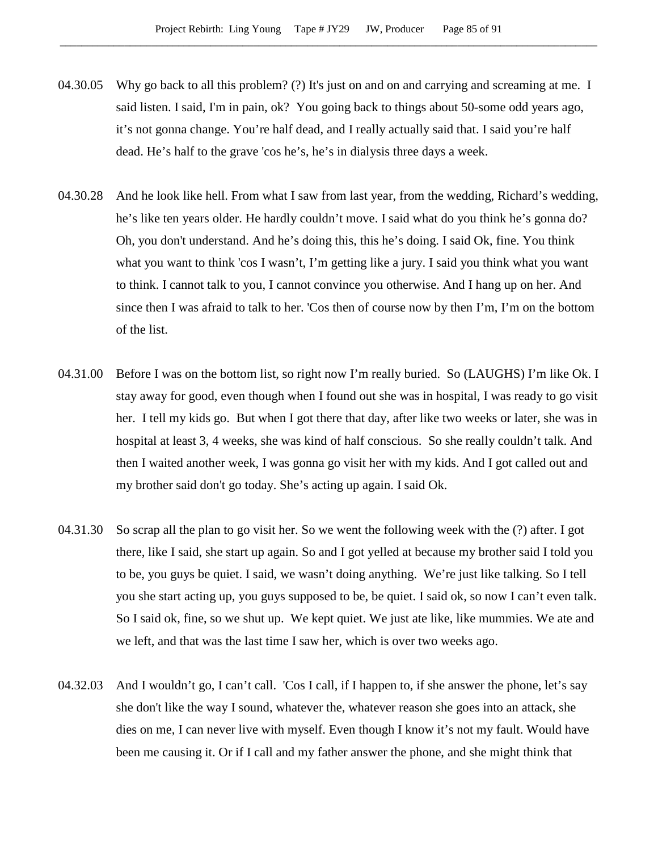- 04.30.05 Why go back to all this problem? (?) It's just on and on and carrying and screaming at me. I said listen. I said, I'm in pain, ok? You going back to things about 50-some odd years ago, it's not gonna change. You're half dead, and I really actually said that. I said you're half dead. He's half to the grave 'cos he's, he's in dialysis three days a week.
- 04.30.28 And he look like hell. From what I saw from last year, from the wedding, Richard's wedding, he's like ten years older. He hardly couldn't move. I said what do you think he's gonna do? Oh, you don't understand. And he's doing this, this he's doing. I said Ok, fine. You think what you want to think 'cos I wasn't, I'm getting like a jury. I said you think what you want to think. I cannot talk to you, I cannot convince you otherwise. And I hang up on her. And since then I was afraid to talk to her. 'Cos then of course now by then I'm, I'm on the bottom of the list.
- 04.31.00 Before I was on the bottom list, so right now I'm really buried. So (LAUGHS) I'm like Ok. I stay away for good, even though when I found out she was in hospital, I was ready to go visit her. I tell my kids go. But when I got there that day, after like two weeks or later, she was in hospital at least 3, 4 weeks, she was kind of half conscious. So she really couldn't talk. And then I waited another week, I was gonna go visit her with my kids. And I got called out and my brother said don't go today. She's acting up again. I said Ok.
- 04.31.30 So scrap all the plan to go visit her. So we went the following week with the (?) after. I got there, like I said, she start up again. So and I got yelled at because my brother said I told you to be, you guys be quiet. I said, we wasn't doing anything. We're just like talking. So I tell you she start acting up, you guys supposed to be, be quiet. I said ok, so now I can't even talk. So I said ok, fine, so we shut up. We kept quiet. We just ate like, like mummies. We ate and we left, and that was the last time I saw her, which is over two weeks ago.
- 04.32.03 And I wouldn't go, I can't call. 'Cos I call, if I happen to, if she answer the phone, let's say she don't like the way I sound, whatever the, whatever reason she goes into an attack, she dies on me, I can never live with myself. Even though I know it's not my fault. Would have been me causing it. Or if I call and my father answer the phone, and she might think that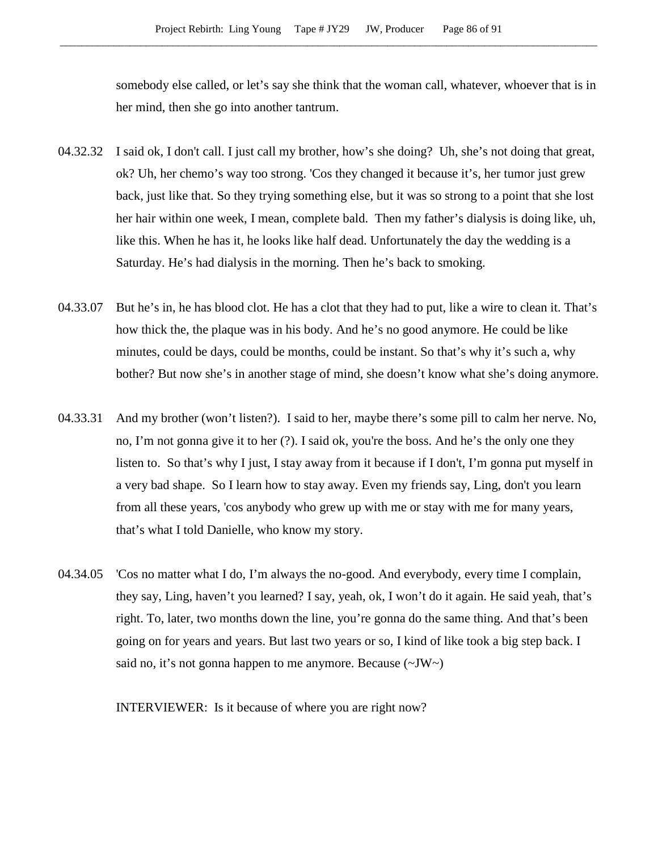somebody else called, or let's say she think that the woman call, whatever, whoever that is in her mind, then she go into another tantrum.

- 04.32.32 I said ok, I don't call. I just call my brother, how's she doing? Uh, she's not doing that great, ok? Uh, her chemo's way too strong. 'Cos they changed it because it's, her tumor just grew back, just like that. So they trying something else, but it was so strong to a point that she lost her hair within one week, I mean, complete bald. Then my father's dialysis is doing like, uh, like this. When he has it, he looks like half dead. Unfortunately the day the wedding is a Saturday. He's had dialysis in the morning. Then he's back to smoking.
- 04.33.07 But he's in, he has blood clot. He has a clot that they had to put, like a wire to clean it. That's how thick the, the plaque was in his body. And he's no good anymore. He could be like minutes, could be days, could be months, could be instant. So that's why it's such a, why bother? But now she's in another stage of mind, she doesn't know what she's doing anymore.
- 04.33.31 And my brother (won't listen?). I said to her, maybe there's some pill to calm her nerve. No, no, I'm not gonna give it to her (?). I said ok, you're the boss. And he's the only one they listen to. So that's why I just, I stay away from it because if I don't, I'm gonna put myself in a very bad shape. So I learn how to stay away. Even my friends say, Ling, don't you learn from all these years, 'cos anybody who grew up with me or stay with me for many years, that's what I told Danielle, who know my story.
- 04.34.05 'Cos no matter what I do, I'm always the no-good. And everybody, every time I complain, they say, Ling, haven't you learned? I say, yeah, ok, I won't do it again. He said yeah, that's right. To, later, two months down the line, you're gonna do the same thing. And that's been going on for years and years. But last two years or so, I kind of like took a big step back. I said no, it's not gonna happen to me anymore. Because  $(\sim JW)$

INTERVIEWER: Is it because of where you are right now?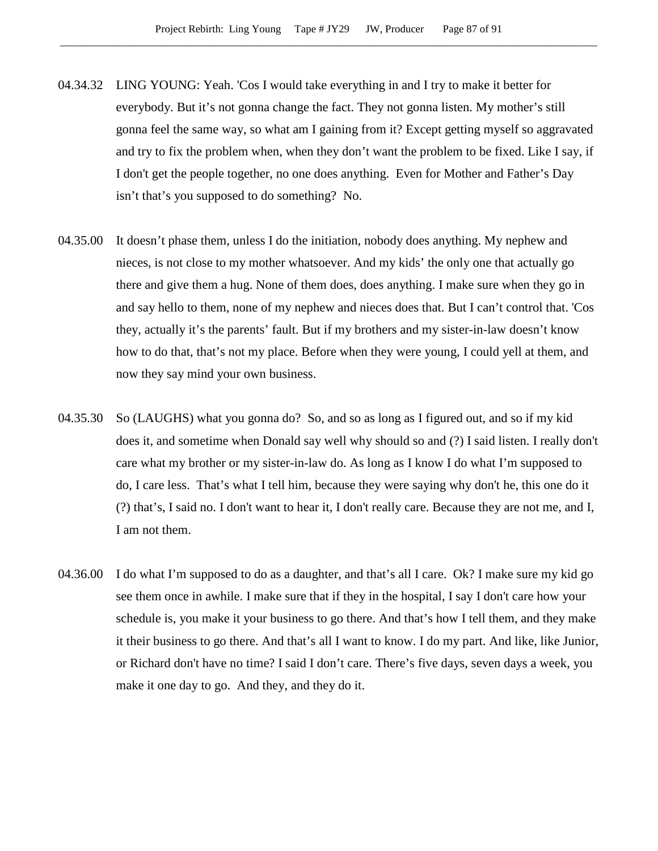- 04.34.32 LING YOUNG: Yeah. 'Cos I would take everything in and I try to make it better for everybody. But it's not gonna change the fact. They not gonna listen. My mother's still gonna feel the same way, so what am I gaining from it? Except getting myself so aggravated and try to fix the problem when, when they don't want the problem to be fixed. Like I say, if I don't get the people together, no one does anything. Even for Mother and Father's Day isn't that's you supposed to do something? No.
- 04.35.00 It doesn't phase them, unless I do the initiation, nobody does anything. My nephew and nieces, is not close to my mother whatsoever. And my kids' the only one that actually go there and give them a hug. None of them does, does anything. I make sure when they go in and say hello to them, none of my nephew and nieces does that. But I can't control that. 'Cos they, actually it's the parents' fault. But if my brothers and my sister-in-law doesn't know how to do that, that's not my place. Before when they were young, I could yell at them, and now they say mind your own business.
- 04.35.30 So (LAUGHS) what you gonna do? So, and so as long as I figured out, and so if my kid does it, and sometime when Donald say well why should so and (?) I said listen. I really don't care what my brother or my sister-in-law do. As long as I know I do what I'm supposed to do, I care less. That's what I tell him, because they were saying why don't he, this one do it (?) that's, I said no. I don't want to hear it, I don't really care. Because they are not me, and I, I am not them.
- 04.36.00 I do what I'm supposed to do as a daughter, and that's all I care. Ok? I make sure my kid go see them once in awhile. I make sure that if they in the hospital, I say I don't care how your schedule is, you make it your business to go there. And that's how I tell them, and they make it their business to go there. And that's all I want to know. I do my part. And like, like Junior, or Richard don't have no time? I said I don't care. There's five days, seven days a week, you make it one day to go. And they, and they do it.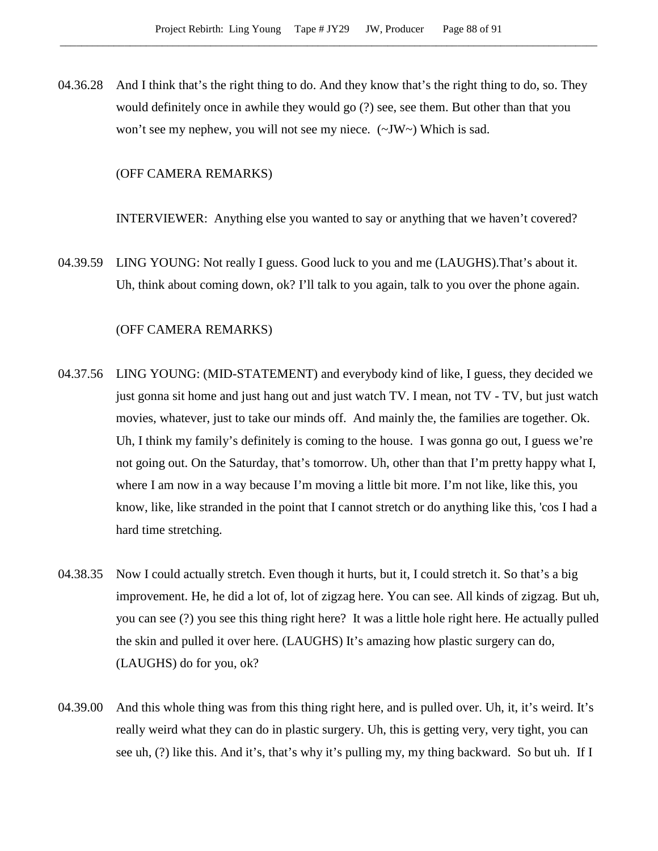04.36.28 And I think that's the right thing to do. And they know that's the right thing to do, so. They would definitely once in awhile they would go (?) see, see them. But other than that you won't see my nephew, you will not see my niece. (~JW~) Which is sad.

## (OFF CAMERA REMARKS)

INTERVIEWER: Anything else you wanted to say or anything that we haven't covered?

04.39.59 LING YOUNG: Not really I guess. Good luck to you and me (LAUGHS).That's about it. Uh, think about coming down, ok? I'll talk to you again, talk to you over the phone again.

#### (OFF CAMERA REMARKS)

- 04.37.56 LING YOUNG: (MID-STATEMENT) and everybody kind of like, I guess, they decided we just gonna sit home and just hang out and just watch TV. I mean, not TV - TV, but just watch movies, whatever, just to take our minds off. And mainly the, the families are together. Ok. Uh, I think my family's definitely is coming to the house. I was gonna go out, I guess we're not going out. On the Saturday, that's tomorrow. Uh, other than that I'm pretty happy what I, where I am now in a way because I'm moving a little bit more. I'm not like, like this, you know, like, like stranded in the point that I cannot stretch or do anything like this, 'cos I had a hard time stretching.
- 04.38.35 Now I could actually stretch. Even though it hurts, but it, I could stretch it. So that's a big improvement. He, he did a lot of, lot of zigzag here. You can see. All kinds of zigzag. But uh, you can see (?) you see this thing right here? It was a little hole right here. He actually pulled the skin and pulled it over here. (LAUGHS) It's amazing how plastic surgery can do, (LAUGHS) do for you, ok?
- 04.39.00 And this whole thing was from this thing right here, and is pulled over. Uh, it, it's weird. It's really weird what they can do in plastic surgery. Uh, this is getting very, very tight, you can see uh, (?) like this. And it's, that's why it's pulling my, my thing backward. So but uh. If I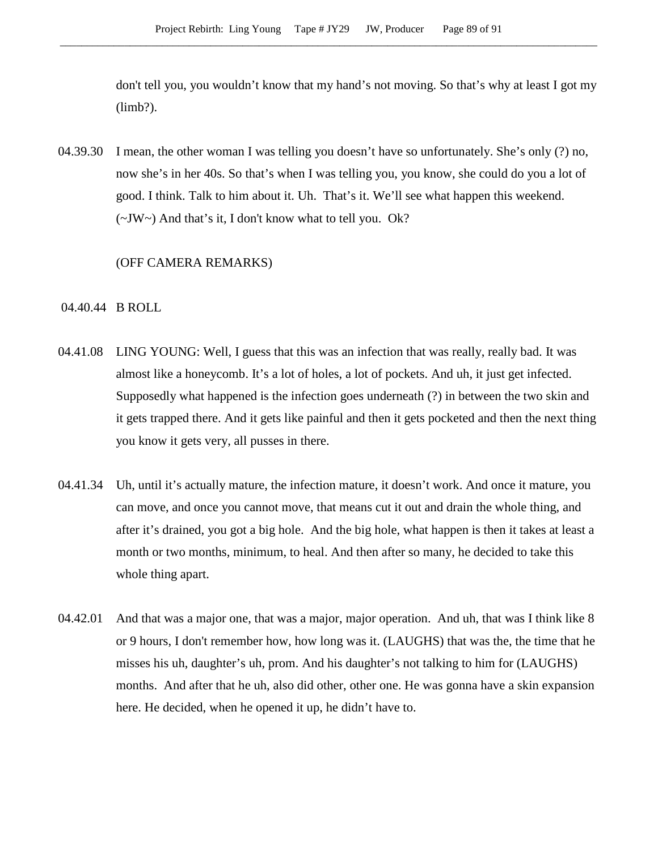don't tell you, you wouldn't know that my hand's not moving. So that's why at least I got my (limb?).

04.39.30 I mean, the other woman I was telling you doesn't have so unfortunately. She's only (?) no, now she's in her 40s. So that's when I was telling you, you know, she could do you a lot of good. I think. Talk to him about it. Uh. That's it. We'll see what happen this weekend. (~JW~) And that's it, I don't know what to tell you. Ok?

## (OFF CAMERA REMARKS)

### 04.40.44 B ROLL

- 04.41.08 LING YOUNG: Well, I guess that this was an infection that was really, really bad. It was almost like a honeycomb. It's a lot of holes, a lot of pockets. And uh, it just get infected. Supposedly what happened is the infection goes underneath (?) in between the two skin and it gets trapped there. And it gets like painful and then it gets pocketed and then the next thing you know it gets very, all pusses in there.
- 04.41.34 Uh, until it's actually mature, the infection mature, it doesn't work. And once it mature, you can move, and once you cannot move, that means cut it out and drain the whole thing, and after it's drained, you got a big hole. And the big hole, what happen is then it takes at least a month or two months, minimum, to heal. And then after so many, he decided to take this whole thing apart.
- 04.42.01 And that was a major one, that was a major, major operation. And uh, that was I think like 8 or 9 hours, I don't remember how, how long was it. (LAUGHS) that was the, the time that he misses his uh, daughter's uh, prom. And his daughter's not talking to him for (LAUGHS) months. And after that he uh, also did other, other one. He was gonna have a skin expansion here. He decided, when he opened it up, he didn't have to.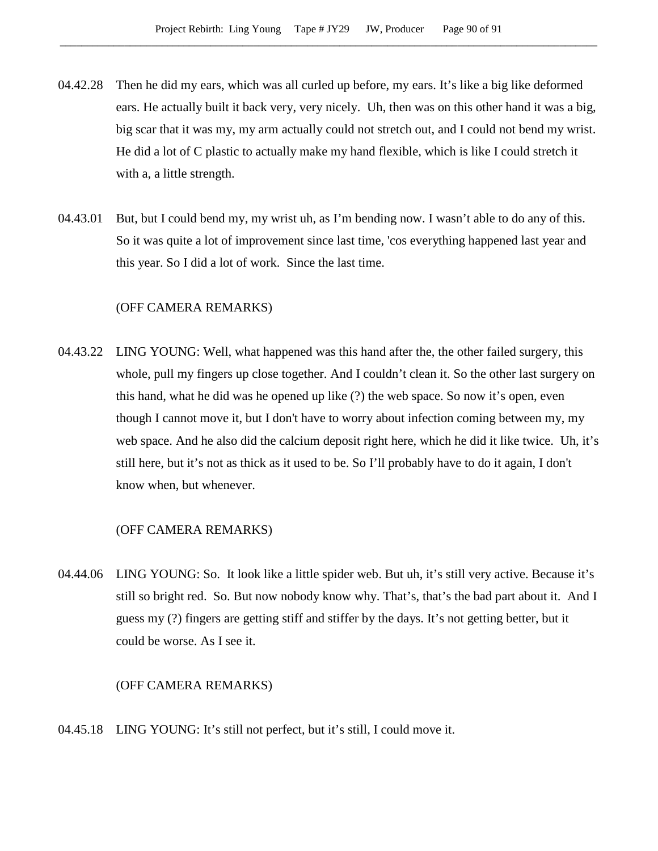- 04.42.28 Then he did my ears, which was all curled up before, my ears. It's like a big like deformed ears. He actually built it back very, very nicely. Uh, then was on this other hand it was a big, big scar that it was my, my arm actually could not stretch out, and I could not bend my wrist. He did a lot of C plastic to actually make my hand flexible, which is like I could stretch it with a, a little strength.
- 04.43.01 But, but I could bend my, my wrist uh, as I'm bending now. I wasn't able to do any of this. So it was quite a lot of improvement since last time, 'cos everything happened last year and this year. So I did a lot of work. Since the last time.

# (OFF CAMERA REMARKS)

04.43.22 LING YOUNG: Well, what happened was this hand after the, the other failed surgery, this whole, pull my fingers up close together. And I couldn't clean it. So the other last surgery on this hand, what he did was he opened up like (?) the web space. So now it's open, even though I cannot move it, but I don't have to worry about infection coming between my, my web space. And he also did the calcium deposit right here, which he did it like twice. Uh, it's still here, but it's not as thick as it used to be. So I'll probably have to do it again, I don't know when, but whenever.

### (OFF CAMERA REMARKS)

04.44.06 LING YOUNG: So. It look like a little spider web. But uh, it's still very active. Because it's still so bright red. So. But now nobody know why. That's, that's the bad part about it. And I guess my (?) fingers are getting stiff and stiffer by the days. It's not getting better, but it could be worse. As I see it.

#### (OFF CAMERA REMARKS)

04.45.18 LING YOUNG: It's still not perfect, but it's still, I could move it.